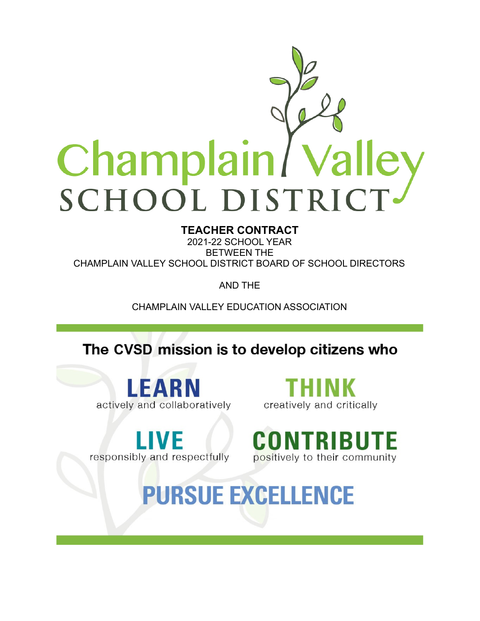

# **TEACHER CONTRACT**

2021-22 SCHOOL YEAR BETWEEN THE CHAMPLAIN VALLEY SCHOOL DISTRICT BOARD OF SCHOOL DIRECTORS

AND THE

CHAMPLAIN VALLEY EDUCATION ASSOCIATION

The CVSD mission is to develop citizens who

LEARN actively and collaboratively

creatively and critically

responsibly and respectfully



**PURSUE EXCELLENCE**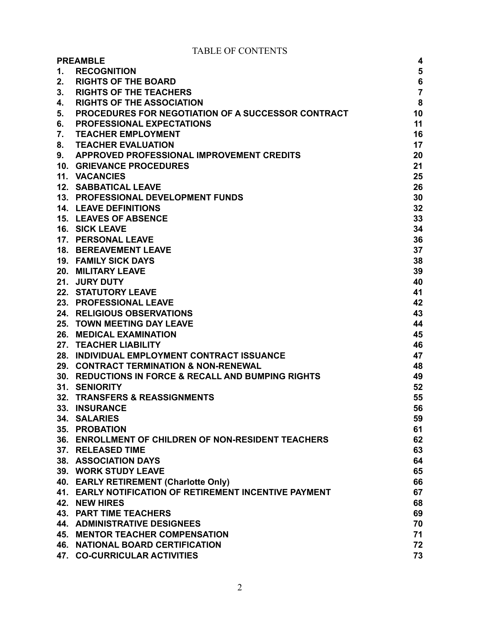TABLE OF CONTENTS

| <b>PREAMBLE</b><br>4 |                                                           |                |
|----------------------|-----------------------------------------------------------|----------------|
| 1.                   | <b>RECOGNITION</b>                                        | 5              |
| 2.                   | <b>RIGHTS OF THE BOARD</b>                                | $\bf 6$        |
| 3.                   | <b>RIGHTS OF THE TEACHERS</b>                             | $\overline{7}$ |
| 4.                   | <b>RIGHTS OF THE ASSOCIATION</b>                          | ${\bf 8}$      |
| 5.                   | <b>PROCEDURES FOR NEGOTIATION OF A SUCCESSOR CONTRACT</b> | 10             |
| 6.                   | <b>PROFESSIONAL EXPECTATIONS</b>                          | 11             |
| 7.                   | <b>TEACHER EMPLOYMENT</b>                                 | 16             |
| 8.                   | <b>TEACHER EVALUATION</b>                                 | 17             |
| 9.                   | APPROVED PROFESSIONAL IMPROVEMENT CREDITS                 | 20             |
|                      | <b>10. GRIEVANCE PROCEDURES</b>                           | 21             |
|                      | 11. VACANCIES                                             | 25             |
|                      | <b>12. SABBATICAL LEAVE</b>                               | 26             |
|                      | 13. PROFESSIONAL DEVELOPMENT FUNDS                        | 30             |
|                      | <b>14. LEAVE DEFINITIONS</b>                              | 32             |
|                      | <b>15. LEAVES OF ABSENCE</b>                              | 33             |
|                      | <b>16. SICK LEAVE</b>                                     | 34             |
|                      | 17. PERSONAL LEAVE                                        | 36             |
|                      | <b>18. BEREAVEMENT LEAVE</b>                              | 37             |
|                      | <b>19. FAMILY SICK DAYS</b>                               | 38             |
|                      |                                                           |                |
|                      | 20. MILITARY LEAVE                                        | 39             |
|                      | 21. JURY DUTY                                             | 40             |
|                      | <b>22. STATUTORY LEAVE</b>                                | 41             |
|                      | 23. PROFESSIONAL LEAVE                                    | 42             |
|                      | 24. RELIGIOUS OBSERVATIONS                                | 43             |
|                      | <b>25. TOWN MEETING DAY LEAVE</b>                         | 44             |
|                      | 26. MEDICAL EXAMINATION                                   | 45             |
|                      | 27. TEACHER LIABILITY                                     | 46             |
|                      | 28. INDIVIDUAL EMPLOYMENT CONTRACT ISSUANCE               | 47             |
|                      | 29. CONTRACT TERMINATION & NON-RENEWAL                    | 48             |
|                      | 30. REDUCTIONS IN FORCE & RECALL AND BUMPING RIGHTS       | 49             |
|                      | <b>31. SENIORITY</b>                                      | 52             |
| 32.                  | <b>TRANSFERS &amp; REASSIGNMENTS</b>                      | 55             |
| 33.                  | <b>INSURANCE</b>                                          | 56             |
|                      | 34. SALARIES                                              | 59             |
|                      | <b>35. PROBATION</b>                                      | 61             |
|                      | 36. ENROLLMENT OF CHILDREN OF NON-RESIDENT TEACHERS       | 62             |
|                      | 37. RELEASED TIME                                         | 63             |
|                      | 38. ASSOCIATION DAYS                                      | 64             |
|                      | 39. WORK STUDY LEAVE                                      | 65             |
|                      | 40. EARLY RETIREMENT (Charlotte Only)                     | 66             |
|                      | 41. EARLY NOTIFICATION OF RETIREMENT INCENTIVE PAYMENT    | 67             |
|                      | 42. NEW HIRES                                             | 68             |
|                      | <b>43. PART TIME TEACHERS</b>                             | 69             |
|                      | <b>44. ADMINISTRATIVE DESIGNEES</b>                       | 70             |
|                      | <b>45. MENTOR TEACHER COMPENSATION</b>                    | 71             |
|                      | <b>46. NATIONAL BOARD CERTIFICATION</b>                   | 72             |
|                      | 47. CO-CURRICULAR ACTIVITIES                              | 73             |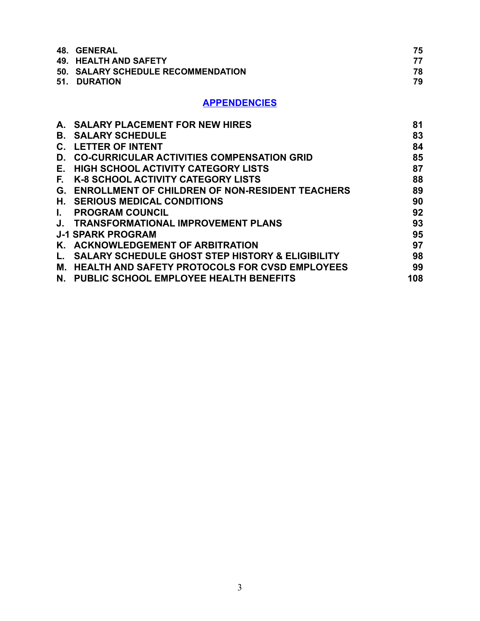| <b>48. GENERAL</b>                 | 75 |
|------------------------------------|----|
| 49. HEALTH AND SAFETY              | 77 |
| 50. SALARY SCHEDULE RECOMMENDATION | 78 |
| 51. DURATION                       | 79 |

#### **APPENDENCIES**

| A. SALARY PLACEMENT FOR NEW HIRES                            | 81  |
|--------------------------------------------------------------|-----|
| <b>SALARY SCHEDULE</b>                                       | 83  |
| <b>LETTER OF INTENT</b>                                      | 84  |
| <b>CO-CURRICULAR ACTIVITIES COMPENSATION GRID</b>            | 85  |
| <b>HIGH SCHOOL ACTIVITY CATEGORY LISTS</b>                   | 87  |
| <b>K-8 SCHOOL ACTIVITY CATEGORY LISTS</b>                    | 88  |
| <b>ENROLLMENT OF CHILDREN OF NON-RESIDENT TEACHERS</b><br>G. | 89  |
| H. SERIOUS MEDICAL CONDITIONS                                | 90  |
| <b>PROGRAM COUNCIL</b>                                       | 92  |
| <b>TRANSFORMATIONAL IMPROVEMENT PLANS</b>                    | 93  |
| <b>J-1 SPARK PROGRAM</b>                                     | 95  |
| <b>ACKNOWLEDGEMENT OF ARBITRATION</b>                        | 97  |
| <b>SALARY SCHEDULE GHOST STEP HISTORY &amp; ELIGIBILITY</b>  | 98  |
| <b>HEALTH AND SAFETY PROTOCOLS FOR CVSD EMPLOYEES</b>        | 99  |
| <b>PUBLIC SCHOOL EMPLOYEE HEALTH BENEFITS</b>                | 108 |
|                                                              |     |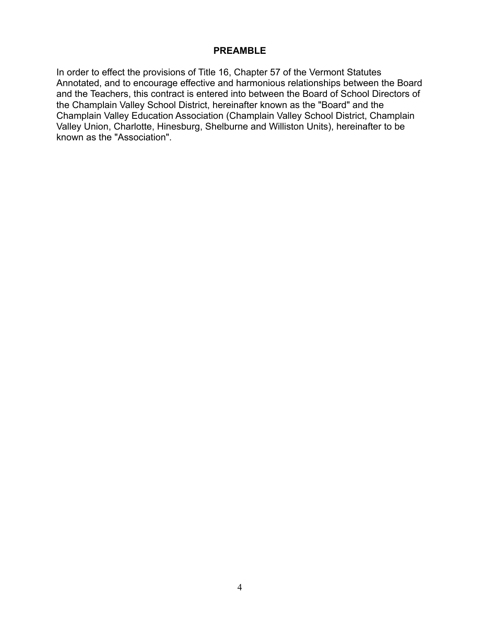#### **PREAMBLE**

In order to effect the provisions of Title 16, Chapter 57 of the Vermont Statutes Annotated, and to encourage effective and harmonious relationships between the Board and the Teachers, this contract is entered into between the Board of School Directors of the Champlain Valley School District, hereinafter known as the "Board" and the Champlain Valley Education Association (Champlain Valley School District, Champlain Valley Union, Charlotte, Hinesburg, Shelburne and Williston Units), hereinafter to be known as the "Association".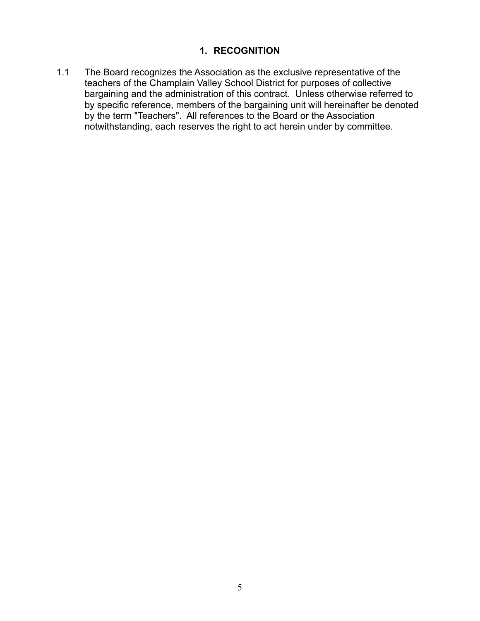#### **1. RECOGNITION**

<span id="page-4-0"></span>1.1 The Board recognizes the Association as the exclusive representative of the teachers of the Champlain Valley School District for purposes of collective bargaining and the administration of this contract. Unless otherwise referred to by specific reference, members of the bargaining unit will hereinafter be denoted by the term "Teachers". All references to the Board or the Association notwithstanding, each reserves the right to act herein under by committee.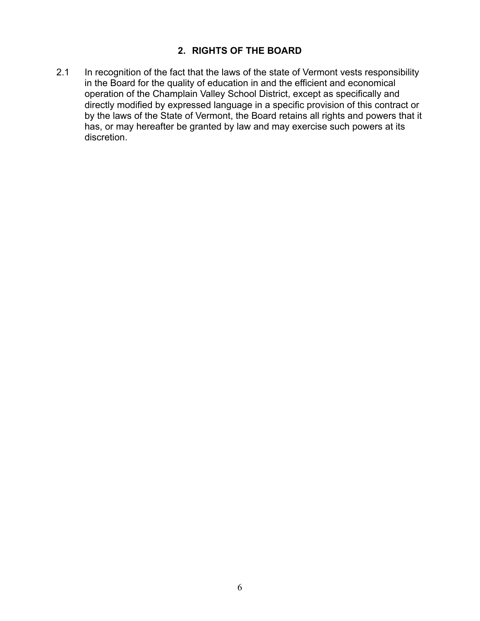## **2. RIGHTS OF THE BOARD**

<span id="page-5-0"></span>2.1 In recognition of the fact that the laws of the state of Vermont vests responsibility in the Board for the quality of education in and the efficient and economical operation of the Champlain Valley School District, except as specifically and directly modified by expressed language in a specific provision of this contract or by the laws of the State of Vermont, the Board retains all rights and powers that it has, or may hereafter be granted by law and may exercise such powers at its discretion.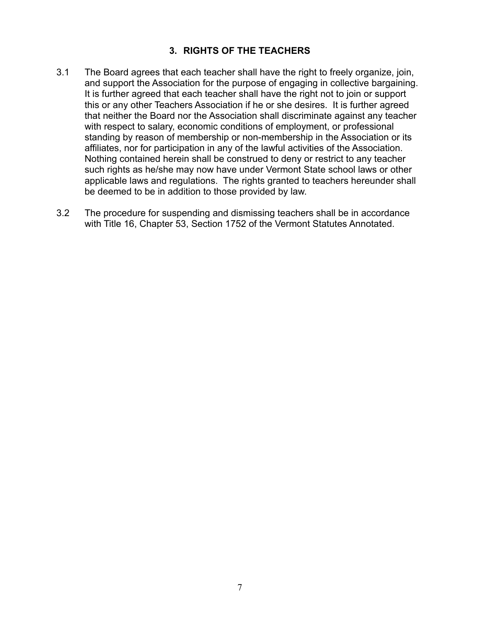#### **3. RIGHTS OF THE TEACHERS**

- <span id="page-6-0"></span>3.1 The Board agrees that each teacher shall have the right to freely organize, join, and support the Association for the purpose of engaging in collective bargaining. It is further agreed that each teacher shall have the right not to join or support this or any other Teachers Association if he or she desires. It is further agreed that neither the Board nor the Association shall discriminate against any teacher with respect to salary, economic conditions of employment, or professional standing by reason of membership or non-membership in the Association or its affiliates, nor for participation in any of the lawful activities of the Association. Nothing contained herein shall be construed to deny or restrict to any teacher such rights as he/she may now have under Vermont State school laws or other applicable laws and regulations. The rights granted to teachers hereunder shall be deemed to be in addition to those provided by law.
- 3.2 The procedure for suspending and dismissing teachers shall be in accordance with Title 16, Chapter 53, Section 1752 of the Vermont Statutes Annotated.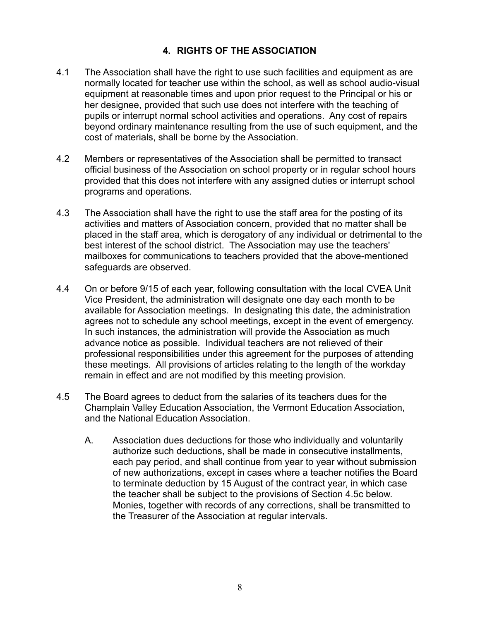### **4. RIGHTS OF THE ASSOCIATION**

- <span id="page-7-0"></span>4.1 The Association shall have the right to use such facilities and equipment as are normally located for teacher use within the school, as well as school audio-visual equipment at reasonable times and upon prior request to the Principal or his or her designee, provided that such use does not interfere with the teaching of pupils or interrupt normal school activities and operations. Any cost of repairs beyond ordinary maintenance resulting from the use of such equipment, and the cost of materials, shall be borne by the Association.
- 4.2 Members or representatives of the Association shall be permitted to transact official business of the Association on school property or in regular school hours provided that this does not interfere with any assigned duties or interrupt school programs and operations.
- 4.3 The Association shall have the right to use the staff area for the posting of its activities and matters of Association concern, provided that no matter shall be placed in the staff area, which is derogatory of any individual or detrimental to the best interest of the school district. The Association may use the teachers' mailboxes for communications to teachers provided that the above-mentioned safeguards are observed.
- 4.4 On or before 9/15 of each year, following consultation with the local CVEA Unit Vice President, the administration will designate one day each month to be available for Association meetings. In designating this date, the administration agrees not to schedule any school meetings, except in the event of emergency. In such instances, the administration will provide the Association as much advance notice as possible. Individual teachers are not relieved of their professional responsibilities under this agreement for the purposes of attending these meetings. All provisions of articles relating to the length of the workday remain in effect and are not modified by this meeting provision.
- 4.5 The Board agrees to deduct from the salaries of its teachers dues for the Champlain Valley Education Association, the Vermont Education Association, and the National Education Association.
	- A. Association dues deductions for those who individually and voluntarily authorize such deductions, shall be made in consecutive installments, each pay period, and shall continue from year to year without submission of new authorizations, except in cases where a teacher notifies the Board to terminate deduction by 15 August of the contract year, in which case the teacher shall be subject to the provisions of Section 4.5c below. Monies, together with records of any corrections, shall be transmitted to the Treasurer of the Association at regular intervals.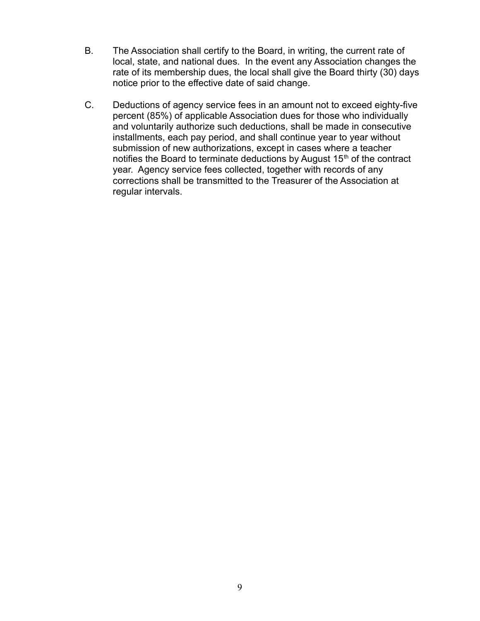- B. The Association shall certify to the Board, in writing, the current rate of local, state, and national dues. In the event any Association changes the rate of its membership dues, the local shall give the Board thirty (30) days notice prior to the effective date of said change.
- C. Deductions of agency service fees in an amount not to exceed eighty-five percent (85%) of applicable Association dues for those who individually and voluntarily authorize such deductions, shall be made in consecutive installments, each pay period, and shall continue year to year without submission of new authorizations, except in cases where a teacher notifies the Board to terminate deductions by August  $15<sup>th</sup>$  of the contract year. Agency service fees collected, together with records of any corrections shall be transmitted to the Treasurer of the Association at regular intervals.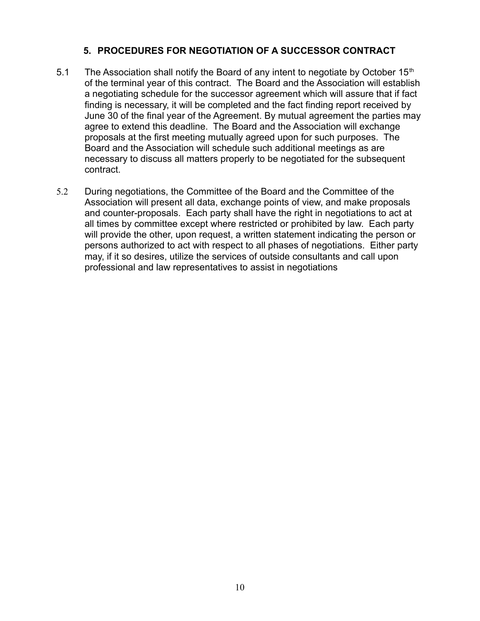#### **5. PROCEDURES FOR NEGOTIATION OF A SUCCESSOR CONTRACT**

- <span id="page-9-0"></span>5.1 The Association shall notify the Board of any intent to negotiate by October  $15<sup>th</sup>$ of the terminal year of this contract. The Board and the Association will establish a negotiating schedule for the successor agreement which will assure that if fact finding is necessary, it will be completed and the fact finding report received by June 30 of the final year of the Agreement. By mutual agreement the parties may agree to extend this deadline. The Board and the Association will exchange proposals at the first meeting mutually agreed upon for such purposes. The Board and the Association will schedule such additional meetings as are necessary to discuss all matters properly to be negotiated for the subsequent contract.
- 5.2 During negotiations, the Committee of the Board and the Committee of the Association will present all data, exchange points of view, and make proposals and counter-proposals. Each party shall have the right in negotiations to act at all times by committee except where restricted or prohibited by law. Each party will provide the other, upon request, a written statement indicating the person or persons authorized to act with respect to all phases of negotiations. Either party may, if it so desires, utilize the services of outside consultants and call upon professional and law representatives to assist in negotiations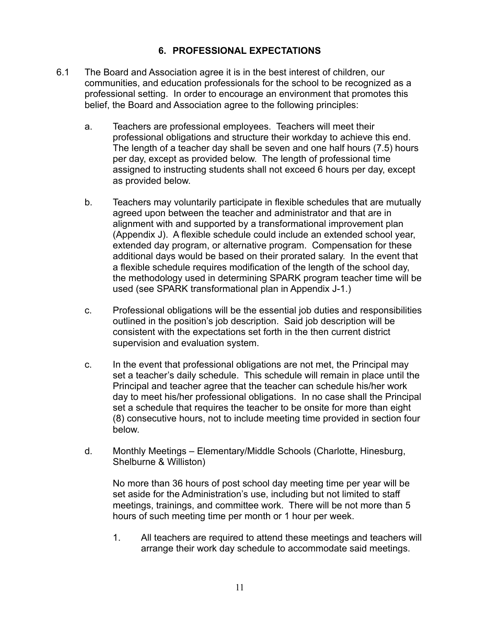### **6. PROFESSIONAL EXPECTATIONS**

- <span id="page-10-0"></span>6.1 The Board and Association agree it is in the best interest of children, our communities, and education professionals for the school to be recognized as a professional setting. In order to encourage an environment that promotes this belief, the Board and Association agree to the following principles:
	- a. Teachers are professional employees. Teachers will meet their professional obligations and structure their workday to achieve this end. The length of a teacher day shall be seven and one half hours (7.5) hours per day, except as provided below. The length of professional time assigned to instructing students shall not exceed 6 hours per day, except as provided below.
	- b. Teachers may voluntarily participate in flexible schedules that are mutually agreed upon between the teacher and administrator and that are in alignment with and supported by a transformational improvement plan (Appendix J). A flexible schedule could include an extended school year, extended day program, or alternative program. Compensation for these additional days would be based on their prorated salary. In the event that a flexible schedule requires modification of the length of the school day, the methodology used in determining SPARK program teacher time will be used (see SPARK transformational plan in Appendix J-1.)
	- c. Professional obligations will be the essential job duties and responsibilities outlined in the position's job description. Said job description will be consistent with the expectations set forth in the then current district supervision and evaluation system.
	- c. In the event that professional obligations are not met, the Principal may set a teacher's daily schedule. This schedule will remain in place until the Principal and teacher agree that the teacher can schedule his/her work day to meet his/her professional obligations. In no case shall the Principal set a schedule that requires the teacher to be onsite for more than eight (8) consecutive hours, not to include meeting time provided in section four below.
	- d. Monthly Meetings Elementary/Middle Schools (Charlotte, Hinesburg, Shelburne & Williston)

No more than 36 hours of post school day meeting time per year will be set aside for the Administration's use, including but not limited to staff meetings, trainings, and committee work. There will be not more than 5 hours of such meeting time per month or 1 hour per week.

1. All teachers are required to attend these meetings and teachers will arrange their work day schedule to accommodate said meetings.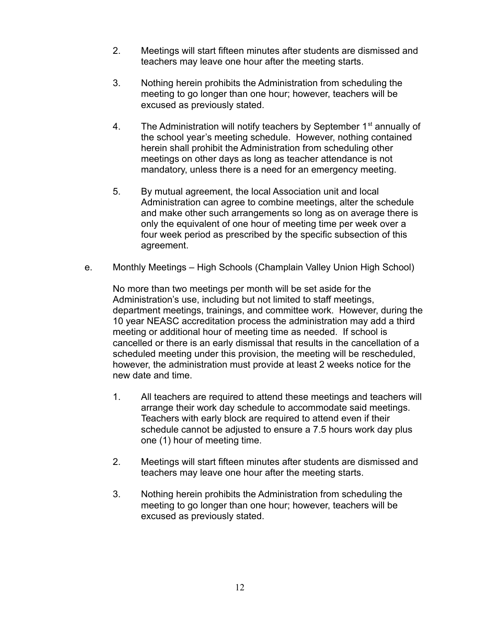- 2. Meetings will start fifteen minutes after students are dismissed and teachers may leave one hour after the meeting starts.
- 3. Nothing herein prohibits the Administration from scheduling the meeting to go longer than one hour; however, teachers will be excused as previously stated.
- 4. The Administration will notify teachers by September  $1<sup>st</sup>$  annually of the school year's meeting schedule. However, nothing contained herein shall prohibit the Administration from scheduling other meetings on other days as long as teacher attendance is not mandatory, unless there is a need for an emergency meeting.
- 5. By mutual agreement, the local Association unit and local Administration can agree to combine meetings, alter the schedule and make other such arrangements so long as on average there is only the equivalent of one hour of meeting time per week over a four week period as prescribed by the specific subsection of this agreement.
- e. Monthly Meetings High Schools (Champlain Valley Union High School)

No more than two meetings per month will be set aside for the Administration's use, including but not limited to staff meetings, department meetings, trainings, and committee work. However, during the 10 year NEASC accreditation process the administration may add a third meeting or additional hour of meeting time as needed. If school is cancelled or there is an early dismissal that results in the cancellation of a scheduled meeting under this provision, the meeting will be rescheduled, however, the administration must provide at least 2 weeks notice for the new date and time.

- 1. All teachers are required to attend these meetings and teachers will arrange their work day schedule to accommodate said meetings. Teachers with early block are required to attend even if their schedule cannot be adjusted to ensure a 7.5 hours work day plus one (1) hour of meeting time.
- 2. Meetings will start fifteen minutes after students are dismissed and teachers may leave one hour after the meeting starts.
- 3. Nothing herein prohibits the Administration from scheduling the meeting to go longer than one hour; however, teachers will be excused as previously stated.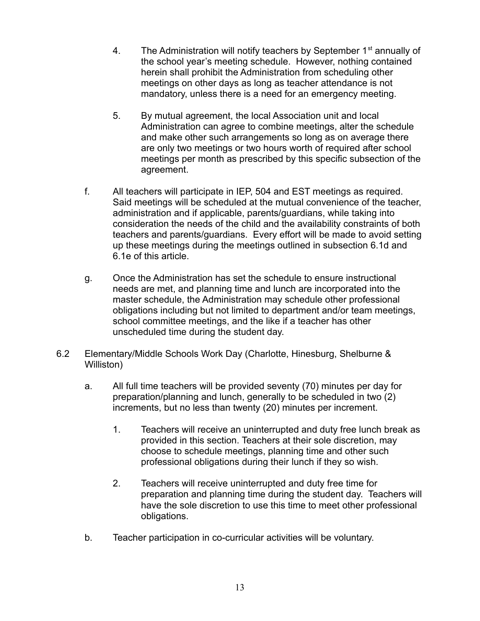- 4. The Administration will notify teachers by September  $1<sup>st</sup>$  annually of the school year's meeting schedule. However, nothing contained herein shall prohibit the Administration from scheduling other meetings on other days as long as teacher attendance is not mandatory, unless there is a need for an emergency meeting.
- 5. By mutual agreement, the local Association unit and local Administration can agree to combine meetings, alter the schedule and make other such arrangements so long as on average there are only two meetings or two hours worth of required after school meetings per month as prescribed by this specific subsection of the agreement.
- f. All teachers will participate in IEP, 504 and EST meetings as required. Said meetings will be scheduled at the mutual convenience of the teacher, administration and if applicable, parents/guardians, while taking into consideration the needs of the child and the availability constraints of both teachers and parents/guardians. Every effort will be made to avoid setting up these meetings during the meetings outlined in subsection 6.1d and 6.1e of this article.
- g. Once the Administration has set the schedule to ensure instructional needs are met, and planning time and lunch are incorporated into the master schedule, the Administration may schedule other professional obligations including but not limited to department and/or team meetings, school committee meetings, and the like if a teacher has other unscheduled time during the student day.
- 6.2 Elementary/Middle Schools Work Day (Charlotte, Hinesburg, Shelburne & Williston)
	- a. All full time teachers will be provided seventy (70) minutes per day for preparation/planning and lunch, generally to be scheduled in two (2) increments, but no less than twenty (20) minutes per increment.
		- 1. Teachers will receive an uninterrupted and duty free lunch break as provided in this section. Teachers at their sole discretion, may choose to schedule meetings, planning time and other such professional obligations during their lunch if they so wish.
		- 2. Teachers will receive uninterrupted and duty free time for preparation and planning time during the student day. Teachers will have the sole discretion to use this time to meet other professional obligations.
	- b. Teacher participation in co-curricular activities will be voluntary.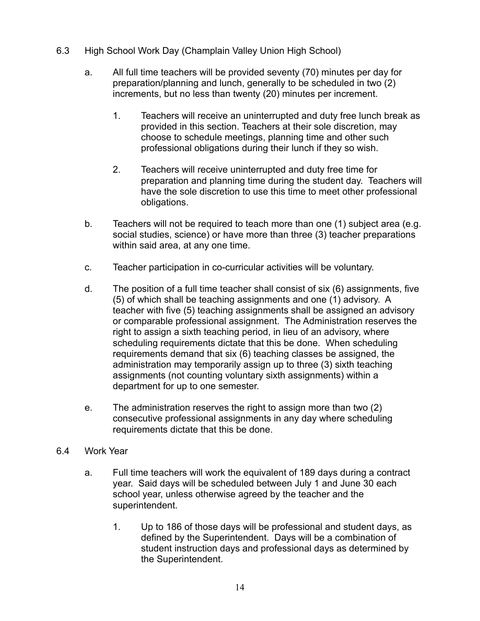- 6.3 High School Work Day (Champlain Valley Union High School)
	- a. All full time teachers will be provided seventy (70) minutes per day for preparation/planning and lunch, generally to be scheduled in two (2) increments, but no less than twenty (20) minutes per increment.
		- 1. Teachers will receive an uninterrupted and duty free lunch break as provided in this section. Teachers at their sole discretion, may choose to schedule meetings, planning time and other such professional obligations during their lunch if they so wish.
		- 2. Teachers will receive uninterrupted and duty free time for preparation and planning time during the student day. Teachers will have the sole discretion to use this time to meet other professional obligations.
	- b. Teachers will not be required to teach more than one (1) subject area (e.g. social studies, science) or have more than three (3) teacher preparations within said area, at any one time.
	- c. Teacher participation in co-curricular activities will be voluntary.
	- d. The position of a full time teacher shall consist of six (6) assignments, five (5) of which shall be teaching assignments and one (1) advisory. A teacher with five (5) teaching assignments shall be assigned an advisory or comparable professional assignment. The Administration reserves the right to assign a sixth teaching period, in lieu of an advisory, where scheduling requirements dictate that this be done. When scheduling requirements demand that six (6) teaching classes be assigned, the administration may temporarily assign up to three (3) sixth teaching assignments (not counting voluntary sixth assignments) within a department for up to one semester.
	- e. The administration reserves the right to assign more than two (2) consecutive professional assignments in any day where scheduling requirements dictate that this be done.
- 6.4 Work Year
	- a. Full time teachers will work the equivalent of 189 days during a contract year. Said days will be scheduled between July 1 and June 30 each school year, unless otherwise agreed by the teacher and the superintendent.
		- 1. Up to 186 of those days will be professional and student days, as defined by the Superintendent. Days will be a combination of student instruction days and professional days as determined by the Superintendent.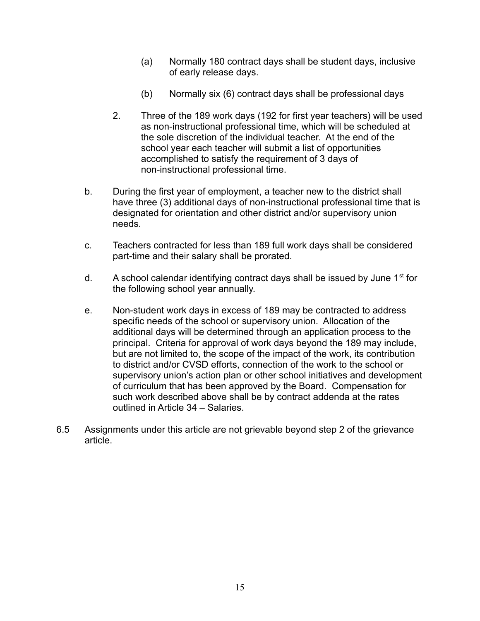- (a) Normally 180 contract days shall be student days, inclusive of early release days.
- (b) Normally six (6) contract days shall be professional days
- 2. Three of the 189 work days (192 for first year teachers) will be used as non-instructional professional time, which will be scheduled at the sole discretion of the individual teacher. At the end of the school year each teacher will submit a list of opportunities accomplished to satisfy the requirement of 3 days of non-instructional professional time.
- b. During the first year of employment, a teacher new to the district shall have three (3) additional days of non-instructional professional time that is designated for orientation and other district and/or supervisory union needs.
- c. Teachers contracted for less than 189 full work days shall be considered part-time and their salary shall be prorated.
- d. A school calendar identifying contract days shall be issued by June  $1<sup>st</sup>$  for the following school year annually.
- e. Non-student work days in excess of 189 may be contracted to address specific needs of the school or supervisory union. Allocation of the additional days will be determined through an application process to the principal. Criteria for approval of work days beyond the 189 may include, but are not limited to, the scope of the impact of the work, its contribution to district and/or CVSD efforts, connection of the work to the school or supervisory union's action plan or other school initiatives and development of curriculum that has been approved by the Board. Compensation for such work described above shall be by contract addenda at the rates outlined in Article 34 – Salaries.
- 6.5 Assignments under this article are not grievable beyond step 2 of the grievance article.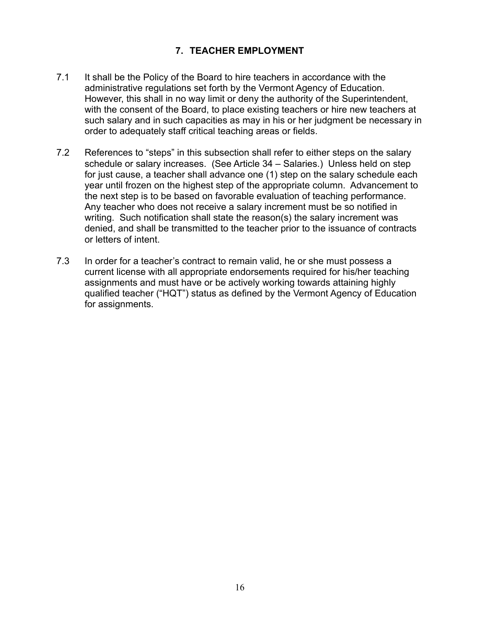## **7. TEACHER EMPLOYMENT**

- <span id="page-15-0"></span>7.1 It shall be the Policy of the Board to hire teachers in accordance with the administrative regulations set forth by the Vermont Agency of Education. However, this shall in no way limit or deny the authority of the Superintendent, with the consent of the Board, to place existing teachers or hire new teachers at such salary and in such capacities as may in his or her judgment be necessary in order to adequately staff critical teaching areas or fields.
- 7.2 References to "steps" in this subsection shall refer to either steps on the salary schedule or salary increases. (See Article 34 – Salaries.) Unless held on step for just cause, a teacher shall advance one (1) step on the salary schedule each year until frozen on the highest step of the appropriate column. Advancement to the next step is to be based on favorable evaluation of teaching performance. Any teacher who does not receive a salary increment must be so notified in writing. Such notification shall state the reason(s) the salary increment was denied, and shall be transmitted to the teacher prior to the issuance of contracts or letters of intent.
- 7.3 In order for a teacher's contract to remain valid, he or she must possess a current license with all appropriate endorsements required for his/her teaching assignments and must have or be actively working towards attaining highly qualified teacher ("HQT") status as defined by the Vermont Agency of Education for assignments.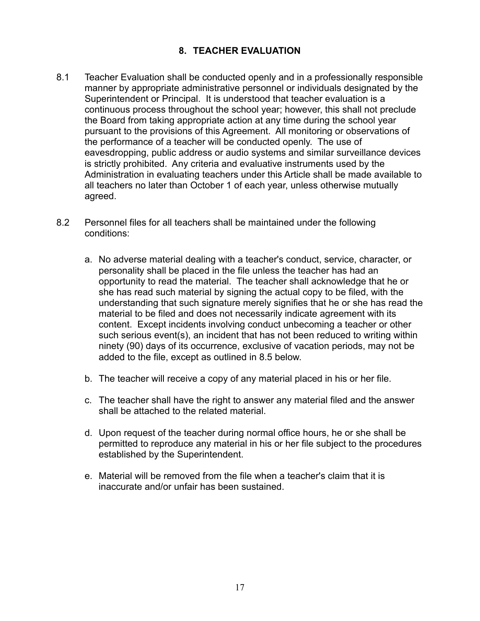## **8. TEACHER EVALUATION**

- <span id="page-16-0"></span>8.1 Teacher Evaluation shall be conducted openly and in a professionally responsible manner by appropriate administrative personnel or individuals designated by the Superintendent or Principal. It is understood that teacher evaluation is a continuous process throughout the school year; however, this shall not preclude the Board from taking appropriate action at any time during the school year pursuant to the provisions of this Agreement. All monitoring or observations of the performance of a teacher will be conducted openly. The use of eavesdropping, public address or audio systems and similar surveillance devices is strictly prohibited. Any criteria and evaluative instruments used by the Administration in evaluating teachers under this Article shall be made available to all teachers no later than October 1 of each year, unless otherwise mutually agreed.
- 8.2 Personnel files for all teachers shall be maintained under the following conditions:
	- a. No adverse material dealing with a teacher's conduct, service, character, or personality shall be placed in the file unless the teacher has had an opportunity to read the material. The teacher shall acknowledge that he or she has read such material by signing the actual copy to be filed, with the understanding that such signature merely signifies that he or she has read the material to be filed and does not necessarily indicate agreement with its content. Except incidents involving conduct unbecoming a teacher or other such serious event(s), an incident that has not been reduced to writing within ninety (90) days of its occurrence, exclusive of vacation periods, may not be added to the file, except as outlined in 8.5 below.
	- b. The teacher will receive a copy of any material placed in his or her file.
	- c. The teacher shall have the right to answer any material filed and the answer shall be attached to the related material.
	- d. Upon request of the teacher during normal office hours, he or she shall be permitted to reproduce any material in his or her file subject to the procedures established by the Superintendent.
	- e. Material will be removed from the file when a teacher's claim that it is inaccurate and/or unfair has been sustained.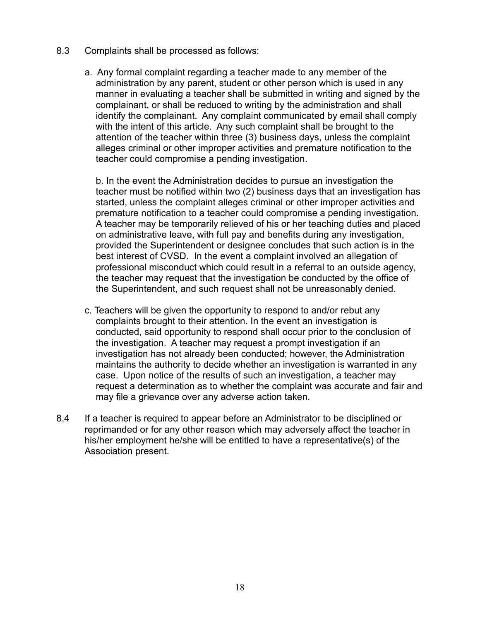- 8.3 Complaints shall be processed as follows:
	- a. Any formal complaint regarding a teacher made to any member of the administration by any parent, student or other person which is used in any manner in evaluating a teacher shall be submitted in writing and signed by the complainant, or shall be reduced to writing by the administration and shall identify the complainant. Any complaint communicated by email shall comply with the intent of this article. Any such complaint shall be brought to the attention of the teacher within three (3) business days, unless the complaint alleges criminal or other improper activities and premature notification to the teacher could compromise a pending investigation.

b. In the event the Administration decides to pursue an investigation the teacher must be notified within two (2) business days that an investigation has started, unless the complaint alleges criminal or other improper activities and premature notification to a teacher could compromise a pending investigation. A teacher may be temporarily relieved of his or her teaching duties and placed on administrative leave, with full pay and benefits during any investigation, provided the Superintendent or designee concludes that such action is in the best interest of CVSD. In the event a complaint involved an allegation of professional misconduct which could result in a referral to an outside agency, the teacher may request that the investigation be conducted by the office of the Superintendent, and such request shall not be unreasonably denied.

- c. Teachers will be given the opportunity to respond to and/or rebut any complaints brought to their attention. In the event an investigation is conducted, said opportunity to respond shall occur prior to the conclusion of the investigation. A teacher may request a prompt investigation if an investigation has not already been conducted; however, the Administration maintains the authority to decide whether an investigation is warranted in any case. Upon notice of the results of such an investigation, a teacher may request a determination as to whether the complaint was accurate and fair and may file a grievance over any adverse action taken.
- 8.4 If a teacher is required to appear before an Administrator to be disciplined or reprimanded or for any other reason which may adversely affect the teacher in his/her employment he/she will be entitled to have a representative(s) of the Association present.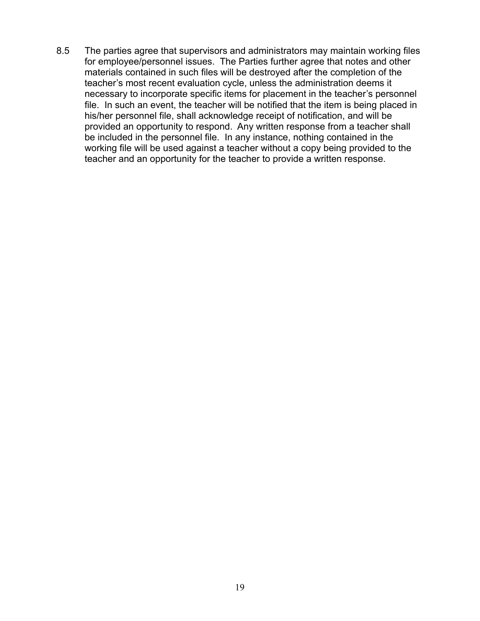8.5 The parties agree that supervisors and administrators may maintain working files for employee/personnel issues. The Parties further agree that notes and other materials contained in such files will be destroyed after the completion of the teacher's most recent evaluation cycle, unless the administration deems it necessary to incorporate specific items for placement in the teacher's personnel file. In such an event, the teacher will be notified that the item is being placed in his/her personnel file, shall acknowledge receipt of notification, and will be provided an opportunity to respond. Any written response from a teacher shall be included in the personnel file. In any instance, nothing contained in the working file will be used against a teacher without a copy being provided to the teacher and an opportunity for the teacher to provide a written response.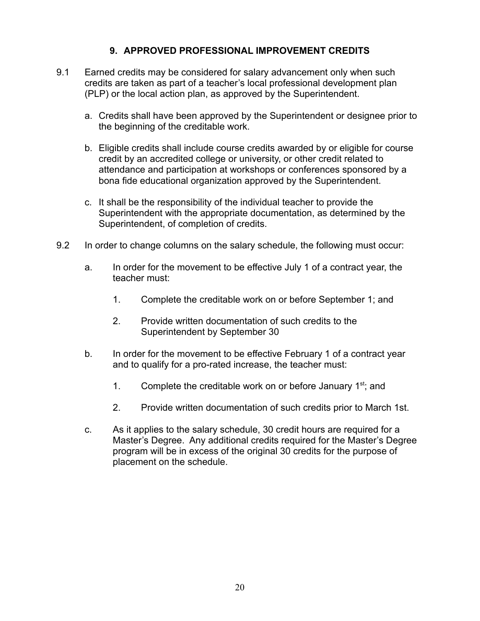### **9. APPROVED PROFESSIONAL IMPROVEMENT CREDITS**

- <span id="page-19-0"></span>9.1 Earned credits may be considered for salary advancement only when such credits are taken as part of a teacher's local professional development plan (PLP) or the local action plan, as approved by the Superintendent.
	- a. Credits shall have been approved by the Superintendent or designee prior to the beginning of the creditable work.
	- b. Eligible credits shall include course credits awarded by or eligible for course credit by an accredited college or university, or other credit related to attendance and participation at workshops or conferences sponsored by a bona fide educational organization approved by the Superintendent.
	- c. It shall be the responsibility of the individual teacher to provide the Superintendent with the appropriate documentation, as determined by the Superintendent, of completion of credits.
- 9.2 In order to change columns on the salary schedule, the following must occur:
	- a. In order for the movement to be effective July 1 of a contract year, the teacher must:
		- 1. Complete the creditable work on or before September 1; and
		- 2. Provide written documentation of such credits to the Superintendent by September 30
	- b. In order for the movement to be effective February 1 of a contract year and to qualify for a pro-rated increase, the teacher must:
		- 1. Complete the creditable work on or before January 1<sup>st</sup>; and
		- 2. Provide written documentation of such credits prior to March 1st.
	- c. As it applies to the salary schedule, 30 credit hours are required for a Master's Degree. Any additional credits required for the Master's Degree program will be in excess of the original 30 credits for the purpose of placement on the schedule.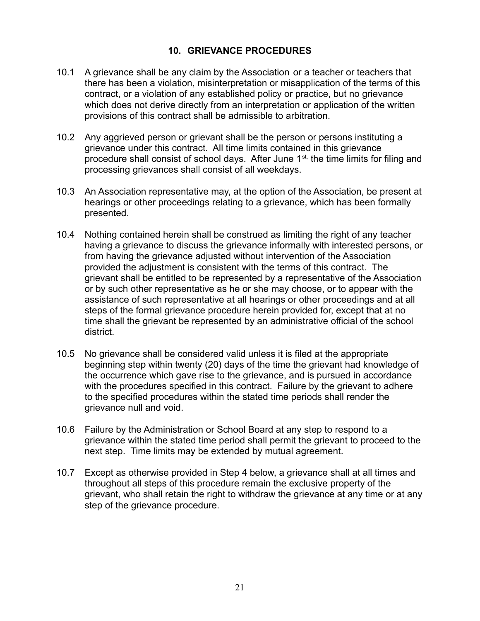#### **10. GRIEVANCE PROCEDURES**

- <span id="page-20-0"></span>10.1 A grievance shall be any claim by the Association or a teacher or teachers that there has been a violation, misinterpretation or misapplication of the terms of this contract, or a violation of any established policy or practice, but no grievance which does not derive directly from an interpretation or application of the written provisions of this contract shall be admissible to arbitration.
- 10.2 Any aggrieved person or grievant shall be the person or persons instituting a grievance under this contract. All time limits contained in this grievance procedure shall consist of school days. After June  $1<sup>st</sup>$ , the time limits for filing and processing grievances shall consist of all weekdays.
- 10.3 An Association representative may, at the option of the Association, be present at hearings or other proceedings relating to a grievance, which has been formally presented.
- 10.4 Nothing contained herein shall be construed as limiting the right of any teacher having a grievance to discuss the grievance informally with interested persons, or from having the grievance adjusted without intervention of the Association provided the adjustment is consistent with the terms of this contract. The grievant shall be entitled to be represented by a representative of the Association or by such other representative as he or she may choose, or to appear with the assistance of such representative at all hearings or other proceedings and at all steps of the formal grievance procedure herein provided for, except that at no time shall the grievant be represented by an administrative official of the school district.
- 10.5 No grievance shall be considered valid unless it is filed at the appropriate beginning step within twenty (20) days of the time the grievant had knowledge of the occurrence which gave rise to the grievance, and is pursued in accordance with the procedures specified in this contract. Failure by the grievant to adhere to the specified procedures within the stated time periods shall render the grievance null and void.
- 10.6 Failure by the Administration or School Board at any step to respond to a grievance within the stated time period shall permit the grievant to proceed to the next step. Time limits may be extended by mutual agreement.
- 10.7 Except as otherwise provided in Step 4 below, a grievance shall at all times and throughout all steps of this procedure remain the exclusive property of the grievant, who shall retain the right to withdraw the grievance at any time or at any step of the grievance procedure.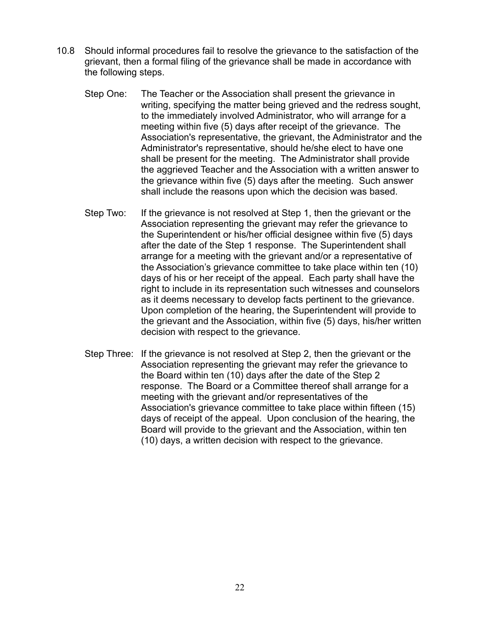- 10.8 Should informal procedures fail to resolve the grievance to the satisfaction of the grievant, then a formal filing of the grievance shall be made in accordance with the following steps.
	- Step One: The Teacher or the Association shall present the grievance in writing, specifying the matter being grieved and the redress sought, to the immediately involved Administrator, who will arrange for a meeting within five (5) days after receipt of the grievance. The Association's representative, the grievant, the Administrator and the Administrator's representative, should he/she elect to have one shall be present for the meeting. The Administrator shall provide the aggrieved Teacher and the Association with a written answer to the grievance within five (5) days after the meeting. Such answer shall include the reasons upon which the decision was based.
	- Step Two: If the grievance is not resolved at Step 1, then the grievant or the Association representing the grievant may refer the grievance to the Superintendent or his/her official designee within five (5) days after the date of the Step 1 response. The Superintendent shall arrange for a meeting with the grievant and/or a representative of the Association's grievance committee to take place within ten (10) days of his or her receipt of the appeal. Each party shall have the right to include in its representation such witnesses and counselors as it deems necessary to develop facts pertinent to the grievance. Upon completion of the hearing, the Superintendent will provide to the grievant and the Association, within five (5) days, his/her written decision with respect to the grievance.
	- Step Three: If the grievance is not resolved at Step 2, then the grievant or the Association representing the grievant may refer the grievance to the Board within ten (10) days after the date of the Step 2 response. The Board or a Committee thereof shall arrange for a meeting with the grievant and/or representatives of the Association's grievance committee to take place within fifteen (15) days of receipt of the appeal. Upon conclusion of the hearing, the Board will provide to the grievant and the Association, within ten (10) days, a written decision with respect to the grievance.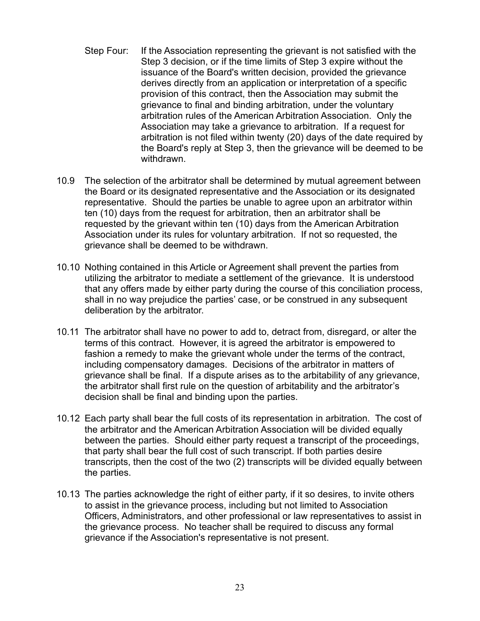- Step Four: If the Association representing the grievant is not satisfied with the Step 3 decision, or if the time limits of Step 3 expire without the issuance of the Board's written decision, provided the grievance derives directly from an application or interpretation of a specific provision of this contract, then the Association may submit the grievance to final and binding arbitration, under the voluntary arbitration rules of the American Arbitration Association. Only the Association may take a grievance to arbitration. If a request for arbitration is not filed within twenty (20) days of the date required by the Board's reply at Step 3, then the grievance will be deemed to be withdrawn.
- 10.9 The selection of the arbitrator shall be determined by mutual agreement between the Board or its designated representative and the Association or its designated representative. Should the parties be unable to agree upon an arbitrator within ten (10) days from the request for arbitration, then an arbitrator shall be requested by the grievant within ten (10) days from the American Arbitration Association under its rules for voluntary arbitration. If not so requested, the grievance shall be deemed to be withdrawn.
- 10.10 Nothing contained in this Article or Agreement shall prevent the parties from utilizing the arbitrator to mediate a settlement of the grievance. It is understood that any offers made by either party during the course of this conciliation process, shall in no way prejudice the parties' case, or be construed in any subsequent deliberation by the arbitrator.
- 10.11 The arbitrator shall have no power to add to, detract from, disregard, or alter the terms of this contract. However, it is agreed the arbitrator is empowered to fashion a remedy to make the grievant whole under the terms of the contract, including compensatory damages. Decisions of the arbitrator in matters of grievance shall be final. If a dispute arises as to the arbitability of any grievance, the arbitrator shall first rule on the question of arbitability and the arbitrator's decision shall be final and binding upon the parties.
- 10.12 Each party shall bear the full costs of its representation in arbitration. The cost of the arbitrator and the American Arbitration Association will be divided equally between the parties. Should either party request a transcript of the proceedings, that party shall bear the full cost of such transcript. If both parties desire transcripts, then the cost of the two (2) transcripts will be divided equally between the parties.
- 10.13 The parties acknowledge the right of either party, if it so desires, to invite others to assist in the grievance process, including but not limited to Association Officers, Administrators, and other professional or law representatives to assist in the grievance process. No teacher shall be required to discuss any formal grievance if the Association's representative is not present.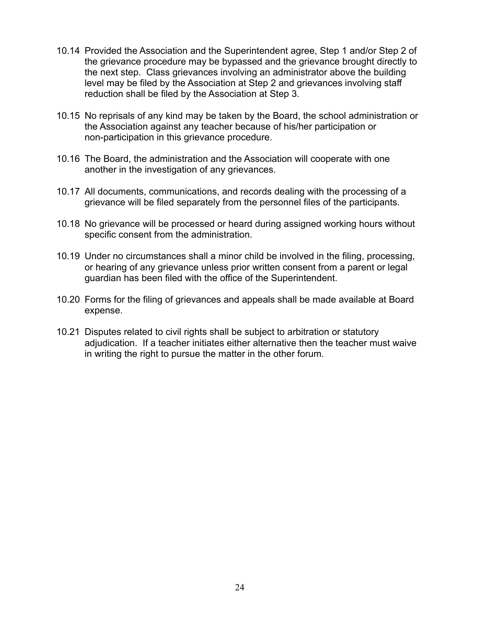- 10.14 Provided the Association and the Superintendent agree, Step 1 and/or Step 2 of the grievance procedure may be bypassed and the grievance brought directly to the next step. Class grievances involving an administrator above the building level may be filed by the Association at Step 2 and grievances involving staff reduction shall be filed by the Association at Step 3.
- 10.15 No reprisals of any kind may be taken by the Board, the school administration or the Association against any teacher because of his/her participation or non-participation in this grievance procedure.
- 10.16 The Board, the administration and the Association will cooperate with one another in the investigation of any grievances.
- 10.17 All documents, communications, and records dealing with the processing of a grievance will be filed separately from the personnel files of the participants.
- 10.18 No grievance will be processed or heard during assigned working hours without specific consent from the administration.
- 10.19 Under no circumstances shall a minor child be involved in the filing, processing, or hearing of any grievance unless prior written consent from a parent or legal guardian has been filed with the office of the Superintendent.
- 10.20 Forms for the filing of grievances and appeals shall be made available at Board expense.
- 10.21 Disputes related to civil rights shall be subject to arbitration or statutory adjudication. If a teacher initiates either alternative then the teacher must waive in writing the right to pursue the matter in the other forum.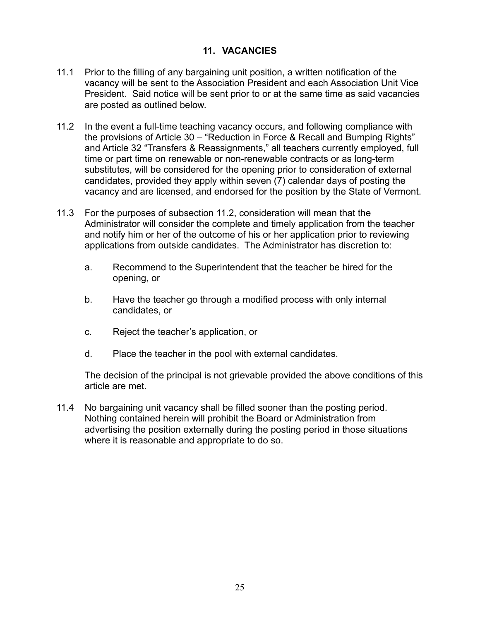#### **11. VACANCIES**

- <span id="page-24-0"></span>11.1 Prior to the filling of any bargaining unit position, a written notification of the vacancy will be sent to the Association President and each Association Unit Vice President. Said notice will be sent prior to or at the same time as said vacancies are posted as outlined below.
- 11.2 In the event a full-time teaching vacancy occurs, and following compliance with the provisions of Article 30 – "Reduction in Force & Recall and Bumping Rights" and Article 32 "Transfers & Reassignments," all teachers currently employed, full time or part time on renewable or non-renewable contracts or as long-term substitutes, will be considered for the opening prior to consideration of external candidates, provided they apply within seven (7) calendar days of posting the vacancy and are licensed, and endorsed for the position by the State of Vermont.
- 11.3 For the purposes of subsection 11.2, consideration will mean that the Administrator will consider the complete and timely application from the teacher and notify him or her of the outcome of his or her application prior to reviewing applications from outside candidates. The Administrator has discretion to:
	- a. Recommend to the Superintendent that the teacher be hired for the opening, or
	- b. Have the teacher go through a modified process with only internal candidates, or
	- c. Reject the teacher's application, or
	- d. Place the teacher in the pool with external candidates.

The decision of the principal is not grievable provided the above conditions of this article are met.

11.4 No bargaining unit vacancy shall be filled sooner than the posting period. Nothing contained herein will prohibit the Board or Administration from advertising the position externally during the posting period in those situations where it is reasonable and appropriate to do so.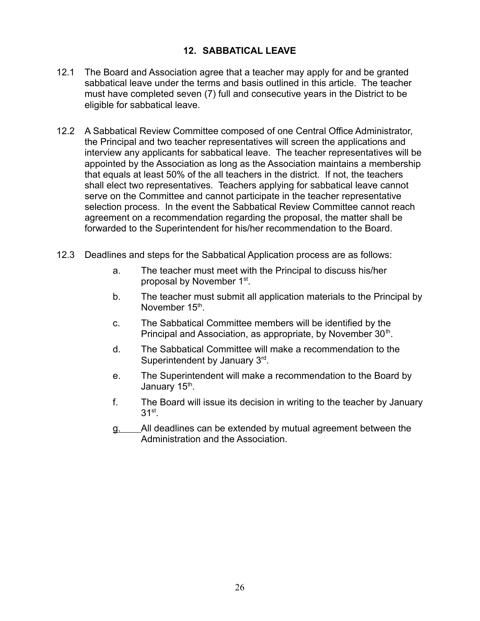### **12. SABBATICAL LEAVE**

- <span id="page-25-0"></span>12.1 The Board and Association agree that a teacher may apply for and be granted sabbatical leave under the terms and basis outlined in this article. The teacher must have completed seven (7) full and consecutive years in the District to be eligible for sabbatical leave.
- 12.2 A Sabbatical Review Committee composed of one Central Office Administrator, the Principal and two teacher representatives will screen the applications and interview any applicants for sabbatical leave. The teacher representatives will be appointed by the Association as long as the Association maintains a membership that equals at least 50% of the all teachers in the district. If not, the teachers shall elect two representatives. Teachers applying for sabbatical leave cannot serve on the Committee and cannot participate in the teacher representative selection process. In the event the Sabbatical Review Committee cannot reach agreement on a recommendation regarding the proposal, the matter shall be forwarded to the Superintendent for his/her recommendation to the Board.
- 12.3 Deadlines and steps for the Sabbatical Application process are as follows:
	- a. The teacher must meet with the Principal to discuss his/her proposal by November 1<sup>st</sup>.
	- b. The teacher must submit all application materials to the Principal by November 15<sup>th</sup>.
	- c. The Sabbatical Committee members will be identified by the Principal and Association, as appropriate, by November 30<sup>th</sup>.
	- d. The Sabbatical Committee will make a recommendation to the Superintendent by January  $3<sup>rd</sup>$ .
	- e. The Superintendent will make a recommendation to the Board by January 15<sup>th</sup>.
	- f. The Board will issue its decision in writing to the teacher by January  $31<sup>st</sup>$ .
	- g. All deadlines can be extended by mutual agreement between the Administration and the Association.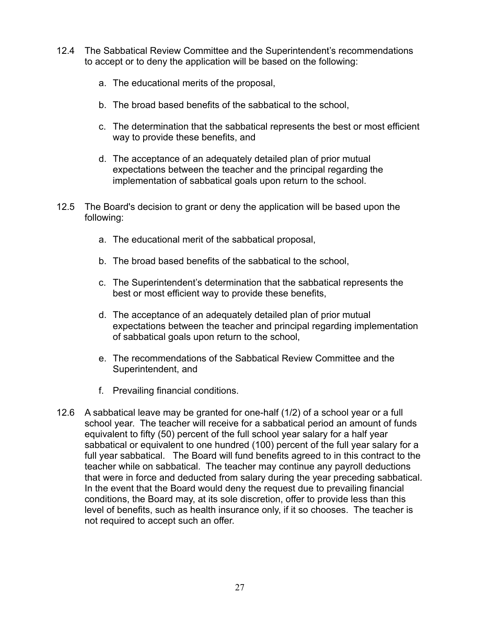- 12.4 The Sabbatical Review Committee and the Superintendent's recommendations to accept or to deny the application will be based on the following:
	- a. The educational merits of the proposal,
	- b. The broad based benefits of the sabbatical to the school,
	- c. The determination that the sabbatical represents the best or most efficient way to provide these benefits, and
	- d. The acceptance of an adequately detailed plan of prior mutual expectations between the teacher and the principal regarding the implementation of sabbatical goals upon return to the school.
- 12.5 The Board's decision to grant or deny the application will be based upon the following:
	- a. The educational merit of the sabbatical proposal,
	- b. The broad based benefits of the sabbatical to the school,
	- c. The Superintendent's determination that the sabbatical represents the best or most efficient way to provide these benefits,
	- d. The acceptance of an adequately detailed plan of prior mutual expectations between the teacher and principal regarding implementation of sabbatical goals upon return to the school,
	- e. The recommendations of the Sabbatical Review Committee and the Superintendent, and
	- f. Prevailing financial conditions.
- 12.6 A sabbatical leave may be granted for one-half (1/2) of a school year or a full school year. The teacher will receive for a sabbatical period an amount of funds equivalent to fifty (50) percent of the full school year salary for a half year sabbatical or equivalent to one hundred (100) percent of the full year salary for a full year sabbatical. The Board will fund benefits agreed to in this contract to the teacher while on sabbatical. The teacher may continue any payroll deductions that were in force and deducted from salary during the year preceding sabbatical. In the event that the Board would deny the request due to prevailing financial conditions, the Board may, at its sole discretion, offer to provide less than this level of benefits, such as health insurance only, if it so chooses. The teacher is not required to accept such an offer.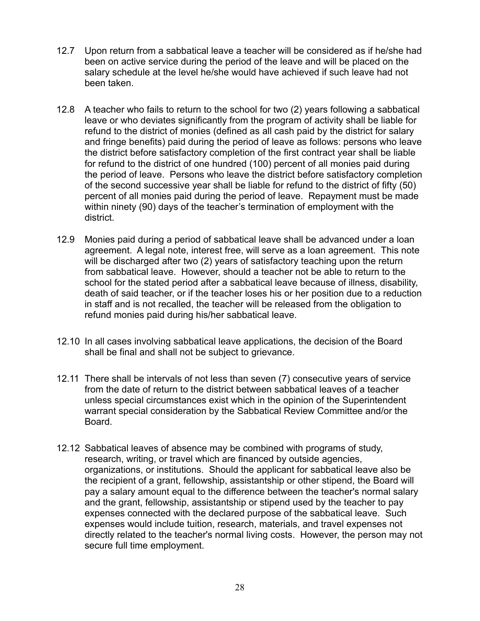- 12.7 Upon return from a sabbatical leave a teacher will be considered as if he/she had been on active service during the period of the leave and will be placed on the salary schedule at the level he/she would have achieved if such leave had not been taken.
- 12.8 A teacher who fails to return to the school for two (2) years following a sabbatical leave or who deviates significantly from the program of activity shall be liable for refund to the district of monies (defined as all cash paid by the district for salary and fringe benefits) paid during the period of leave as follows: persons who leave the district before satisfactory completion of the first contract year shall be liable for refund to the district of one hundred (100) percent of all monies paid during the period of leave. Persons who leave the district before satisfactory completion of the second successive year shall be liable for refund to the district of fifty (50) percent of all monies paid during the period of leave. Repayment must be made within ninety (90) days of the teacher's termination of employment with the district.
- 12.9 Monies paid during a period of sabbatical leave shall be advanced under a loan agreement. A legal note, interest free, will serve as a loan agreement. This note will be discharged after two (2) years of satisfactory teaching upon the return from sabbatical leave. However, should a teacher not be able to return to the school for the stated period after a sabbatical leave because of illness, disability, death of said teacher, or if the teacher loses his or her position due to a reduction in staff and is not recalled, the teacher will be released from the obligation to refund monies paid during his/her sabbatical leave.
- 12.10 In all cases involving sabbatical leave applications, the decision of the Board shall be final and shall not be subject to grievance.
- 12.11 There shall be intervals of not less than seven (7) consecutive years of service from the date of return to the district between sabbatical leaves of a teacher unless special circumstances exist which in the opinion of the Superintendent warrant special consideration by the Sabbatical Review Committee and/or the Board.
- 12.12 Sabbatical leaves of absence may be combined with programs of study, research, writing, or travel which are financed by outside agencies, organizations, or institutions. Should the applicant for sabbatical leave also be the recipient of a grant, fellowship, assistantship or other stipend, the Board will pay a salary amount equal to the difference between the teacher's normal salary and the grant, fellowship, assistantship or stipend used by the teacher to pay expenses connected with the declared purpose of the sabbatical leave. Such expenses would include tuition, research, materials, and travel expenses not directly related to the teacher's normal living costs. However, the person may not secure full time employment.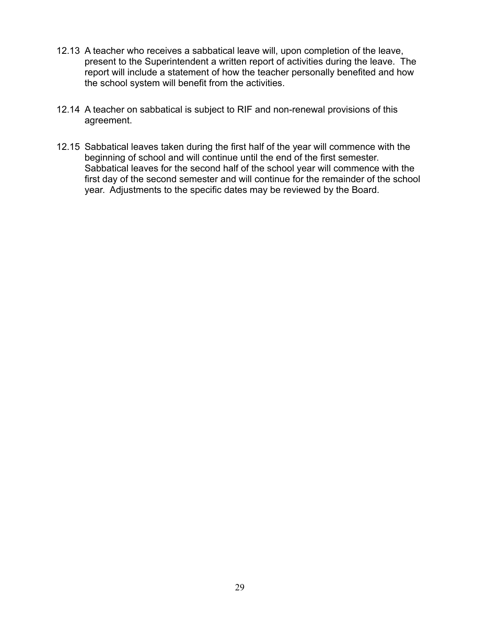- 12.13 A teacher who receives a sabbatical leave will, upon completion of the leave, present to the Superintendent a written report of activities during the leave. The report will include a statement of how the teacher personally benefited and how the school system will benefit from the activities.
- 12.14 A teacher on sabbatical is subject to RIF and non-renewal provisions of this agreement.
- 12.15 Sabbatical leaves taken during the first half of the year will commence with the beginning of school and will continue until the end of the first semester. Sabbatical leaves for the second half of the school year will commence with the first day of the second semester and will continue for the remainder of the school year. Adjustments to the specific dates may be reviewed by the Board.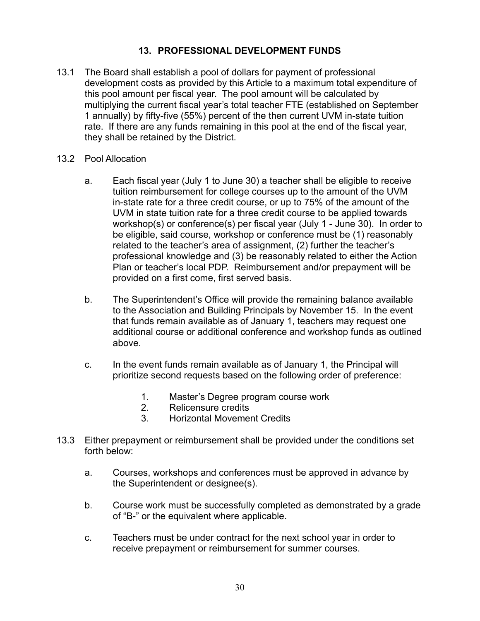#### **13. PROFESSIONAL DEVELOPMENT FUNDS**

- <span id="page-29-0"></span>13.1 The Board shall establish a pool of dollars for payment of professional development costs as provided by this Article to a maximum total expenditure of this pool amount per fiscal year. The pool amount will be calculated by multiplying the current fiscal year's total teacher FTE (established on September 1 annually) by fifty-five (55%) percent of the then current UVM in-state tuition rate. If there are any funds remaining in this pool at the end of the fiscal year, they shall be retained by the District.
- 13.2 Pool Allocation
	- a. Each fiscal year (July 1 to June 30) a teacher shall be eligible to receive tuition reimbursement for college courses up to the amount of the UVM in-state rate for a three credit course, or up to 75% of the amount of the UVM in state tuition rate for a three credit course to be applied towards workshop(s) or conference(s) per fiscal year (July 1 - June 30). In order to be eligible, said course, workshop or conference must be (1) reasonably related to the teacher's area of assignment, (2) further the teacher's professional knowledge and (3) be reasonably related to either the Action Plan or teacher's local PDP. Reimbursement and/or prepayment will be provided on a first come, first served basis.
	- b. The Superintendent's Office will provide the remaining balance available to the Association and Building Principals by November 15. In the event that funds remain available as of January 1, teachers may request one additional course or additional conference and workshop funds as outlined above.
	- c. In the event funds remain available as of January 1, the Principal will prioritize second requests based on the following order of preference:
		- 1. Master's Degree program course work
		- 2. Relicensure credits
		- 3. Horizontal Movement Credits
- 13.3 Either prepayment or reimbursement shall be provided under the conditions set forth below:
	- a. Courses, workshops and conferences must be approved in advance by the Superintendent or designee(s).
	- b. Course work must be successfully completed as demonstrated by a grade of "B-" or the equivalent where applicable.
	- c. Teachers must be under contract for the next school year in order to receive prepayment or reimbursement for summer courses.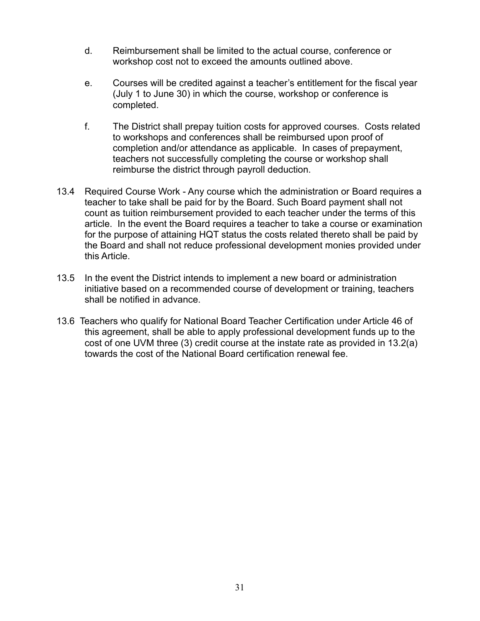- d. Reimbursement shall be limited to the actual course, conference or workshop cost not to exceed the amounts outlined above.
- e. Courses will be credited against a teacher's entitlement for the fiscal year (July 1 to June 30) in which the course, workshop or conference is completed.
- f. The District shall prepay tuition costs for approved courses. Costs related to workshops and conferences shall be reimbursed upon proof of completion and/or attendance as applicable. In cases of prepayment, teachers not successfully completing the course or workshop shall reimburse the district through payroll deduction.
- 13.4 Required Course Work Any course which the administration or Board requires a teacher to take shall be paid for by the Board. Such Board payment shall not count as tuition reimbursement provided to each teacher under the terms of this article. In the event the Board requires a teacher to take a course or examination for the purpose of attaining HQT status the costs related thereto shall be paid by the Board and shall not reduce professional development monies provided under this Article.
- 13.5 In the event the District intends to implement a new board or administration initiative based on a recommended course of development or training, teachers shall be notified in advance.
- 13.6 Teachers who qualify for National Board Teacher Certification under Article 46 of this agreement, shall be able to apply professional development funds up to the cost of one UVM three (3) credit course at the instate rate as provided in 13.2(a) towards the cost of the National Board certification renewal fee.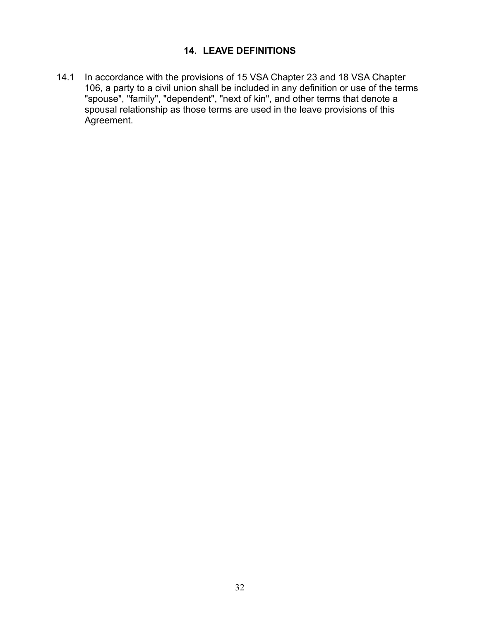#### **14. LEAVE DEFINITIONS**

<span id="page-31-0"></span>14.1 In accordance with the provisions of 15 VSA Chapter 23 and 18 VSA Chapter 106, a party to a civil union shall be included in any definition or use of the terms "spouse", "family", "dependent", "next of kin", and other terms that denote a spousal relationship as those terms are used in the leave provisions of this Agreement.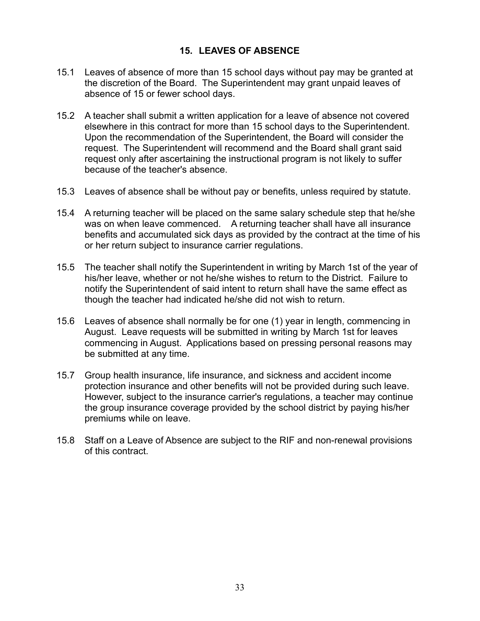### **15. LEAVES OF ABSENCE**

- <span id="page-32-0"></span>15.1 Leaves of absence of more than 15 school days without pay may be granted at the discretion of the Board. The Superintendent may grant unpaid leaves of absence of 15 or fewer school days.
- 15.2 A teacher shall submit a written application for a leave of absence not covered elsewhere in this contract for more than 15 school days to the Superintendent. Upon the recommendation of the Superintendent, the Board will consider the request. The Superintendent will recommend and the Board shall grant said request only after ascertaining the instructional program is not likely to suffer because of the teacher's absence.
- 15.3 Leaves of absence shall be without pay or benefits, unless required by statute.
- 15.4 A returning teacher will be placed on the same salary schedule step that he/she was on when leave commenced. A returning teacher shall have all insurance benefits and accumulated sick days as provided by the contract at the time of his or her return subject to insurance carrier regulations.
- 15.5 The teacher shall notify the Superintendent in writing by March 1st of the year of his/her leave, whether or not he/she wishes to return to the District. Failure to notify the Superintendent of said intent to return shall have the same effect as though the teacher had indicated he/she did not wish to return.
- 15.6 Leaves of absence shall normally be for one (1) year in length, commencing in August. Leave requests will be submitted in writing by March 1st for leaves commencing in August. Applications based on pressing personal reasons may be submitted at any time.
- 15.7 Group health insurance, life insurance, and sickness and accident income protection insurance and other benefits will not be provided during such leave. However, subject to the insurance carrier's regulations, a teacher may continue the group insurance coverage provided by the school district by paying his/her premiums while on leave.
- 15.8 Staff on a Leave of Absence are subject to the RIF and non-renewal provisions of this contract.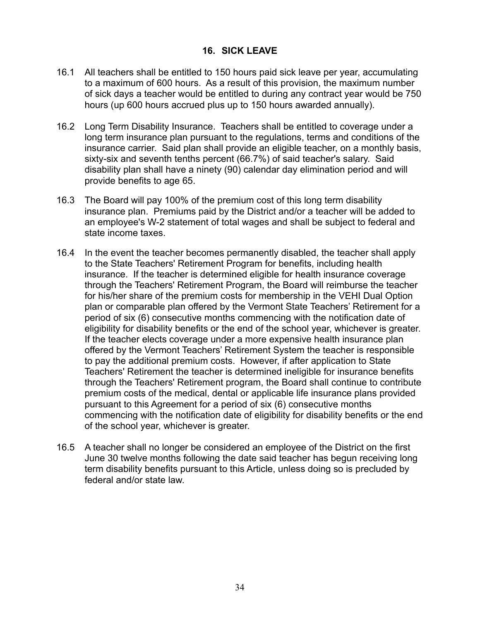#### **16. SICK LEAVE**

- <span id="page-33-0"></span>16.1 All teachers shall be entitled to 150 hours paid sick leave per year, accumulating to a maximum of 600 hours. As a result of this provision, the maximum number of sick days a teacher would be entitled to during any contract year would be 750 hours (up 600 hours accrued plus up to 150 hours awarded annually).
- 16.2 Long Term Disability Insurance. Teachers shall be entitled to coverage under a long term insurance plan pursuant to the regulations, terms and conditions of the insurance carrier. Said plan shall provide an eligible teacher, on a monthly basis, sixty-six and seventh tenths percent (66.7%) of said teacher's salary. Said disability plan shall have a ninety (90) calendar day elimination period and will provide benefits to age 65.
- 16.3 The Board will pay 100% of the premium cost of this long term disability insurance plan. Premiums paid by the District and/or a teacher will be added to an employee's W-2 statement of total wages and shall be subject to federal and state income taxes.
- 16.4 In the event the teacher becomes permanently disabled, the teacher shall apply to the State Teachers' Retirement Program for benefits, including health insurance. If the teacher is determined eligible for health insurance coverage through the Teachers' Retirement Program, the Board will reimburse the teacher for his/her share of the premium costs for membership in the VEHI Dual Option plan or comparable plan offered by the Vermont State Teachers' Retirement for a period of six (6) consecutive months commencing with the notification date of eligibility for disability benefits or the end of the school year, whichever is greater. If the teacher elects coverage under a more expensive health insurance plan offered by the Vermont Teachers' Retirement System the teacher is responsible to pay the additional premium costs. However, if after application to State Teachers' Retirement the teacher is determined ineligible for insurance benefits through the Teachers' Retirement program, the Board shall continue to contribute premium costs of the medical, dental or applicable life insurance plans provided pursuant to this Agreement for a period of six (6) consecutive months commencing with the notification date of eligibility for disability benefits or the end of the school year, whichever is greater.
- 16.5 A teacher shall no longer be considered an employee of the District on the first June 30 twelve months following the date said teacher has begun receiving long term disability benefits pursuant to this Article, unless doing so is precluded by federal and/or state law.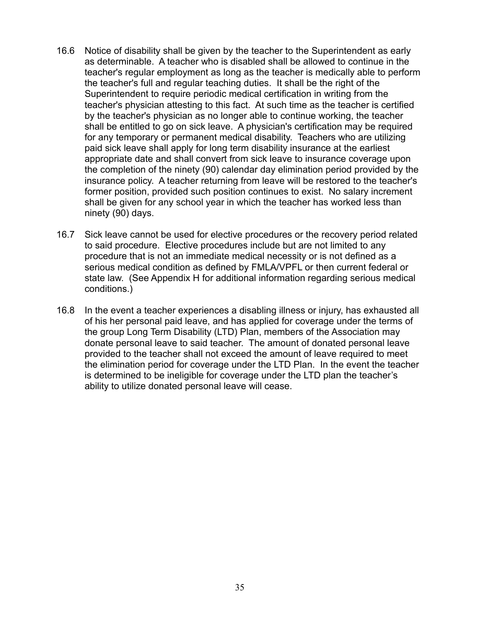- 16.6 Notice of disability shall be given by the teacher to the Superintendent as early as determinable. A teacher who is disabled shall be allowed to continue in the teacher's regular employment as long as the teacher is medically able to perform the teacher's full and regular teaching duties. It shall be the right of the Superintendent to require periodic medical certification in writing from the teacher's physician attesting to this fact. At such time as the teacher is certified by the teacher's physician as no longer able to continue working, the teacher shall be entitled to go on sick leave. A physician's certification may be required for any temporary or permanent medical disability. Teachers who are utilizing paid sick leave shall apply for long term disability insurance at the earliest appropriate date and shall convert from sick leave to insurance coverage upon the completion of the ninety (90) calendar day elimination period provided by the insurance policy. A teacher returning from leave will be restored to the teacher's former position, provided such position continues to exist. No salary increment shall be given for any school year in which the teacher has worked less than ninety (90) days.
- 16.7 Sick leave cannot be used for elective procedures or the recovery period related to said procedure. Elective procedures include but are not limited to any procedure that is not an immediate medical necessity or is not defined as a serious medical condition as defined by FMLA/VPFL or then current federal or state law. (See Appendix H for additional information regarding serious medical conditions.)
- 16.8 In the event a teacher experiences a disabling illness or injury, has exhausted all of his her personal paid leave, and has applied for coverage under the terms of the group Long Term Disability (LTD) Plan, members of the Association may donate personal leave to said teacher. The amount of donated personal leave provided to the teacher shall not exceed the amount of leave required to meet the elimination period for coverage under the LTD Plan. In the event the teacher is determined to be ineligible for coverage under the LTD plan the teacher's ability to utilize donated personal leave will cease.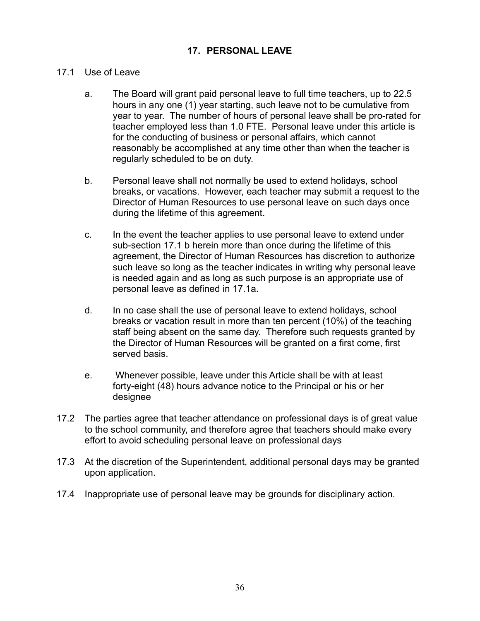#### **17. PERSONAL LEAVE**

#### <span id="page-35-0"></span>17.1 Use of Leave

- a. The Board will grant paid personal leave to full time teachers, up to 22.5 hours in any one (1) year starting, such leave not to be cumulative from year to year. The number of hours of personal leave shall be pro-rated for teacher employed less than 1.0 FTE. Personal leave under this article is for the conducting of business or personal affairs, which cannot reasonably be accomplished at any time other than when the teacher is regularly scheduled to be on duty.
- b. Personal leave shall not normally be used to extend holidays, school breaks, or vacations. However, each teacher may submit a request to the Director of Human Resources to use personal leave on such days once during the lifetime of this agreement.
- c. In the event the teacher applies to use personal leave to extend under sub-section 17.1 b herein more than once during the lifetime of this agreement, the Director of Human Resources has discretion to authorize such leave so long as the teacher indicates in writing why personal leave is needed again and as long as such purpose is an appropriate use of personal leave as defined in 17.1a.
- d. In no case shall the use of personal leave to extend holidays, school breaks or vacation result in more than ten percent (10%) of the teaching staff being absent on the same day. Therefore such requests granted by the Director of Human Resources will be granted on a first come, first served basis.
- e. Whenever possible, leave under this Article shall be with at least forty-eight (48) hours advance notice to the Principal or his or her designee
- 17.2 The parties agree that teacher attendance on professional days is of great value to the school community, and therefore agree that teachers should make every effort to avoid scheduling personal leave on professional days
- 17.3 At the discretion of the Superintendent, additional personal days may be granted upon application.
- 17.4 Inappropriate use of personal leave may be grounds for disciplinary action.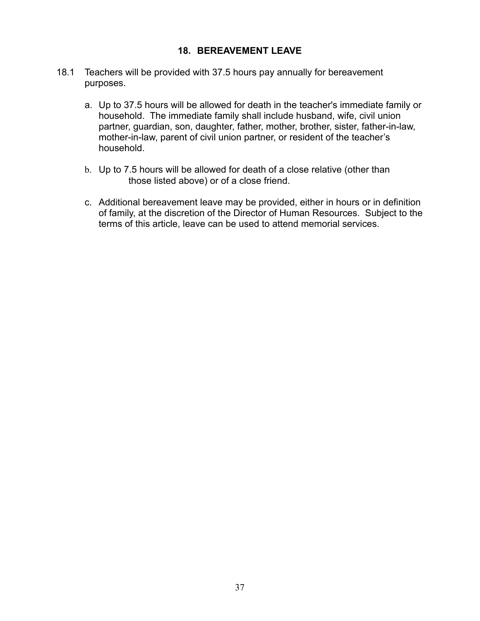### **18. BEREAVEMENT LEAVE**

- 18.1 Teachers will be provided with 37.5 hours pay annually for bereavement purposes.
	- a. Up to 37.5 hours will be allowed for death in the teacher's immediate family or household. The immediate family shall include husband, wife, civil union partner, guardian, son, daughter, father, mother, brother, sister, father-in-law, mother-in-law, parent of civil union partner, or resident of the teacher's household.
	- b. Up to 7.5 hours will be allowed for death of a close relative (other than those listed above) or of a close friend.
	- c. Additional bereavement leave may be provided, either in hours or in definition of family, at the discretion of the Director of Human Resources. Subject to the terms of this article, leave can be used to attend memorial services.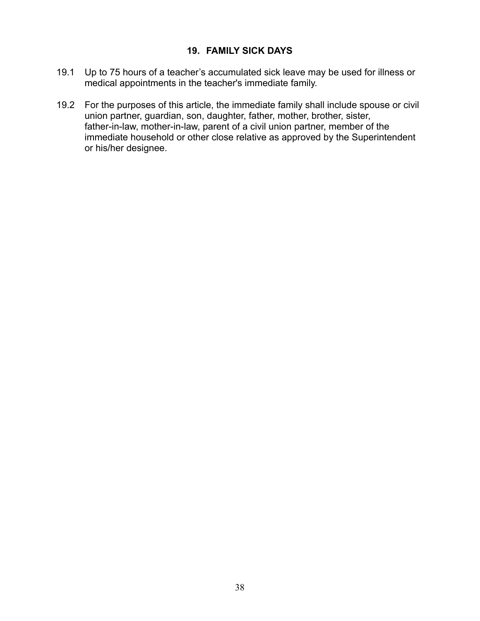### **19. FAMILY SICK DAYS**

- 19.1 Up to 75 hours of a teacher's accumulated sick leave may be used for illness or medical appointments in the teacher's immediate family.
- 19.2 For the purposes of this article, the immediate family shall include spouse or civil union partner, guardian, son, daughter, father, mother, brother, sister, father-in-law, mother-in-law, parent of a civil union partner, member of the immediate household or other close relative as approved by the Superintendent or his/her designee.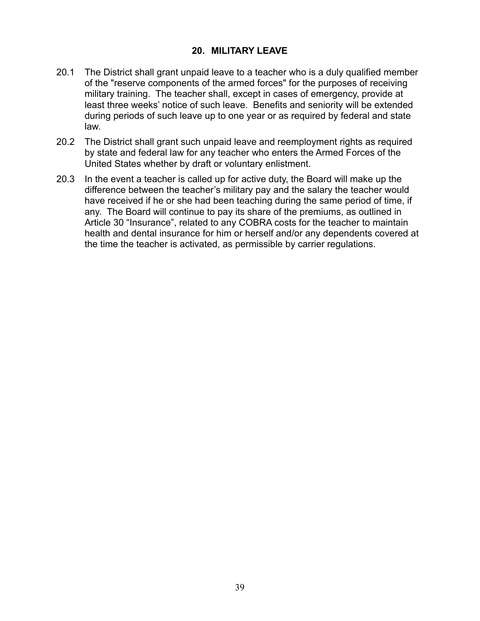### **20. MILITARY LEAVE**

- 20.1 The District shall grant unpaid leave to a teacher who is a duly qualified member of the "reserve components of the armed forces" for the purposes of receiving military training. The teacher shall, except in cases of emergency, provide at least three weeks' notice of such leave. Benefits and seniority will be extended during periods of such leave up to one year or as required by federal and state law.
- 20.2 The District shall grant such unpaid leave and reemployment rights as required by state and federal law for any teacher who enters the Armed Forces of the United States whether by draft or voluntary enlistment.
- 20.3 In the event a teacher is called up for active duty, the Board will make up the difference between the teacher's military pay and the salary the teacher would have received if he or she had been teaching during the same period of time, if any. The Board will continue to pay its share of the premiums, as outlined in Article 30 "Insurance", related to any COBRA costs for the teacher to maintain health and dental insurance for him or herself and/or any dependents covered at the time the teacher is activated, as permissible by carrier regulations.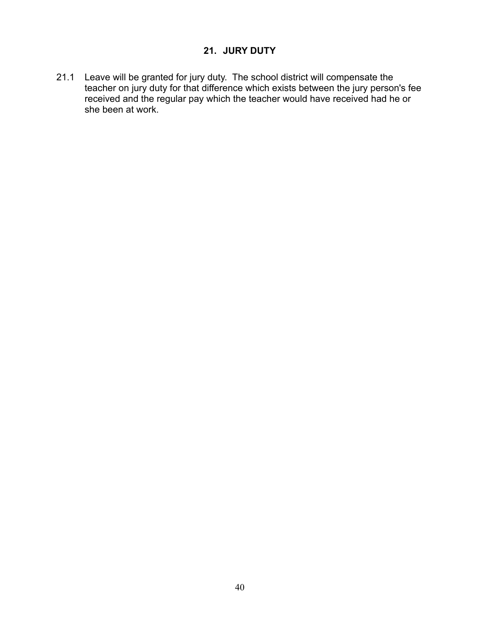# **21. JURY DUTY**

21.1 Leave will be granted for jury duty. The school district will compensate the teacher on jury duty for that difference which exists between the jury person's fee received and the regular pay which the teacher would have received had he or she been at work.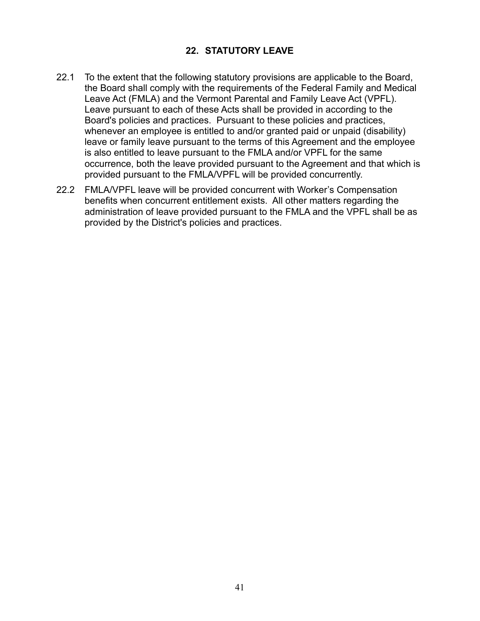## **22. STATUTORY LEAVE**

- 22.1 To the extent that the following statutory provisions are applicable to the Board, the Board shall comply with the requirements of the Federal Family and Medical Leave Act (FMLA) and the Vermont Parental and Family Leave Act (VPFL). Leave pursuant to each of these Acts shall be provided in according to the Board's policies and practices. Pursuant to these policies and practices, whenever an employee is entitled to and/or granted paid or unpaid (disability) leave or family leave pursuant to the terms of this Agreement and the employee is also entitled to leave pursuant to the FMLA and/or VPFL for the same occurrence, both the leave provided pursuant to the Agreement and that which is provided pursuant to the FMLA/VPFL will be provided concurrently.
- 22.2 FMLA/VPFL leave will be provided concurrent with Worker's Compensation benefits when concurrent entitlement exists. All other matters regarding the administration of leave provided pursuant to the FMLA and the VPFL shall be as provided by the District's policies and practices.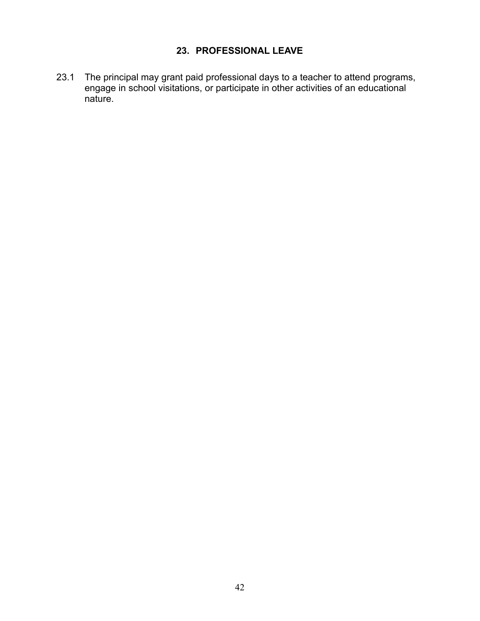# **23. PROFESSIONAL LEAVE**

23.1 The principal may grant paid professional days to a teacher to attend programs, engage in school visitations, or participate in other activities of an educational nature.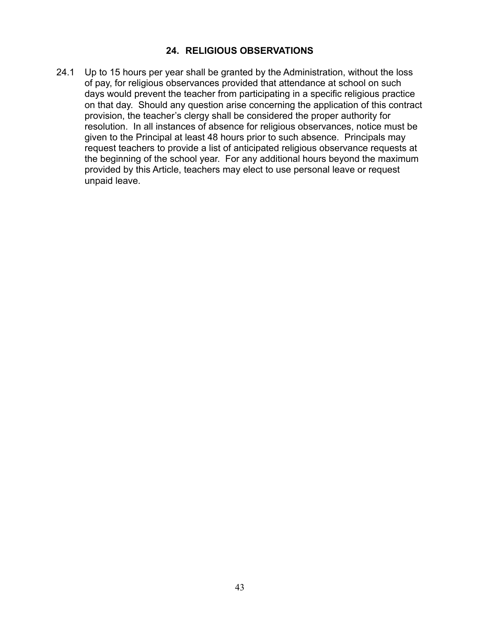### **24. RELIGIOUS OBSERVATIONS**

24.1 Up to 15 hours per year shall be granted by the Administration, without the loss of pay, for religious observances provided that attendance at school on such days would prevent the teacher from participating in a specific religious practice on that day. Should any question arise concerning the application of this contract provision, the teacher's clergy shall be considered the proper authority for resolution. In all instances of absence for religious observances, notice must be given to the Principal at least 48 hours prior to such absence. Principals may request teachers to provide a list of anticipated religious observance requests at the beginning of the school year. For any additional hours beyond the maximum provided by this Article, teachers may elect to use personal leave or request unpaid leave.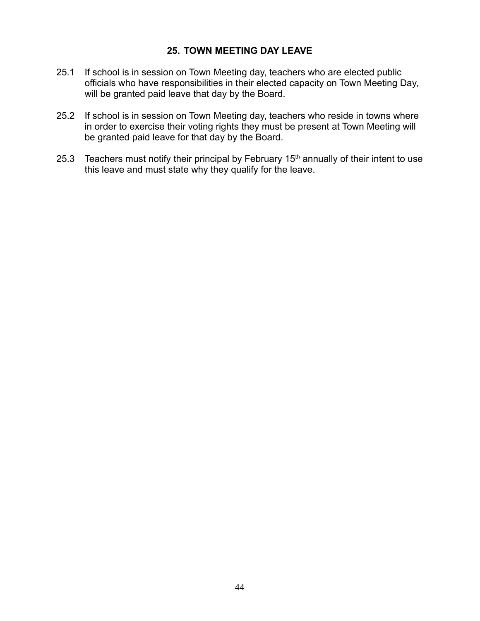### **25. TOWN MEETING DAY LEAVE**

- 25.1 If school is in session on Town Meeting day, teachers who are elected public officials who have responsibilities in their elected capacity on Town Meeting Day, will be granted paid leave that day by the Board.
- 25.2 If school is in session on Town Meeting day, teachers who reside in towns where in order to exercise their voting rights they must be present at Town Meeting will be granted paid leave for that day by the Board.
- 25.3 Teachers must notify their principal by February  $15<sup>th</sup>$  annually of their intent to use this leave and must state why they qualify for the leave.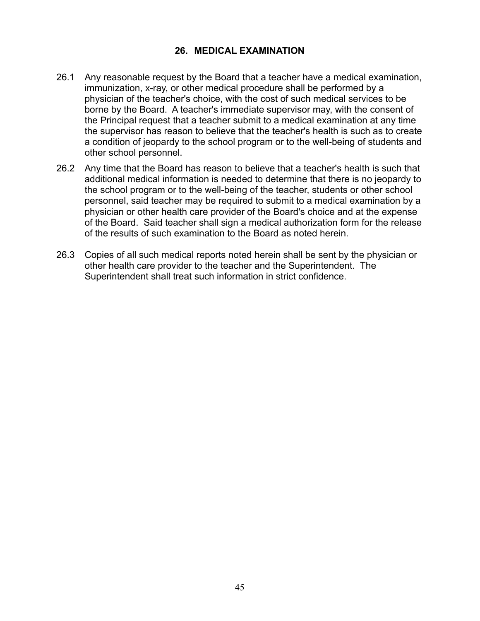## **26. MEDICAL EXAMINATION**

- 26.1 Any reasonable request by the Board that a teacher have a medical examination, immunization, x-ray, or other medical procedure shall be performed by a physician of the teacher's choice, with the cost of such medical services to be borne by the Board. A teacher's immediate supervisor may, with the consent of the Principal request that a teacher submit to a medical examination at any time the supervisor has reason to believe that the teacher's health is such as to create a condition of jeopardy to the school program or to the well-being of students and other school personnel.
- 26.2 Any time that the Board has reason to believe that a teacher's health is such that additional medical information is needed to determine that there is no jeopardy to the school program or to the well-being of the teacher, students or other school personnel, said teacher may be required to submit to a medical examination by a physician or other health care provider of the Board's choice and at the expense of the Board. Said teacher shall sign a medical authorization form for the release of the results of such examination to the Board as noted herein.
- 26.3 Copies of all such medical reports noted herein shall be sent by the physician or other health care provider to the teacher and the Superintendent. The Superintendent shall treat such information in strict confidence.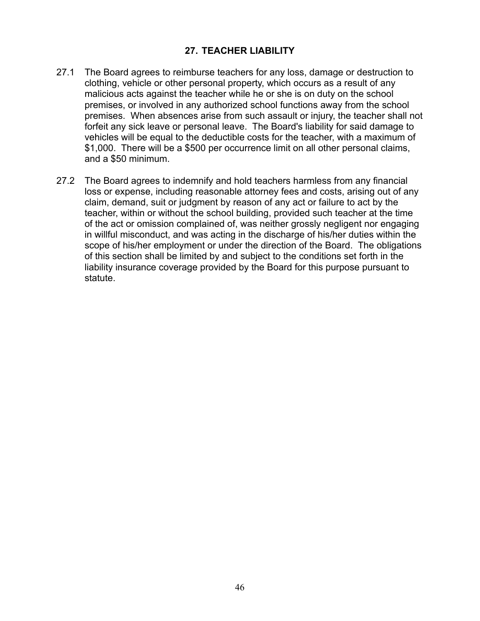### **27. TEACHER LIABILITY**

- 27.1 The Board agrees to reimburse teachers for any loss, damage or destruction to clothing, vehicle or other personal property, which occurs as a result of any malicious acts against the teacher while he or she is on duty on the school premises, or involved in any authorized school functions away from the school premises. When absences arise from such assault or injury, the teacher shall not forfeit any sick leave or personal leave. The Board's liability for said damage to vehicles will be equal to the deductible costs for the teacher, with a maximum of \$1,000. There will be a \$500 per occurrence limit on all other personal claims, and a \$50 minimum.
- 27.2 The Board agrees to indemnify and hold teachers harmless from any financial loss or expense, including reasonable attorney fees and costs, arising out of any claim, demand, suit or judgment by reason of any act or failure to act by the teacher, within or without the school building, provided such teacher at the time of the act or omission complained of, was neither grossly negligent nor engaging in willful misconduct, and was acting in the discharge of his/her duties within the scope of his/her employment or under the direction of the Board. The obligations of this section shall be limited by and subject to the conditions set forth in the liability insurance coverage provided by the Board for this purpose pursuant to statute.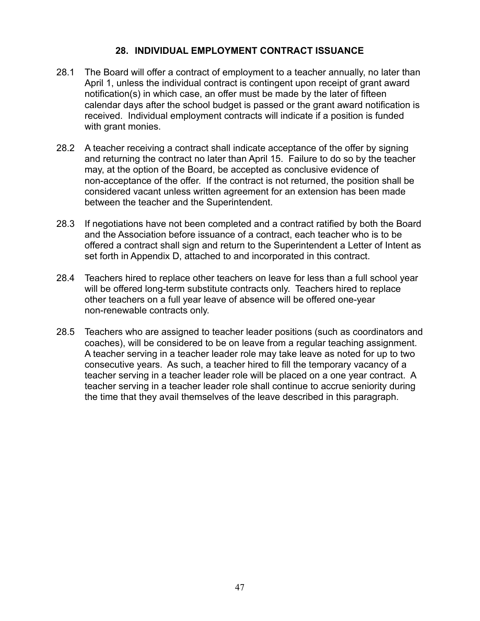### **28. INDIVIDUAL EMPLOYMENT CONTRACT ISSUANCE**

- 28.1 The Board will offer a contract of employment to a teacher annually, no later than April 1, unless the individual contract is contingent upon receipt of grant award notification(s) in which case, an offer must be made by the later of fifteen calendar days after the school budget is passed or the grant award notification is received. Individual employment contracts will indicate if a position is funded with grant monies.
- 28.2 A teacher receiving a contract shall indicate acceptance of the offer by signing and returning the contract no later than April 15. Failure to do so by the teacher may, at the option of the Board, be accepted as conclusive evidence of non-acceptance of the offer. If the contract is not returned, the position shall be considered vacant unless written agreement for an extension has been made between the teacher and the Superintendent.
- 28.3 If negotiations have not been completed and a contract ratified by both the Board and the Association before issuance of a contract, each teacher who is to be offered a contract shall sign and return to the Superintendent a Letter of Intent as set forth in Appendix D, attached to and incorporated in this contract.
- 28.4 Teachers hired to replace other teachers on leave for less than a full school year will be offered long-term substitute contracts only. Teachers hired to replace other teachers on a full year leave of absence will be offered one-year non-renewable contracts only.
- 28.5 Teachers who are assigned to teacher leader positions (such as coordinators and coaches), will be considered to be on leave from a regular teaching assignment. A teacher serving in a teacher leader role may take leave as noted for up to two consecutive years. As such, a teacher hired to fill the temporary vacancy of a teacher serving in a teacher leader role will be placed on a one year contract. A teacher serving in a teacher leader role shall continue to accrue seniority during the time that they avail themselves of the leave described in this paragraph.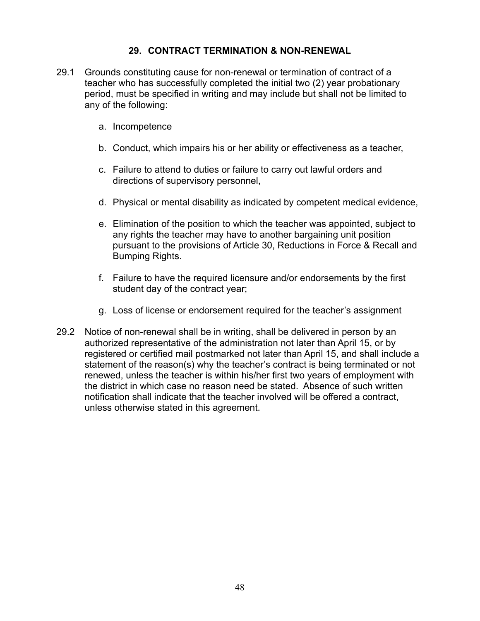### **29. CONTRACT TERMINATION & NON-RENEWAL**

- 29.1 Grounds constituting cause for non-renewal or termination of contract of a teacher who has successfully completed the initial two (2) year probationary period, must be specified in writing and may include but shall not be limited to any of the following:
	- a. Incompetence
	- b. Conduct, which impairs his or her ability or effectiveness as a teacher,
	- c. Failure to attend to duties or failure to carry out lawful orders and directions of supervisory personnel,
	- d. Physical or mental disability as indicated by competent medical evidence,
	- e. Elimination of the position to which the teacher was appointed, subject to any rights the teacher may have to another bargaining unit position pursuant to the provisions of Article 30, Reductions in Force & Recall and Bumping Rights.
	- f. Failure to have the required licensure and/or endorsements by the first student day of the contract year;
	- g. Loss of license or endorsement required for the teacher's assignment
- 29.2 Notice of non-renewal shall be in writing, shall be delivered in person by an authorized representative of the administration not later than April 15, or by registered or certified mail postmarked not later than April 15, and shall include a statement of the reason(s) why the teacher's contract is being terminated or not renewed, unless the teacher is within his/her first two years of employment with the district in which case no reason need be stated. Absence of such written notification shall indicate that the teacher involved will be offered a contract, unless otherwise stated in this agreement.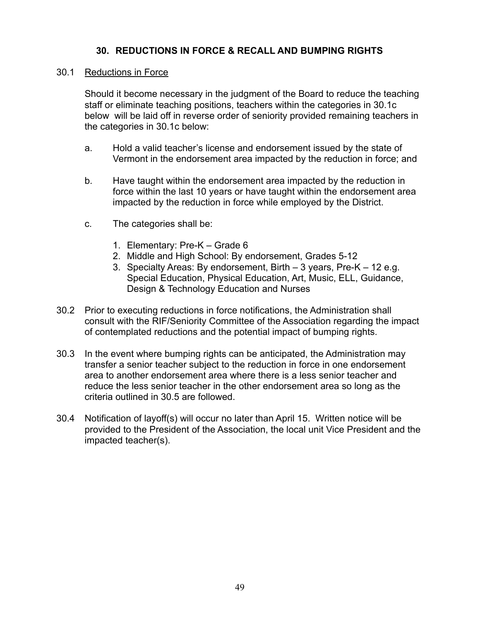### **30. REDUCTIONS IN FORCE & RECALL AND BUMPING RIGHTS**

#### 30.1 Reductions in Force

Should it become necessary in the judgment of the Board to reduce the teaching staff or eliminate teaching positions, teachers within the categories in 30.1c below will be laid off in reverse order of seniority provided remaining teachers in the categories in 30.1c below:

- a. Hold a valid teacher's license and endorsement issued by the state of Vermont in the endorsement area impacted by the reduction in force; and
- b. Have taught within the endorsement area impacted by the reduction in force within the last 10 years or have taught within the endorsement area impacted by the reduction in force while employed by the District.
- c. The categories shall be:
	- 1. Elementary: Pre-K Grade 6
	- 2. Middle and High School: By endorsement, Grades 5-12
	- 3. Specialty Areas: By endorsement, Birth 3 years, Pre-K 12 e.g. Special Education, Physical Education, Art, Music, ELL, Guidance, Design & Technology Education and Nurses
- 30.2 Prior to executing reductions in force notifications, the Administration shall consult with the RIF/Seniority Committee of the Association regarding the impact of contemplated reductions and the potential impact of bumping rights.
- 30.3 In the event where bumping rights can be anticipated, the Administration may transfer a senior teacher subject to the reduction in force in one endorsement area to another endorsement area where there is a less senior teacher and reduce the less senior teacher in the other endorsement area so long as the criteria outlined in 30.5 are followed.
- 30.4 Notification of layoff(s) will occur no later than April 15. Written notice will be provided to the President of the Association, the local unit Vice President and the impacted teacher(s).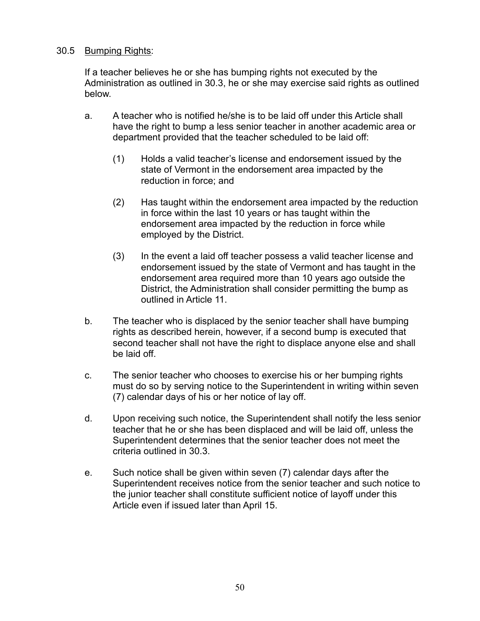#### 30.5 Bumping Rights:

If a teacher believes he or she has bumping rights not executed by the Administration as outlined in 30.3, he or she may exercise said rights as outlined below.

- a. A teacher who is notified he/she is to be laid off under this Article shall have the right to bump a less senior teacher in another academic area or department provided that the teacher scheduled to be laid off:
	- (1) Holds a valid teacher's license and endorsement issued by the state of Vermont in the endorsement area impacted by the reduction in force; and
	- (2) Has taught within the endorsement area impacted by the reduction in force within the last 10 years or has taught within the endorsement area impacted by the reduction in force while employed by the District.
	- (3) In the event a laid off teacher possess a valid teacher license and endorsement issued by the state of Vermont and has taught in the endorsement area required more than 10 years ago outside the District, the Administration shall consider permitting the bump as outlined in Article 11.
- b. The teacher who is displaced by the senior teacher shall have bumping rights as described herein, however, if a second bump is executed that second teacher shall not have the right to displace anyone else and shall be laid off.
- c. The senior teacher who chooses to exercise his or her bumping rights must do so by serving notice to the Superintendent in writing within seven (7) calendar days of his or her notice of lay off.
- d. Upon receiving such notice, the Superintendent shall notify the less senior teacher that he or she has been displaced and will be laid off, unless the Superintendent determines that the senior teacher does not meet the criteria outlined in 30.3.
- e. Such notice shall be given within seven (7) calendar days after the Superintendent receives notice from the senior teacher and such notice to the junior teacher shall constitute sufficient notice of layoff under this Article even if issued later than April 15.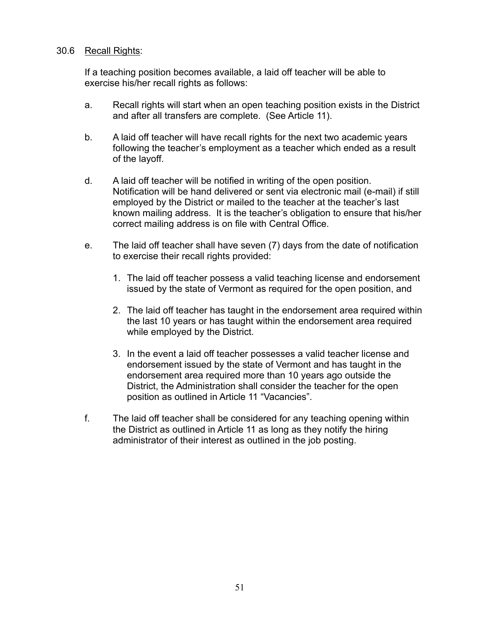#### 30.6 Recall Rights:

If a teaching position becomes available, a laid off teacher will be able to exercise his/her recall rights as follows:

- a. Recall rights will start when an open teaching position exists in the District and after all transfers are complete. (See Article 11).
- b. A laid off teacher will have recall rights for the next two academic years following the teacher's employment as a teacher which ended as a result of the layoff.
- d. A laid off teacher will be notified in writing of the open position. Notification will be hand delivered or sent via electronic mail (e-mail) if still employed by the District or mailed to the teacher at the teacher's last known mailing address. It is the teacher's obligation to ensure that his/her correct mailing address is on file with Central Office.
- e. The laid off teacher shall have seven (7) days from the date of notification to exercise their recall rights provided:
	- 1. The laid off teacher possess a valid teaching license and endorsement issued by the state of Vermont as required for the open position, and
	- 2. The laid off teacher has taught in the endorsement area required within the last 10 years or has taught within the endorsement area required while employed by the District.
	- 3. In the event a laid off teacher possesses a valid teacher license and endorsement issued by the state of Vermont and has taught in the endorsement area required more than 10 years ago outside the District, the Administration shall consider the teacher for the open position as outlined in Article 11 "Vacancies".
- f. The laid off teacher shall be considered for any teaching opening within the District as outlined in Article 11 as long as they notify the hiring administrator of their interest as outlined in the job posting.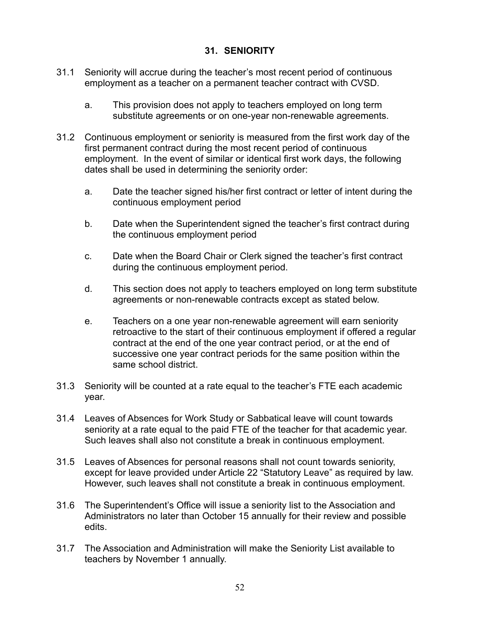## **31. SENIORITY**

- 31.1 Seniority will accrue during the teacher's most recent period of continuous employment as a teacher on a permanent teacher contract with CVSD.
	- a. This provision does not apply to teachers employed on long term substitute agreements or on one-year non-renewable agreements.
- 31.2 Continuous employment or seniority is measured from the first work day of the first permanent contract during the most recent period of continuous employment. In the event of similar or identical first work days, the following dates shall be used in determining the seniority order:
	- a. Date the teacher signed his/her first contract or letter of intent during the continuous employment period
	- b. Date when the Superintendent signed the teacher's first contract during the continuous employment period
	- c. Date when the Board Chair or Clerk signed the teacher's first contract during the continuous employment period.
	- d. This section does not apply to teachers employed on long term substitute agreements or non-renewable contracts except as stated below.
	- e. Teachers on a one year non-renewable agreement will earn seniority retroactive to the start of their continuous employment if offered a regular contract at the end of the one year contract period, or at the end of successive one year contract periods for the same position within the same school district.
- 31.3 Seniority will be counted at a rate equal to the teacher's FTE each academic year.
- 31.4 Leaves of Absences for Work Study or Sabbatical leave will count towards seniority at a rate equal to the paid FTE of the teacher for that academic year. Such leaves shall also not constitute a break in continuous employment.
- 31.5 Leaves of Absences for personal reasons shall not count towards seniority, except for leave provided under Article 22 "Statutory Leave" as required by law. However, such leaves shall not constitute a break in continuous employment.
- 31.6 The Superintendent's Office will issue a seniority list to the Association and Administrators no later than October 15 annually for their review and possible edits.
- 31.7 The Association and Administration will make the Seniority List available to teachers by November 1 annually.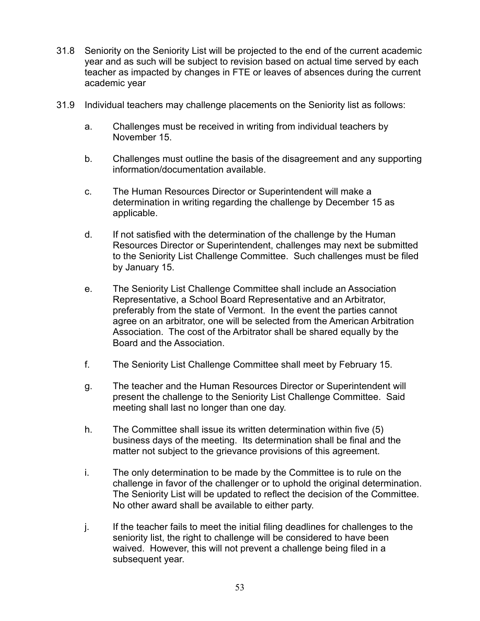- 31.8 Seniority on the Seniority List will be projected to the end of the current academic year and as such will be subject to revision based on actual time served by each teacher as impacted by changes in FTE or leaves of absences during the current academic year
- 31.9 Individual teachers may challenge placements on the Seniority list as follows:
	- a. Challenges must be received in writing from individual teachers by November 15.
	- b. Challenges must outline the basis of the disagreement and any supporting information/documentation available.
	- c. The Human Resources Director or Superintendent will make a determination in writing regarding the challenge by December 15 as applicable.
	- d. If not satisfied with the determination of the challenge by the Human Resources Director or Superintendent, challenges may next be submitted to the Seniority List Challenge Committee. Such challenges must be filed by January 15.
	- e. The Seniority List Challenge Committee shall include an Association Representative, a School Board Representative and an Arbitrator, preferably from the state of Vermont. In the event the parties cannot agree on an arbitrator, one will be selected from the American Arbitration Association. The cost of the Arbitrator shall be shared equally by the Board and the Association.
	- f. The Seniority List Challenge Committee shall meet by February 15.
	- g. The teacher and the Human Resources Director or Superintendent will present the challenge to the Seniority List Challenge Committee. Said meeting shall last no longer than one day.
	- h. The Committee shall issue its written determination within five (5) business days of the meeting. Its determination shall be final and the matter not subject to the grievance provisions of this agreement.
	- i. The only determination to be made by the Committee is to rule on the challenge in favor of the challenger or to uphold the original determination. The Seniority List will be updated to reflect the decision of the Committee. No other award shall be available to either party.
	- j. If the teacher fails to meet the initial filing deadlines for challenges to the seniority list, the right to challenge will be considered to have been waived. However, this will not prevent a challenge being filed in a subsequent year.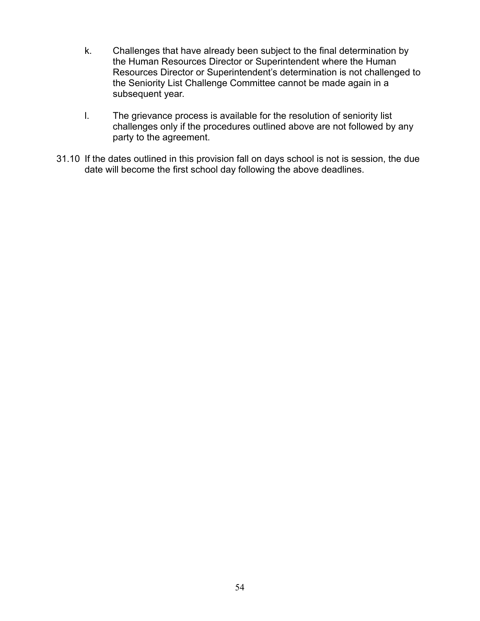- k. Challenges that have already been subject to the final determination by the Human Resources Director or Superintendent where the Human Resources Director or Superintendent's determination is not challenged to the Seniority List Challenge Committee cannot be made again in a subsequent year.
- l. The grievance process is available for the resolution of seniority list challenges only if the procedures outlined above are not followed by any party to the agreement.
- 31.10 If the dates outlined in this provision fall on days school is not is session, the due date will become the first school day following the above deadlines.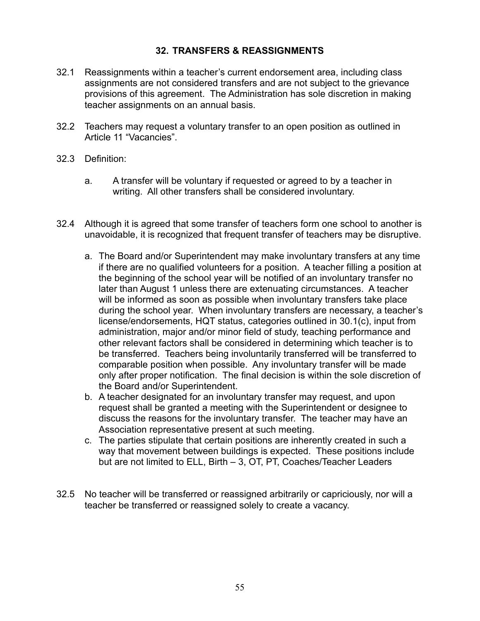## **32. TRANSFERS & REASSIGNMENTS**

- 32.1 Reassignments within a teacher's current endorsement area, including class assignments are not considered transfers and are not subject to the grievance provisions of this agreement. The Administration has sole discretion in making teacher assignments on an annual basis.
- 32.2 Teachers may request a voluntary transfer to an open position as outlined in Article 11 "Vacancies".
- 32.3 Definition:
	- a. A transfer will be voluntary if requested or agreed to by a teacher in writing. All other transfers shall be considered involuntary.
- 32.4 Although it is agreed that some transfer of teachers form one school to another is unavoidable, it is recognized that frequent transfer of teachers may be disruptive.
	- a. The Board and/or Superintendent may make involuntary transfers at any time if there are no qualified volunteers for a position. A teacher filling a position at the beginning of the school year will be notified of an involuntary transfer no later than August 1 unless there are extenuating circumstances. A teacher will be informed as soon as possible when involuntary transfers take place during the school year. When involuntary transfers are necessary, a teacher's license/endorsements, HQT status, categories outlined in 30.1(c), input from administration, major and/or minor field of study, teaching performance and other relevant factors shall be considered in determining which teacher is to be transferred. Teachers being involuntarily transferred will be transferred to comparable position when possible. Any involuntary transfer will be made only after proper notification. The final decision is within the sole discretion of the Board and/or Superintendent.
	- b. A teacher designated for an involuntary transfer may request, and upon request shall be granted a meeting with the Superintendent or designee to discuss the reasons for the involuntary transfer. The teacher may have an Association representative present at such meeting.
	- c. The parties stipulate that certain positions are inherently created in such a way that movement between buildings is expected. These positions include but are not limited to ELL, Birth – 3, OT, PT, Coaches/Teacher Leaders
- 32.5 No teacher will be transferred or reassigned arbitrarily or capriciously, nor will a teacher be transferred or reassigned solely to create a vacancy.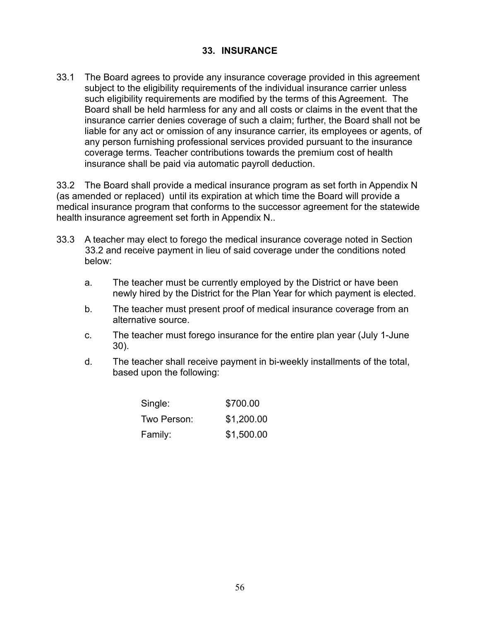### **33. INSURANCE**

33.1 The Board agrees to provide any insurance coverage provided in this agreement subject to the eligibility requirements of the individual insurance carrier unless such eligibility requirements are modified by the terms of this Agreement. The Board shall be held harmless for any and all costs or claims in the event that the insurance carrier denies coverage of such a claim; further, the Board shall not be liable for any act or omission of any insurance carrier, its employees or agents, of any person furnishing professional services provided pursuant to the insurance coverage terms. Teacher contributions towards the premium cost of health insurance shall be paid via automatic payroll deduction.

33.2 The Board shall provide a medical insurance program as set forth in Appendix N (as amended or replaced) until its expiration at which time the Board will provide a medical insurance program that conforms to the successor agreement for the statewide health insurance agreement set forth in Appendix N..

- 33.3 A teacher may elect to forego the medical insurance coverage noted in Section 33.2 and receive payment in lieu of said coverage under the conditions noted below:
	- a. The teacher must be currently employed by the District or have been newly hired by the District for the Plan Year for which payment is elected.
	- b. The teacher must present proof of medical insurance coverage from an alternative source.
	- c. The teacher must forego insurance for the entire plan year (July 1-June 30).
	- d. The teacher shall receive payment in bi-weekly installments of the total, based upon the following:

| Single:     | \$700.00   |
|-------------|------------|
| Two Person: | \$1,200.00 |
| Family:     | \$1,500.00 |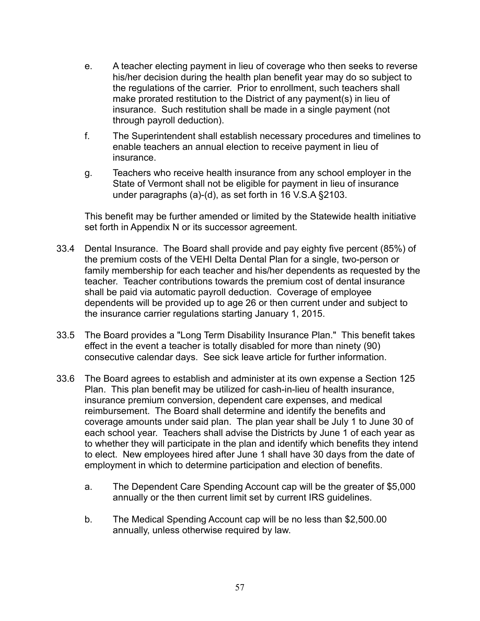- e. A teacher electing payment in lieu of coverage who then seeks to reverse his/her decision during the health plan benefit year may do so subject to the regulations of the carrier. Prior to enrollment, such teachers shall make prorated restitution to the District of any payment(s) in lieu of insurance. Such restitution shall be made in a single payment (not through payroll deduction).
- f. The Superintendent shall establish necessary procedures and timelines to enable teachers an annual election to receive payment in lieu of insurance.
- g. Teachers who receive health insurance from any school employer in the State of Vermont shall not be eligible for payment in lieu of insurance under paragraphs (a)-(d), as set forth in 16 V.S.A §2103.

This benefit may be further amended or limited by the Statewide health initiative set forth in Appendix N or its successor agreement.

- 33.4 Dental Insurance. The Board shall provide and pay eighty five percent (85%) of the premium costs of the VEHI Delta Dental Plan for a single, two-person or family membership for each teacher and his/her dependents as requested by the teacher. Teacher contributions towards the premium cost of dental insurance shall be paid via automatic payroll deduction. Coverage of employee dependents will be provided up to age 26 or then current under and subject to the insurance carrier regulations starting January 1, 2015.
- 33.5 The Board provides a "Long Term Disability Insurance Plan." This benefit takes effect in the event a teacher is totally disabled for more than ninety (90) consecutive calendar days. See sick leave article for further information.
- 33.6 The Board agrees to establish and administer at its own expense a Section 125 Plan. This plan benefit may be utilized for cash-in-lieu of health insurance, insurance premium conversion, dependent care expenses, and medical reimbursement. The Board shall determine and identify the benefits and coverage amounts under said plan. The plan year shall be July 1 to June 30 of each school year. Teachers shall advise the Districts by June 1 of each year as to whether they will participate in the plan and identify which benefits they intend to elect. New employees hired after June 1 shall have 30 days from the date of employment in which to determine participation and election of benefits.
	- a. The Dependent Care Spending Account cap will be the greater of \$5,000 annually or the then current limit set by current IRS guidelines.
	- b. The Medical Spending Account cap will be no less than \$2,500.00 annually, unless otherwise required by law.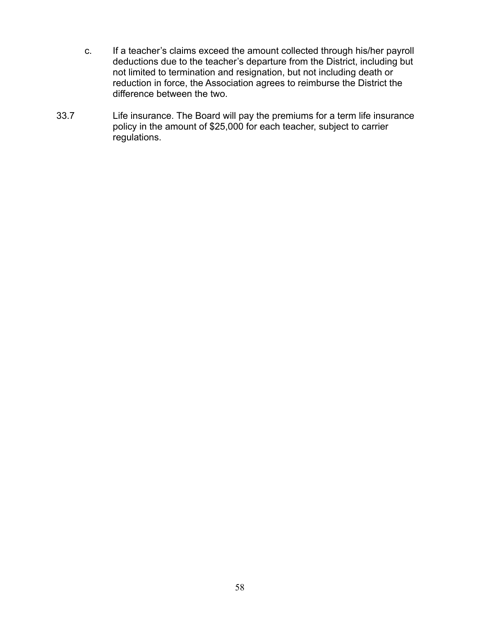- c. If a teacher's claims exceed the amount collected through his/her payroll deductions due to the teacher's departure from the District, including but not limited to termination and resignation, but not including death or reduction in force, the Association agrees to reimburse the District the difference between the two.
- 33.7 Life insurance. The Board will pay the premiums for a term life insurance policy in the amount of \$25,000 for each teacher, subject to carrier regulations.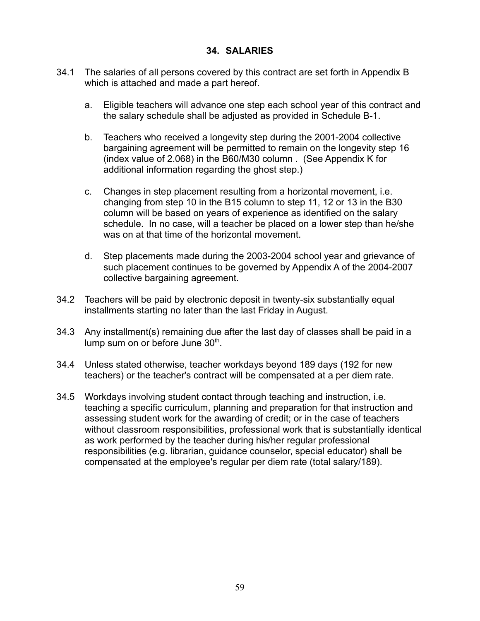### **34. SALARIES**

- 34.1 The salaries of all persons covered by this contract are set forth in Appendix B which is attached and made a part hereof.
	- a. Eligible teachers will advance one step each school year of this contract and the salary schedule shall be adjusted as provided in Schedule B-1.
	- b. Teachers who received a longevity step during the 2001-2004 collective bargaining agreement will be permitted to remain on the longevity step 16 (index value of 2.068) in the B60/M30 column . (See Appendix K for additional information regarding the ghost step.)
	- c. Changes in step placement resulting from a horizontal movement, i.e. changing from step 10 in the B15 column to step 11, 12 or 13 in the B30 column will be based on years of experience as identified on the salary schedule. In no case, will a teacher be placed on a lower step than he/she was on at that time of the horizontal movement.
	- d. Step placements made during the 2003-2004 school year and grievance of such placement continues to be governed by Appendix A of the 2004-2007 collective bargaining agreement.
- 34.2 Teachers will be paid by electronic deposit in twenty-six substantially equal installments starting no later than the last Friday in August.
- 34.3 Any installment(s) remaining due after the last day of classes shall be paid in a lump sum on or before June  $30<sup>th</sup>$ .
- 34.4 Unless stated otherwise, teacher workdays beyond 189 days (192 for new teachers) or the teacher's contract will be compensated at a per diem rate.
- 34.5 Workdays involving student contact through teaching and instruction, i.e. teaching a specific curriculum, planning and preparation for that instruction and assessing student work for the awarding of credit; or in the case of teachers without classroom responsibilities, professional work that is substantially identical as work performed by the teacher during his/her regular professional responsibilities (e.g. librarian, guidance counselor, special educator) shall be compensated at the employee's regular per diem rate (total salary/189).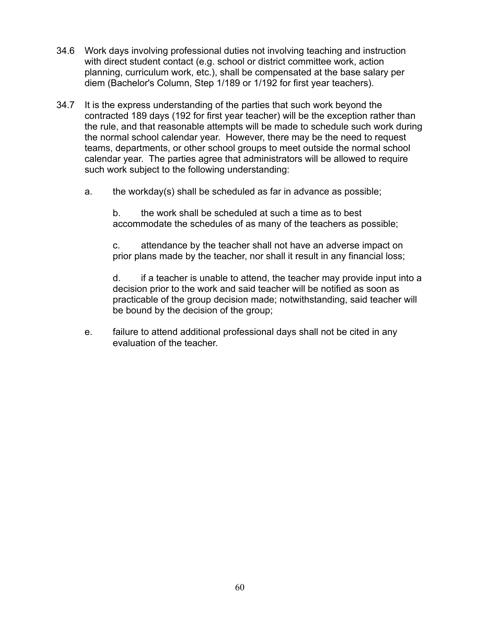- 34.6 Work days involving professional duties not involving teaching and instruction with direct student contact (e.g. school or district committee work, action planning, curriculum work, etc.), shall be compensated at the base salary per diem (Bachelor's Column, Step 1/189 or 1/192 for first year teachers).
- 34.7 It is the express understanding of the parties that such work beyond the contracted 189 days (192 for first year teacher) will be the exception rather than the rule, and that reasonable attempts will be made to schedule such work during the normal school calendar year. However, there may be the need to request teams, departments, or other school groups to meet outside the normal school calendar year. The parties agree that administrators will be allowed to require such work subject to the following understanding:
	- a. the workday(s) shall be scheduled as far in advance as possible;

b. the work shall be scheduled at such a time as to best accommodate the schedules of as many of the teachers as possible;

c. attendance by the teacher shall not have an adverse impact on prior plans made by the teacher, nor shall it result in any financial loss;

d. if a teacher is unable to attend, the teacher may provide input into a decision prior to the work and said teacher will be notified as soon as practicable of the group decision made; notwithstanding, said teacher will be bound by the decision of the group;

e. failure to attend additional professional days shall not be cited in any evaluation of the teacher.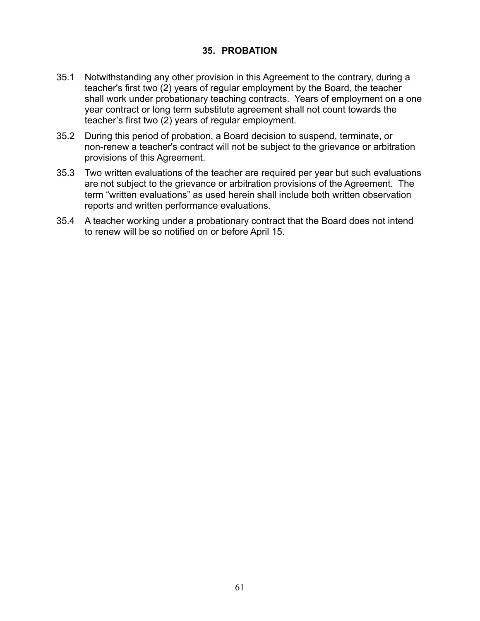### **35. PROBATION**

- 35.1 Notwithstanding any other provision in this Agreement to the contrary, during a teacher's first two (2) years of regular employment by the Board, the teacher shall work under probationary teaching contracts. Years of employment on a one year contract or long term substitute agreement shall not count towards the teacher's first two (2) years of regular employment.
- 35.2 During this period of probation, a Board decision to suspend, terminate, or non-renew a teacher's contract will not be subject to the grievance or arbitration provisions of this Agreement.
- 35.3 Two written evaluations of the teacher are required per year but such evaluations are not subject to the grievance or arbitration provisions of the Agreement. The term "written evaluations" as used herein shall include both written observation reports and written performance evaluations.
- 35.4 A teacher working under a probationary contract that the Board does not intend to renew will be so notified on or before April 15.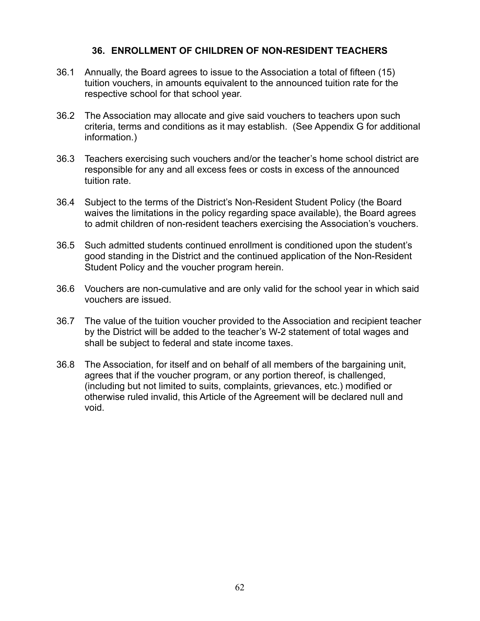### **36. ENROLLMENT OF CHILDREN OF NON-RESIDENT TEACHERS**

- 36.1 Annually, the Board agrees to issue to the Association a total of fifteen (15) tuition vouchers, in amounts equivalent to the announced tuition rate for the respective school for that school year.
- 36.2 The Association may allocate and give said vouchers to teachers upon such criteria, terms and conditions as it may establish. (See Appendix G for additional information.)
- 36.3 Teachers exercising such vouchers and/or the teacher's home school district are responsible for any and all excess fees or costs in excess of the announced tuition rate.
- 36.4 Subject to the terms of the District's Non-Resident Student Policy (the Board waives the limitations in the policy regarding space available), the Board agrees to admit children of non-resident teachers exercising the Association's vouchers.
- 36.5 Such admitted students continued enrollment is conditioned upon the student's good standing in the District and the continued application of the Non-Resident Student Policy and the voucher program herein.
- 36.6 Vouchers are non-cumulative and are only valid for the school year in which said vouchers are issued.
- 36.7 The value of the tuition voucher provided to the Association and recipient teacher by the District will be added to the teacher's W-2 statement of total wages and shall be subject to federal and state income taxes.
- 36.8 The Association, for itself and on behalf of all members of the bargaining unit, agrees that if the voucher program, or any portion thereof, is challenged, (including but not limited to suits, complaints, grievances, etc.) modified or otherwise ruled invalid, this Article of the Agreement will be declared null and void.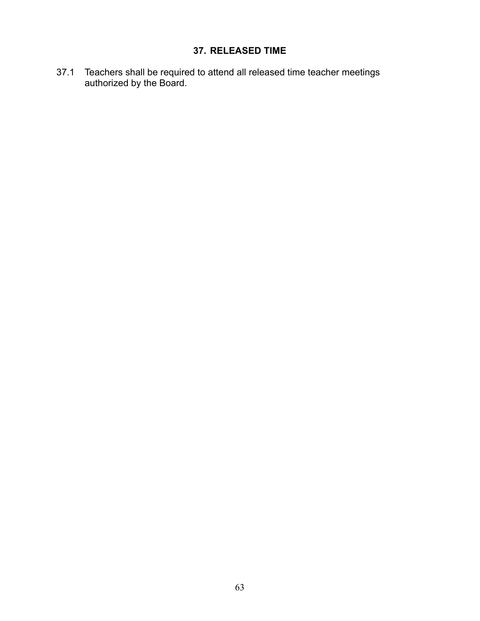# **37. RELEASED TIME**

37.1 Teachers shall be required to attend all released time teacher meetings authorized by the Board.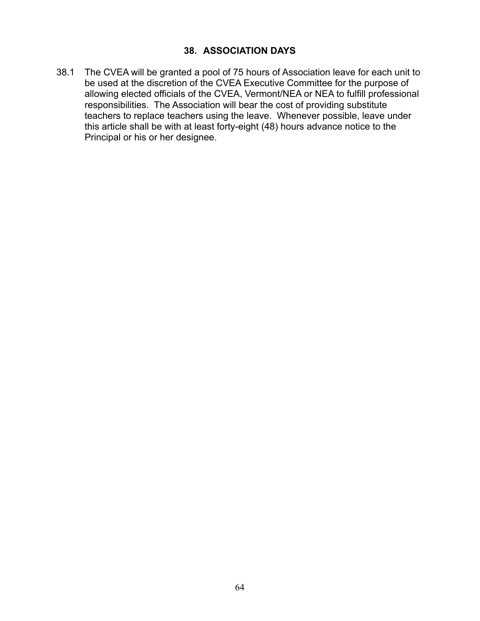### **38. ASSOCIATION DAYS**

38.1 The CVEA will be granted a pool of 75 hours of Association leave for each unit to be used at the discretion of the CVEA Executive Committee for the purpose of allowing elected officials of the CVEA, Vermont/NEA or NEA to fulfill professional responsibilities. The Association will bear the cost of providing substitute teachers to replace teachers using the leave. Whenever possible, leave under this article shall be with at least forty-eight (48) hours advance notice to the Principal or his or her designee.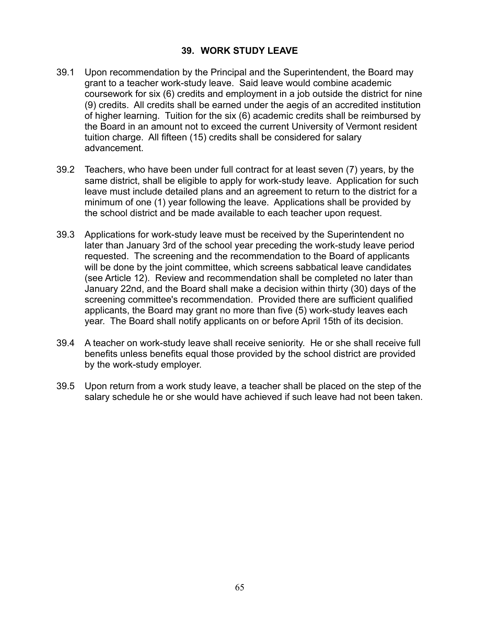### **39. WORK STUDY LEAVE**

- 39.1 Upon recommendation by the Principal and the Superintendent, the Board may grant to a teacher work-study leave. Said leave would combine academic coursework for six (6) credits and employment in a job outside the district for nine (9) credits. All credits shall be earned under the aegis of an accredited institution of higher learning. Tuition for the six (6) academic credits shall be reimbursed by the Board in an amount not to exceed the current University of Vermont resident tuition charge. All fifteen (15) credits shall be considered for salary advancement.
- 39.2 Teachers, who have been under full contract for at least seven (7) years, by the same district, shall be eligible to apply for work-study leave. Application for such leave must include detailed plans and an agreement to return to the district for a minimum of one (1) year following the leave. Applications shall be provided by the school district and be made available to each teacher upon request.
- 39.3 Applications for work-study leave must be received by the Superintendent no later than January 3rd of the school year preceding the work-study leave period requested. The screening and the recommendation to the Board of applicants will be done by the joint committee, which screens sabbatical leave candidates (see Article 12). Review and recommendation shall be completed no later than January 22nd, and the Board shall make a decision within thirty (30) days of the screening committee's recommendation. Provided there are sufficient qualified applicants, the Board may grant no more than five (5) work-study leaves each year. The Board shall notify applicants on or before April 15th of its decision.
- 39.4 A teacher on work-study leave shall receive seniority. He or she shall receive full benefits unless benefits equal those provided by the school district are provided by the work-study employer.
- 39.5 Upon return from a work study leave, a teacher shall be placed on the step of the salary schedule he or she would have achieved if such leave had not been taken.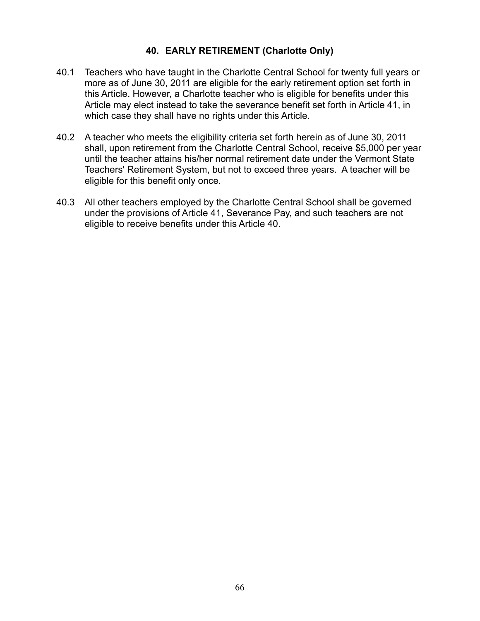### **40. EARLY RETIREMENT (Charlotte Only)**

- 40.1 Teachers who have taught in the Charlotte Central School for twenty full years or more as of June 30, 2011 are eligible for the early retirement option set forth in this Article. However, a Charlotte teacher who is eligible for benefits under this Article may elect instead to take the severance benefit set forth in Article 41, in which case they shall have no rights under this Article.
- 40.2 A teacher who meets the eligibility criteria set forth herein as of June 30, 2011 shall, upon retirement from the Charlotte Central School, receive \$5,000 per year until the teacher attains his/her normal retirement date under the Vermont State Teachers' Retirement System, but not to exceed three years. A teacher will be eligible for this benefit only once.
- 40.3 All other teachers employed by the Charlotte Central School shall be governed under the provisions of Article 41, Severance Pay, and such teachers are not eligible to receive benefits under this Article 40.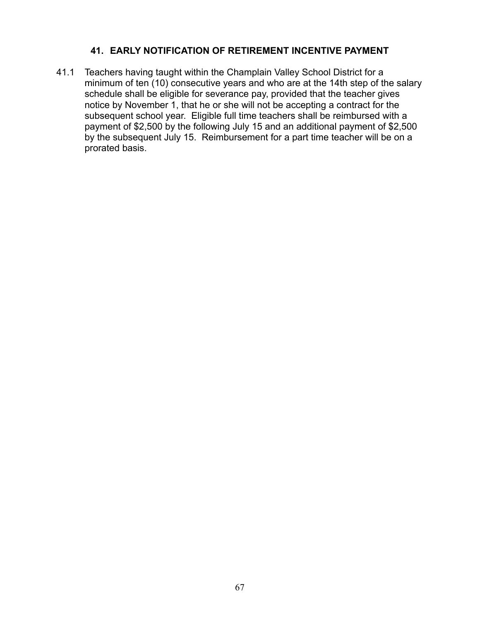### **41. EARLY NOTIFICATION OF RETIREMENT INCENTIVE PAYMENT**

41.1 Teachers having taught within the Champlain Valley School District for a minimum of ten (10) consecutive years and who are at the 14th step of the salary schedule shall be eligible for severance pay, provided that the teacher gives notice by November 1, that he or she will not be accepting a contract for the subsequent school year. Eligible full time teachers shall be reimbursed with a payment of \$2,500 by the following July 15 and an additional payment of \$2,500 by the subsequent July 15. Reimbursement for a part time teacher will be on a prorated basis.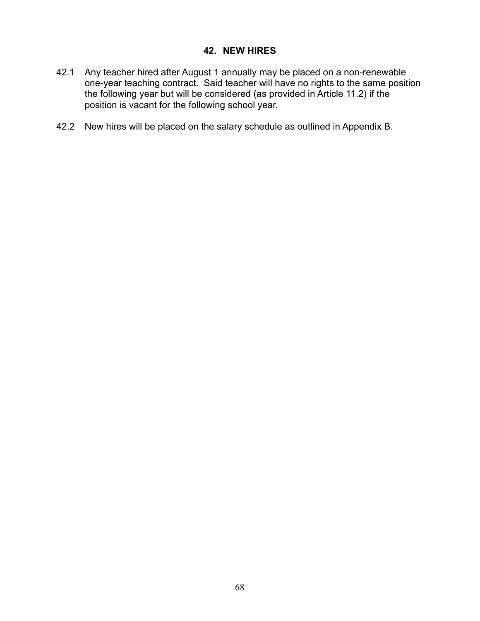### **42. NEW HIRES**

- 42.1 Any teacher hired after August 1 annually may be placed on a non-renewable one-year teaching contract. Said teacher will have no rights to the same position the following year but will be considered (as provided in Article 11.2) if the position is vacant for the following school year.
- 42.2 New hires will be placed on the salary schedule as outlined in Appendix B.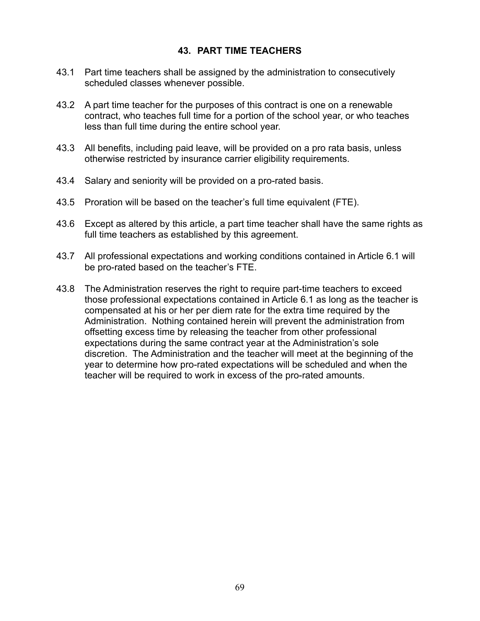### **43. PART TIME TEACHERS**

- 43.1 Part time teachers shall be assigned by the administration to consecutively scheduled classes whenever possible.
- 43.2 A part time teacher for the purposes of this contract is one on a renewable contract, who teaches full time for a portion of the school year, or who teaches less than full time during the entire school year.
- 43.3 All benefits, including paid leave, will be provided on a pro rata basis, unless otherwise restricted by insurance carrier eligibility requirements.
- 43.4 Salary and seniority will be provided on a pro-rated basis.
- 43.5 Proration will be based on the teacher's full time equivalent (FTE).
- 43.6 Except as altered by this article, a part time teacher shall have the same rights as full time teachers as established by this agreement.
- 43.7 All professional expectations and working conditions contained in Article 6.1 will be pro-rated based on the teacher's FTE.
- 43.8 The Administration reserves the right to require part-time teachers to exceed those professional expectations contained in Article 6.1 as long as the teacher is compensated at his or her per diem rate for the extra time required by the Administration. Nothing contained herein will prevent the administration from offsetting excess time by releasing the teacher from other professional expectations during the same contract year at the Administration's sole discretion. The Administration and the teacher will meet at the beginning of the year to determine how pro-rated expectations will be scheduled and when the teacher will be required to work in excess of the pro-rated amounts.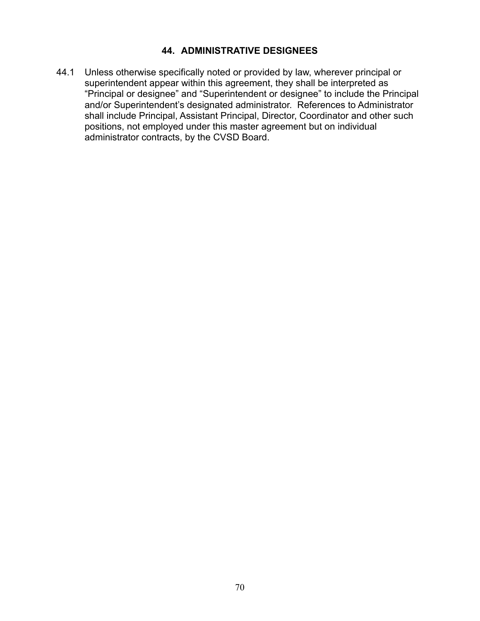## **44. ADMINISTRATIVE DESIGNEES**

44.1 Unless otherwise specifically noted or provided by law, wherever principal or superintendent appear within this agreement, they shall be interpreted as "Principal or designee" and "Superintendent or designee" to include the Principal and/or Superintendent's designated administrator. References to Administrator shall include Principal, Assistant Principal, Director, Coordinator and other such positions, not employed under this master agreement but on individual administrator contracts, by the CVSD Board.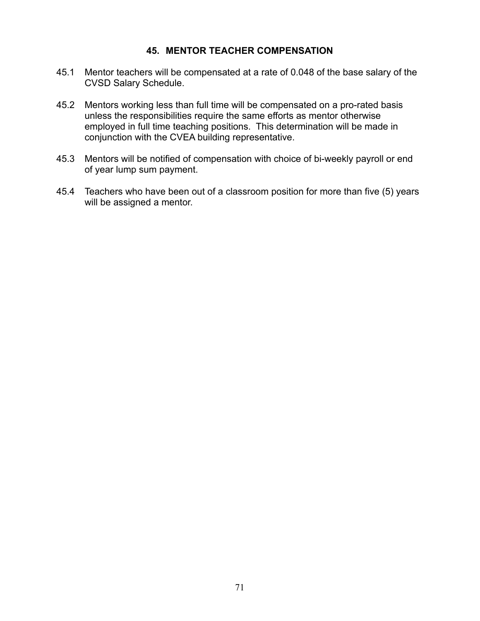#### **45. MENTOR TEACHER COMPENSATION**

- 45.1 Mentor teachers will be compensated at a rate of 0.048 of the base salary of the CVSD Salary Schedule.
- 45.2 Mentors working less than full time will be compensated on a pro-rated basis unless the responsibilities require the same efforts as mentor otherwise employed in full time teaching positions. This determination will be made in conjunction with the CVEA building representative.
- 45.3 Mentors will be notified of compensation with choice of bi-weekly payroll or end of year lump sum payment.
- 45.4 Teachers who have been out of a classroom position for more than five (5) years will be assigned a mentor.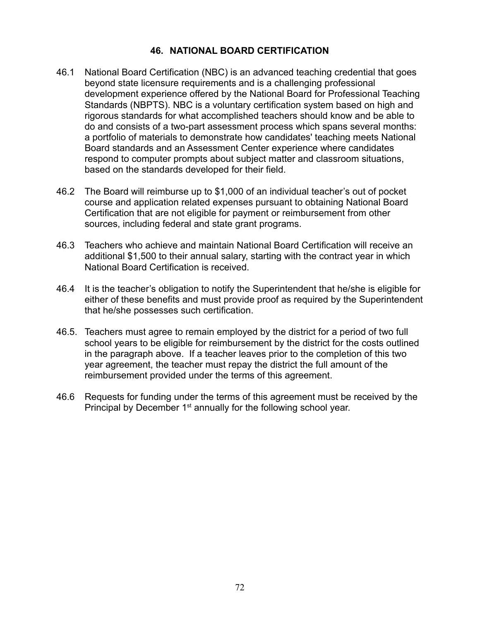## **46. NATIONAL BOARD CERTIFICATION**

- 46.1 National Board Certification (NBC) is an advanced teaching credential that goes beyond state licensure requirements and is a challenging professional development experience offered by the National Board for Professional Teaching Standards (NBPTS). NBC is a voluntary certification system based on high and rigorous standards for what accomplished teachers should know and be able to do and consists of a two-part assessment process which spans several months: a portfolio of materials to demonstrate how candidates' teaching meets National Board standards and an Assessment Center experience where candidates respond to computer prompts about subject matter and classroom situations, based on the standards developed for their field.
- 46.2 The Board will reimburse up to \$1,000 of an individual teacher's out of pocket course and application related expenses pursuant to obtaining National Board Certification that are not eligible for payment or reimbursement from other sources, including federal and state grant programs.
- 46.3 Teachers who achieve and maintain National Board Certification will receive an additional \$1,500 to their annual salary, starting with the contract year in which National Board Certification is received.
- 46.4 It is the teacher's obligation to notify the Superintendent that he/she is eligible for either of these benefits and must provide proof as required by the Superintendent that he/she possesses such certification.
- 46.5. Teachers must agree to remain employed by the district for a period of two full school years to be eligible for reimbursement by the district for the costs outlined in the paragraph above. If a teacher leaves prior to the completion of this two year agreement, the teacher must repay the district the full amount of the reimbursement provided under the terms of this agreement.
- 46.6 Requests for funding under the terms of this agreement must be received by the Principal by December 1<sup>st</sup> annually for the following school year.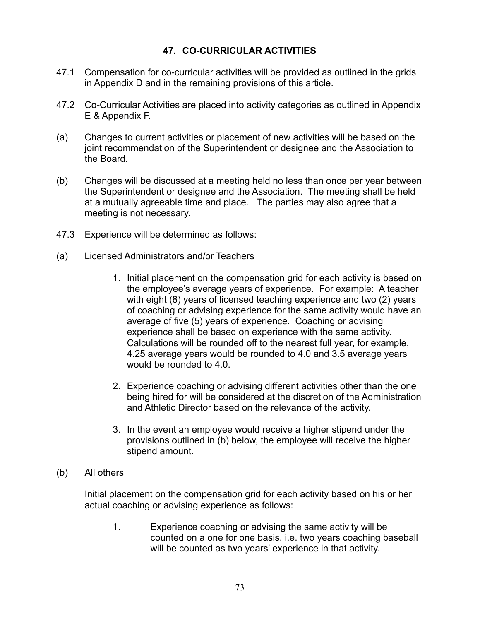### **47. CO-CURRICULAR ACTIVITIES**

- 47.1 Compensation for co-curricular activities will be provided as outlined in the grids in Appendix D and in the remaining provisions of this article.
- 47.2 Co-Curricular Activities are placed into activity categories as outlined in Appendix E & Appendix F.
- (a) Changes to current activities or placement of new activities will be based on the joint recommendation of the Superintendent or designee and the Association to the Board.
- (b) Changes will be discussed at a meeting held no less than once per year between the Superintendent or designee and the Association. The meeting shall be held at a mutually agreeable time and place. The parties may also agree that a meeting is not necessary.
- 47.3 Experience will be determined as follows:
- (a) Licensed Administrators and/or Teachers
	- 1. Initial placement on the compensation grid for each activity is based on the employee's average years of experience. For example: A teacher with eight (8) years of licensed teaching experience and two (2) years of coaching or advising experience for the same activity would have an average of five (5) years of experience. Coaching or advising experience shall be based on experience with the same activity. Calculations will be rounded off to the nearest full year, for example, 4.25 average years would be rounded to 4.0 and 3.5 average years would be rounded to 4.0.
	- 2. Experience coaching or advising different activities other than the one being hired for will be considered at the discretion of the Administration and Athletic Director based on the relevance of the activity.
	- 3. In the event an employee would receive a higher stipend under the provisions outlined in (b) below, the employee will receive the higher stipend amount.
- (b) All others

Initial placement on the compensation grid for each activity based on his or her actual coaching or advising experience as follows:

1. Experience coaching or advising the same activity will be counted on a one for one basis, i.e. two years coaching baseball will be counted as two years' experience in that activity.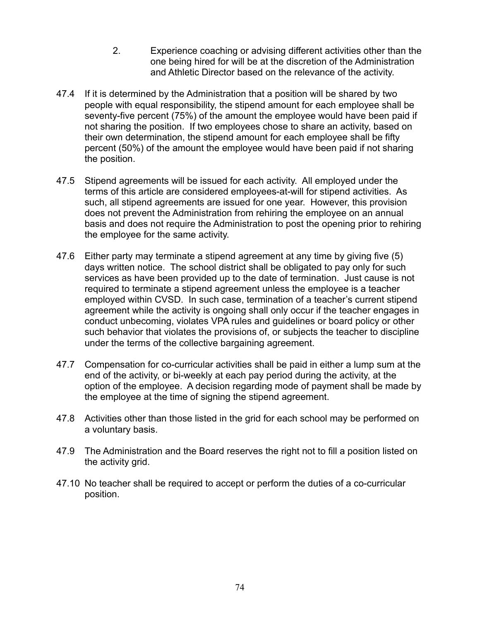- 2. Experience coaching or advising different activities other than the one being hired for will be at the discretion of the Administration and Athletic Director based on the relevance of the activity.
- 47.4 If it is determined by the Administration that a position will be shared by two people with equal responsibility, the stipend amount for each employee shall be seventy-five percent (75%) of the amount the employee would have been paid if not sharing the position. If two employees chose to share an activity, based on their own determination, the stipend amount for each employee shall be fifty percent (50%) of the amount the employee would have been paid if not sharing the position.
- 47.5 Stipend agreements will be issued for each activity. All employed under the terms of this article are considered employees-at-will for stipend activities. As such, all stipend agreements are issued for one year. However, this provision does not prevent the Administration from rehiring the employee on an annual basis and does not require the Administration to post the opening prior to rehiring the employee for the same activity.
- 47.6 Either party may terminate a stipend agreement at any time by giving five (5) days written notice. The school district shall be obligated to pay only for such services as have been provided up to the date of termination. Just cause is not required to terminate a stipend agreement unless the employee is a teacher employed within CVSD. In such case, termination of a teacher's current stipend agreement while the activity is ongoing shall only occur if the teacher engages in conduct unbecoming, violates VPA rules and guidelines or board policy or other such behavior that violates the provisions of, or subjects the teacher to discipline under the terms of the collective bargaining agreement.
- 47.7 Compensation for co-curricular activities shall be paid in either a lump sum at the end of the activity, or bi-weekly at each pay period during the activity, at the option of the employee. A decision regarding mode of payment shall be made by the employee at the time of signing the stipend agreement.
- 47.8 Activities other than those listed in the grid for each school may be performed on a voluntary basis.
- 47.9 The Administration and the Board reserves the right not to fill a position listed on the activity grid.
- 47.10 No teacher shall be required to accept or perform the duties of a co-curricular position.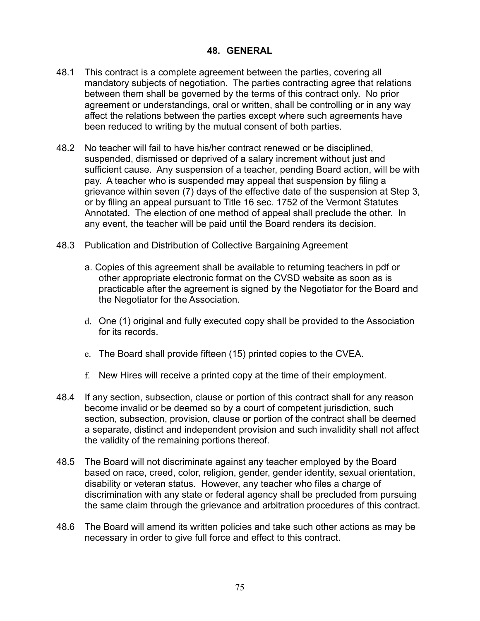#### **48. GENERAL**

- 48.1 This contract is a complete agreement between the parties, covering all mandatory subjects of negotiation. The parties contracting agree that relations between them shall be governed by the terms of this contract only. No prior agreement or understandings, oral or written, shall be controlling or in any way affect the relations between the parties except where such agreements have been reduced to writing by the mutual consent of both parties.
- 48.2 No teacher will fail to have his/her contract renewed or be disciplined, suspended, dismissed or deprived of a salary increment without just and sufficient cause. Any suspension of a teacher, pending Board action, will be with pay. A teacher who is suspended may appeal that suspension by filing a grievance within seven (7) days of the effective date of the suspension at Step 3, or by filing an appeal pursuant to Title 16 sec. 1752 of the Vermont Statutes Annotated. The election of one method of appeal shall preclude the other. In any event, the teacher will be paid until the Board renders its decision.
- 48.3 Publication and Distribution of Collective Bargaining Agreement
	- a. Copies of this agreement shall be available to returning teachers in pdf or other appropriate electronic format on the CVSD website as soon as is practicable after the agreement is signed by the Negotiator for the Board and the Negotiator for the Association.
	- d. One (1) original and fully executed copy shall be provided to the Association for its records.
	- e. The Board shall provide fifteen (15) printed copies to the CVEA.
	- f. New Hires will receive a printed copy at the time of their employment.
- 48.4 If any section, subsection, clause or portion of this contract shall for any reason become invalid or be deemed so by a court of competent jurisdiction, such section, subsection, provision, clause or portion of the contract shall be deemed a separate, distinct and independent provision and such invalidity shall not affect the validity of the remaining portions thereof.
- 48.5 The Board will not discriminate against any teacher employed by the Board based on race, creed, color, religion, gender, gender identity, sexual orientation, disability or veteran status. However, any teacher who files a charge of discrimination with any state or federal agency shall be precluded from pursuing the same claim through the grievance and arbitration procedures of this contract.
- 48.6 The Board will amend its written policies and take such other actions as may be necessary in order to give full force and effect to this contract.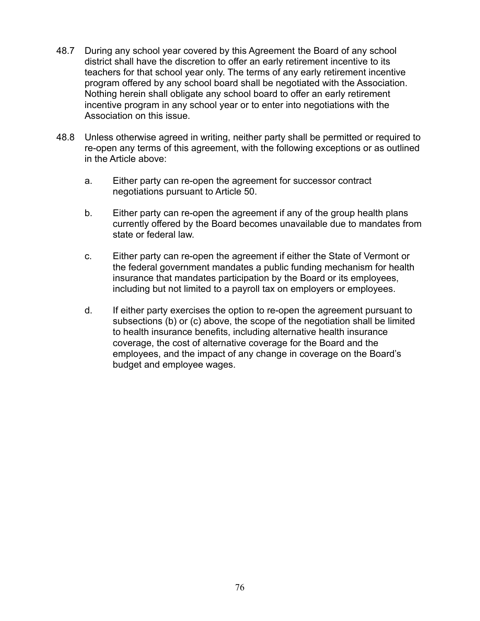- 48.7 During any school year covered by this Agreement the Board of any school district shall have the discretion to offer an early retirement incentive to its teachers for that school year only. The terms of any early retirement incentive program offered by any school board shall be negotiated with the Association. Nothing herein shall obligate any school board to offer an early retirement incentive program in any school year or to enter into negotiations with the Association on this issue.
- 48.8 Unless otherwise agreed in writing, neither party shall be permitted or required to re-open any terms of this agreement, with the following exceptions or as outlined in the Article above:
	- a. Either party can re-open the agreement for successor contract negotiations pursuant to Article 50.
	- b. Either party can re-open the agreement if any of the group health plans currently offered by the Board becomes unavailable due to mandates from state or federal law.
	- c. Either party can re-open the agreement if either the State of Vermont or the federal government mandates a public funding mechanism for health insurance that mandates participation by the Board or its employees, including but not limited to a payroll tax on employers or employees.
	- d. If either party exercises the option to re-open the agreement pursuant to subsections (b) or (c) above, the scope of the negotiation shall be limited to health insurance benefits, including alternative health insurance coverage, the cost of alternative coverage for the Board and the employees, and the impact of any change in coverage on the Board's budget and employee wages.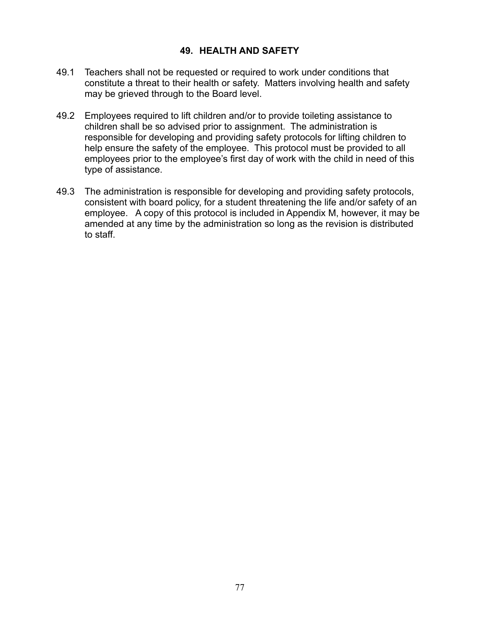#### **49. HEALTH AND SAFETY**

- 49.1 Teachers shall not be requested or required to work under conditions that constitute a threat to their health or safety. Matters involving health and safety may be grieved through to the Board level.
- 49.2 Employees required to lift children and/or to provide toileting assistance to children shall be so advised prior to assignment. The administration is responsible for developing and providing safety protocols for lifting children to help ensure the safety of the employee. This protocol must be provided to all employees prior to the employee's first day of work with the child in need of this type of assistance.
- 49.3 The administration is responsible for developing and providing safety protocols, consistent with board policy, for a student threatening the life and/or safety of an employee. A copy of this protocol is included in Appendix M, however, it may be amended at any time by the administration so long as the revision is distributed to staff.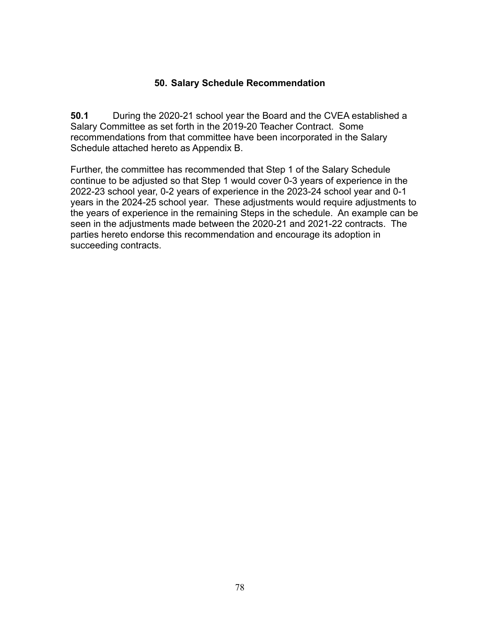#### **50. Salary Schedule Recommendation**

**50.1** During the 2020-21 school year the Board and the CVEA established a Salary Committee as set forth in the 2019-20 Teacher Contract. Some recommendations from that committee have been incorporated in the Salary Schedule attached hereto as Appendix B.

Further, the committee has recommended that Step 1 of the Salary Schedule continue to be adjusted so that Step 1 would cover 0-3 years of experience in the 2022-23 school year, 0-2 years of experience in the 2023-24 school year and 0-1 years in the 2024-25 school year. These adjustments would require adjustments to the years of experience in the remaining Steps in the schedule. An example can be seen in the adjustments made between the 2020-21 and 2021-22 contracts. The parties hereto endorse this recommendation and encourage its adoption in succeeding contracts.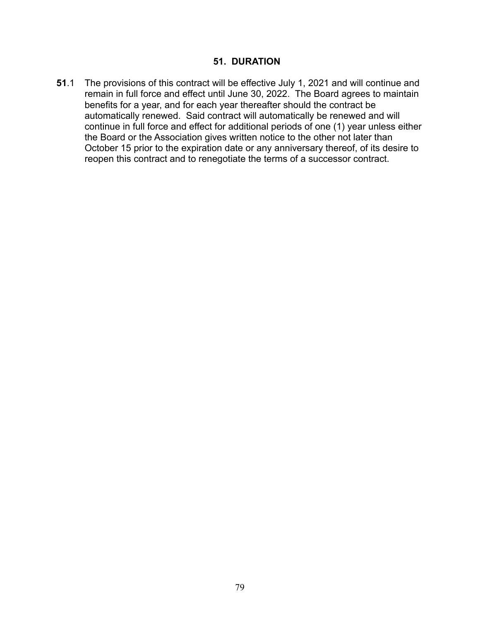#### **51. DURATION**

**51**.1 The provisions of this contract will be effective July 1, 2021 and will continue and remain in full force and effect until June 30, 2022. The Board agrees to maintain benefits for a year, and for each year thereafter should the contract be automatically renewed. Said contract will automatically be renewed and will continue in full force and effect for additional periods of one (1) year unless either the Board or the Association gives written notice to the other not later than October 15 prior to the expiration date or any anniversary thereof, of its desire to reopen this contract and to renegotiate the terms of a successor contract.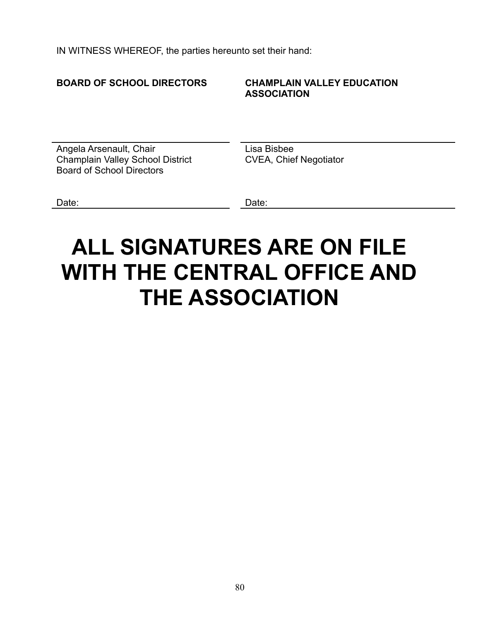IN WITNESS WHEREOF, the parties hereunto set their hand:

#### **BOARD OF SCHOOL DIRECTORS CHAMPLAIN VALLEY EDUCATION ASSOCIATION**

Angela Arsenault, Chair Champlain Valley School District Board of School Directors

Lisa Bisbee CVEA, Chief Negotiator

Date:

# **ALL SIGNATURES ARE ON FILE WITH THE CENTRAL OFFICE AND THE ASSOCIATION**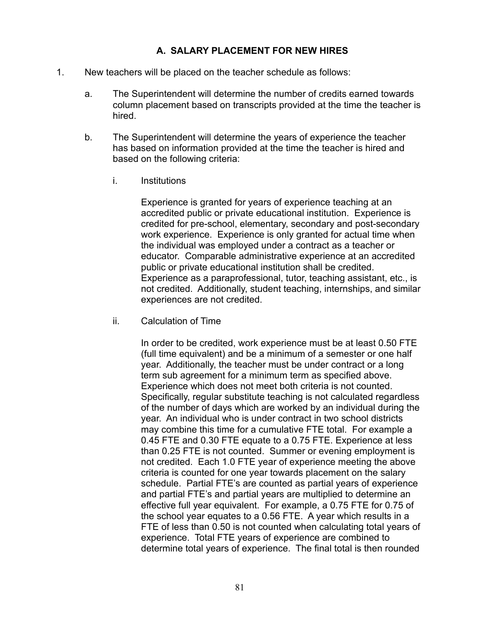#### **A. SALARY PLACEMENT FOR NEW HIRES**

- 1. New teachers will be placed on the teacher schedule as follows:
	- a. The Superintendent will determine the number of credits earned towards column placement based on transcripts provided at the time the teacher is hired.
	- b. The Superintendent will determine the years of experience the teacher has based on information provided at the time the teacher is hired and based on the following criteria:
		- i. Institutions

Experience is granted for years of experience teaching at an accredited public or private educational institution. Experience is credited for pre-school, elementary, secondary and post-secondary work experience. Experience is only granted for actual time when the individual was employed under a contract as a teacher or educator. Comparable administrative experience at an accredited public or private educational institution shall be credited. Experience as a paraprofessional, tutor, teaching assistant, etc., is not credited. Additionally, student teaching, internships, and similar experiences are not credited.

ii. Calculation of Time

In order to be credited, work experience must be at least 0.50 FTE (full time equivalent) and be a minimum of a semester or one half year. Additionally, the teacher must be under contract or a long term sub agreement for a minimum term as specified above. Experience which does not meet both criteria is not counted. Specifically, regular substitute teaching is not calculated regardless of the number of days which are worked by an individual during the year. An individual who is under contract in two school districts may combine this time for a cumulative FTE total. For example a 0.45 FTE and 0.30 FTE equate to a 0.75 FTE. Experience at less than 0.25 FTE is not counted. Summer or evening employment is not credited. Each 1.0 FTE year of experience meeting the above criteria is counted for one year towards placement on the salary schedule. Partial FTE's are counted as partial years of experience and partial FTE's and partial years are multiplied to determine an effective full year equivalent. For example, a 0.75 FTE for 0.75 of the school year equates to a 0.56 FTE. A year which results in a FTE of less than 0.50 is not counted when calculating total years of experience. Total FTE years of experience are combined to determine total years of experience. The final total is then rounded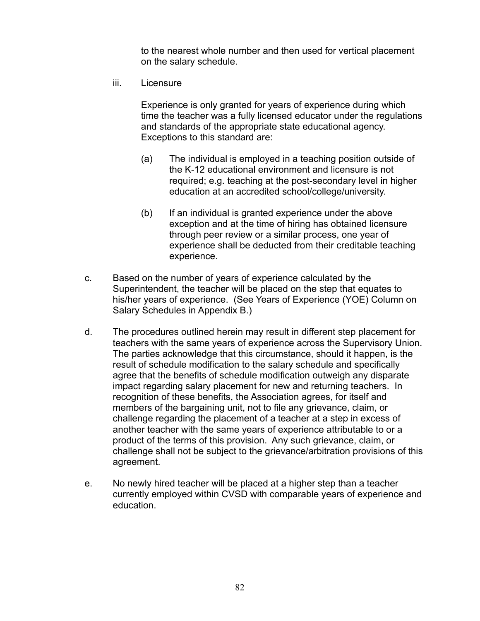to the nearest whole number and then used for vertical placement on the salary schedule.

iii. Licensure

Experience is only granted for years of experience during which time the teacher was a fully licensed educator under the regulations and standards of the appropriate state educational agency. Exceptions to this standard are:

- (a) The individual is employed in a teaching position outside of the K-12 educational environment and licensure is not required; e.g. teaching at the post-secondary level in higher education at an accredited school/college/university.
- (b) If an individual is granted experience under the above exception and at the time of hiring has obtained licensure through peer review or a similar process, one year of experience shall be deducted from their creditable teaching experience.
- c. Based on the number of years of experience calculated by the Superintendent, the teacher will be placed on the step that equates to his/her years of experience. (See Years of Experience (YOE) Column on Salary Schedules in Appendix B.)
- d. The procedures outlined herein may result in different step placement for teachers with the same years of experience across the Supervisory Union. The parties acknowledge that this circumstance, should it happen, is the result of schedule modification to the salary schedule and specifically agree that the benefits of schedule modification outweigh any disparate impact regarding salary placement for new and returning teachers. In recognition of these benefits, the Association agrees, for itself and members of the bargaining unit, not to file any grievance, claim, or challenge regarding the placement of a teacher at a step in excess of another teacher with the same years of experience attributable to or a product of the terms of this provision. Any such grievance, claim, or challenge shall not be subject to the grievance/arbitration provisions of this agreement.
- e. No newly hired teacher will be placed at a higher step than a teacher currently employed within CVSD with comparable years of experience and education.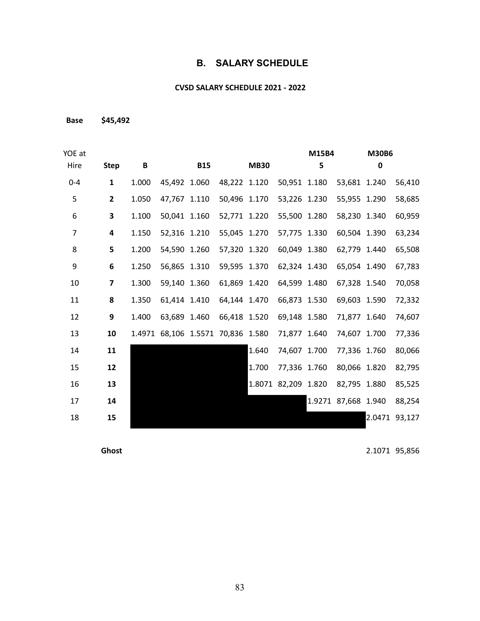#### **B. SALARY SCHEDULE**

#### **CVSD SALARY SCHEDULE 2021 - 2022**

**Base \$45,492**

| YOE at  |                         |        |              |            |                            |             |              | M15B4 |                     | <b>M30B6</b> |        |
|---------|-------------------------|--------|--------------|------------|----------------------------|-------------|--------------|-------|---------------------|--------------|--------|
| Hire    | <b>Step</b>             | B      |              | <b>B15</b> |                            | <b>MB30</b> |              | 5     |                     | 0            |        |
| $0 - 4$ | $\mathbf{1}$            | 1.000  | 45,492 1.060 |            | 48,222 1.120               |             | 50,951 1.180 |       | 53,681 1.240        |              | 56,410 |
| 5       | $\mathbf{2}$            | 1.050  | 47,767 1.110 |            | 50,496 1.170               |             | 53,226 1.230 |       | 55,955 1.290        |              | 58,685 |
| 6       | 3                       | 1.100  | 50,041 1.160 |            | 52,771 1.220               |             | 55,500 1.280 |       | 58,230 1.340        |              | 60,959 |
| 7       | 4                       | 1.150  | 52,316 1.210 |            | 55,045 1.270               |             | 57,775 1.330 |       | 60,504 1.390        |              | 63,234 |
| 8       | 5                       | 1.200  | 54,590 1.260 |            | 57,320 1.320               |             | 60,049 1.380 |       | 62,779 1.440        |              | 65,508 |
| 9       | 6                       | 1.250  | 56,865 1.310 |            | 59,595 1.370               |             | 62,324 1.430 |       | 65,054 1.490        |              | 67,783 |
| 10      | $\overline{\mathbf{z}}$ | 1.300  | 59,140 1.360 |            | 61,869 1.420               |             | 64,599 1.480 |       | 67,328 1.540        |              | 70,058 |
| 11      | 8                       | 1.350  | 61,414 1.410 |            | 64,144 1.470               |             | 66,873 1.530 |       | 69,603 1.590        |              | 72,332 |
| 12      | 9                       | 1.400  | 63,689       | 1.460      | 66,418 1.520               |             | 69,148 1.580 |       | 71,877 1.640        |              | 74,607 |
| 13      | 10                      | 1.4971 |              |            | 68,106 1.5571 70,836 1.580 |             | 71,877 1.640 |       | 74,607 1.700        |              | 77,336 |
| 14      | 11                      |        |              |            |                            | 1.640       | 74,607 1.700 |       | 77,336 1.760        |              | 80,066 |
| 15      | 12                      |        |              |            |                            | 1.700       | 77,336 1.760 |       | 80,066 1.820        |              | 82,795 |
| 16      | 13                      |        |              |            |                            | 1.8071      | 82,209 1.820 |       | 82,795 1.880        |              | 85,525 |
| 17      | 14                      |        |              |            |                            |             |              |       | 1.9271 87,668 1.940 |              | 88,254 |
| 18      | 15                      |        |              |            |                            |             |              |       |                     | 2.0471       | 93,127 |
|         |                         |        |              |            |                            |             |              |       |                     |              |        |

**Ghost** 2.1071 95,856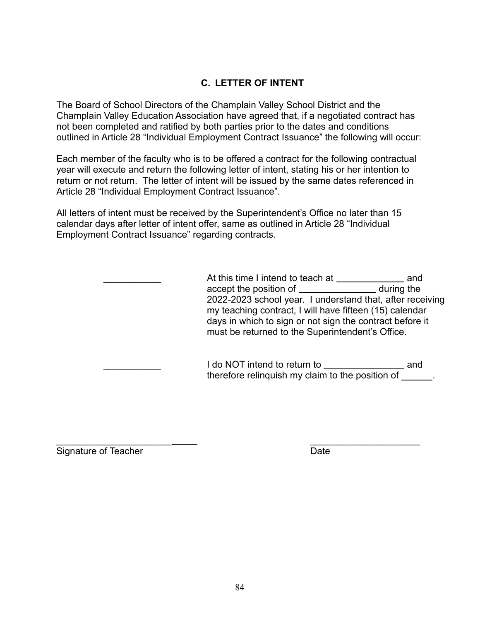### **C. LETTER OF INTENT**

The Board of School Directors of the Champlain Valley School District and the Champlain Valley Education Association have agreed that, if a negotiated contract has not been completed and ratified by both parties prior to the dates and conditions outlined in Article 28 "Individual Employment Contract Issuance" the following will occur:

Each member of the faculty who is to be offered a contract for the following contractual year will execute and return the following letter of intent, stating his or her intention to return or not return. The letter of intent will be issued by the same dates referenced in Article 28 "Individual Employment Contract Issuance".

All letters of intent must be received by the Superintendent's Office no later than 15 calendar days after letter of intent offer, same as outlined in Article 28 "Individual Employment Contract Issuance" regarding contracts.

> At this time I intend to teach at **with the set of the set of the set of the set of the set of the set of the s** accept the position of \_\_\_\_\_\_\_\_\_\_\_\_\_\_\_\_\_\_\_\_\_\_ during the 2022-2023 school year. I understand that, after receiving my teaching contract, I will have fifteen (15) calendar days in which to sign or not sign the contract before it must be returned to the Superintendent's Office.

> > I do NOT intend to return to **constant of the NOT** and therefore relinquish my claim to the position of .

Signature of Teacher **Date** Date

\_\_\_\_\_\_\_\_\_\_\_\_\_\_\_\_\_\_\_\_\_\_ \_\_\_\_\_\_\_\_\_\_\_\_\_\_\_\_\_\_\_\_\_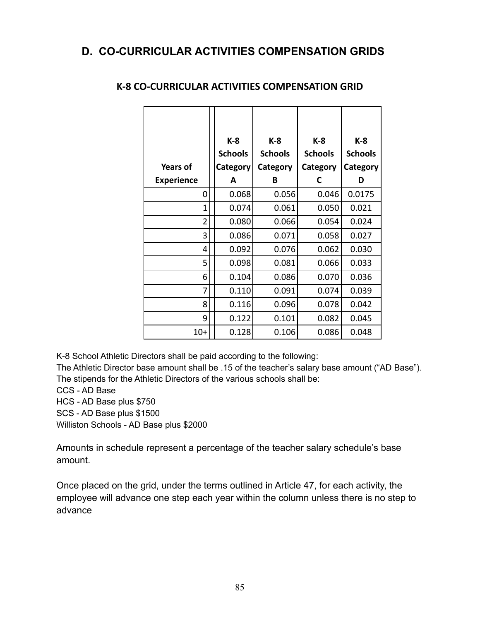# **D. CO-CURRICULAR ACTIVITIES COMPENSATION GRIDS**

|                   | K-8             | K-8            | K-8            | K-8            |
|-------------------|-----------------|----------------|----------------|----------------|
|                   | <b>Schools</b>  | <b>Schools</b> | <b>Schools</b> | <b>Schools</b> |
| Years of          | <b>Category</b> | Category       | Category       | Category       |
| <b>Experience</b> | A               | В              | C              | D              |
| 0                 | 0.068           | 0.056          | 0.046          | 0.0175         |
| 1                 | 0.074           | 0.061          | 0.050          | 0.021          |
| $\overline{2}$    | 0.080           | 0.066          | 0.054          | 0.024          |
| 3                 | 0.086           | 0.071          | 0.058          | 0.027          |
| 4                 | 0.092           | 0.076          | 0.062          | 0.030          |
| 5                 | 0.098           | 0.081          | 0.066          | 0.033          |
| 6                 | 0.104           | 0.086          | 0.070          | 0.036          |
| 7                 | 0.110           | 0.091          | 0.074          | 0.039          |
| 8                 | 0.116           | 0.096          | 0.078          | 0.042          |
| 9                 | 0.122           | 0.101          | 0.082          | 0.045          |
| $10+$             | 0.128           | 0.106          | 0.086          | 0.048          |

#### **K-8 CO-CURRICULAR ACTIVITIES COMPENSATION GRID**

K-8 School Athletic Directors shall be paid according to the following:

The Athletic Director base amount shall be .15 of the teacher's salary base amount ("AD Base"). The stipends for the Athletic Directors of the various schools shall be:

CCS - AD Base

HCS - AD Base plus \$750

SCS - AD Base plus \$1500

Williston Schools - AD Base plus \$2000

Amounts in schedule represent a percentage of the teacher salary schedule's base amount.

Once placed on the grid, under the terms outlined in Article 47, for each activity, the employee will advance one step each year within the column unless there is no step to advance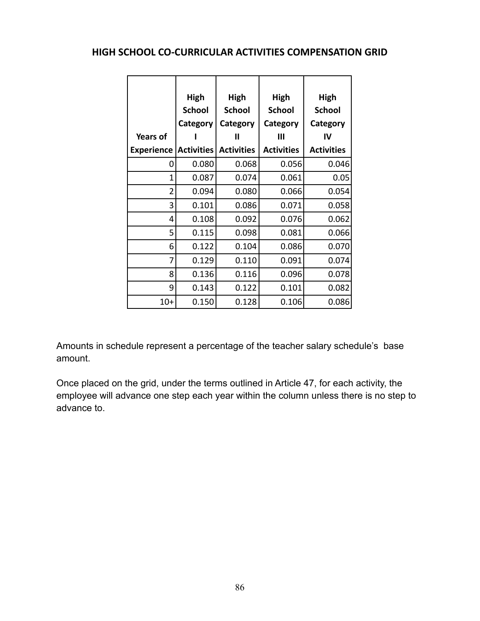#### **HIGH SCHOOL CO-CURRICULAR ACTIVITIES COMPENSATION GRID**

| <b>Years of</b><br><b>Experience</b> | High<br><b>School</b><br>Category<br><b>Activities</b> | High<br><b>School</b><br>Category<br>Ш<br><b>Activities</b> | High<br><b>School</b><br>Category<br>Ш<br><b>Activities</b> | High<br><b>School</b><br>Category<br>IV<br><b>Activities</b> |
|--------------------------------------|--------------------------------------------------------|-------------------------------------------------------------|-------------------------------------------------------------|--------------------------------------------------------------|
| 0                                    | 0.080                                                  | 0.068                                                       | 0.056                                                       | 0.046                                                        |
| 1                                    | 0.087                                                  | 0.074                                                       | 0.061                                                       | 0.05                                                         |
| $\overline{2}$                       | 0.094                                                  | 0.080                                                       | 0.066                                                       | 0.054                                                        |
| 3                                    | 0.101                                                  | 0.086                                                       | 0.071                                                       | 0.058                                                        |
| 4                                    | 0.108                                                  | 0.092                                                       | 0.076                                                       | 0.062                                                        |
| 5                                    | 0.115                                                  | 0.098                                                       | 0.081                                                       | 0.066                                                        |
| 6                                    | 0.122                                                  | 0.104                                                       | 0.086                                                       | 0.070                                                        |
| 7                                    | 0.129                                                  | 0.110                                                       | 0.091                                                       | 0.074                                                        |
| 8                                    | 0.136                                                  | 0.116                                                       | 0.096                                                       | 0.078                                                        |
| 9                                    | 0.143                                                  | 0.122                                                       | 0.101                                                       | 0.082                                                        |
| $10+$                                | 0.150                                                  | 0.128                                                       | 0.106                                                       | 0.086                                                        |

Amounts in schedule represent a percentage of the teacher salary schedule's base amount.

Once placed on the grid, under the terms outlined in Article 47, for each activity, the employee will advance one step each year within the column unless there is no step to advance to.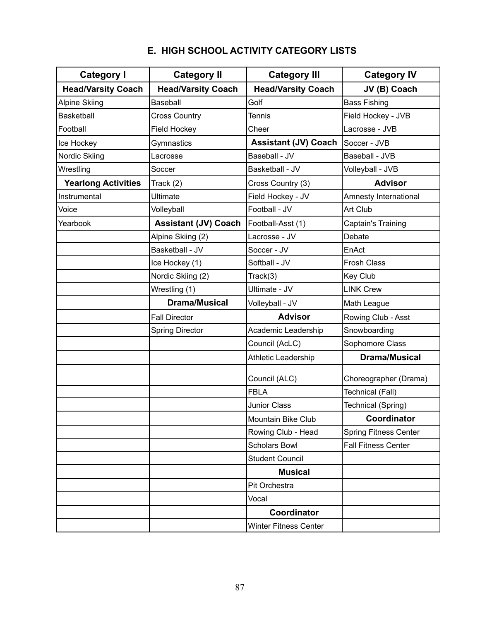| <b>Category I</b>          | <b>Category II</b>          | <b>Category III</b>          | <b>Category IV</b>           |  |  |
|----------------------------|-----------------------------|------------------------------|------------------------------|--|--|
| <b>Head/Varsity Coach</b>  | <b>Head/Varsity Coach</b>   | <b>Head/Varsity Coach</b>    | JV (B) Coach                 |  |  |
| <b>Alpine Skiing</b>       | Baseball                    | Golf                         | <b>Bass Fishing</b>          |  |  |
| <b>Basketball</b>          | <b>Cross Country</b>        | <b>Tennis</b>                | Field Hockey - JVB           |  |  |
| Football                   | Field Hockey                | Cheer                        | Lacrosse - JVB               |  |  |
| Ice Hockey                 | Gymnastics                  | <b>Assistant (JV) Coach</b>  | Soccer - JVB                 |  |  |
| Nordic Skiing              | Lacrosse                    | Baseball - JV                | Baseball - JVB               |  |  |
| Wrestling                  | Soccer                      | Basketball - JV              | Volleyball - JVB             |  |  |
| <b>Yearlong Activities</b> | Track (2)                   | Cross Country (3)            | <b>Advisor</b>               |  |  |
| Instrumental               | <b>Ultimate</b>             | Field Hockey - JV            | Amnesty International        |  |  |
| Voice                      | Volleyball                  | Football - JV                | Art Club                     |  |  |
| Yearbook                   | <b>Assistant (JV) Coach</b> | Football-Asst (1)            | Captain's Training           |  |  |
|                            | Alpine Skiing (2)           | Lacrosse - JV                | Debate                       |  |  |
|                            | Basketball - JV             | Soccer - JV                  | EnAct                        |  |  |
|                            | Ice Hockey (1)              | Softball - JV                | <b>Frosh Class</b>           |  |  |
|                            | Nordic Skiing (2)           | Track(3)                     | Key Club                     |  |  |
|                            | Wrestling (1)               | Ultimate - JV                | <b>LINK Crew</b>             |  |  |
|                            | <b>Drama/Musical</b>        | Volleyball - JV              | Math League                  |  |  |
|                            | <b>Fall Director</b>        | <b>Advisor</b>               | Rowing Club - Asst           |  |  |
|                            | <b>Spring Director</b>      | Academic Leadership          | Snowboarding                 |  |  |
|                            |                             | Council (AcLC)               | Sophomore Class              |  |  |
|                            |                             | Athletic Leadership          | <b>Drama/Musical</b>         |  |  |
|                            |                             | Council (ALC)                | Choreographer (Drama)        |  |  |
|                            |                             | <b>FBLA</b>                  | Technical (Fall)             |  |  |
|                            |                             | <b>Junior Class</b>          | Technical (Spring)           |  |  |
|                            |                             | Mountain Bike Club           | Coordinator                  |  |  |
|                            |                             | Rowing Club - Head           | <b>Spring Fitness Center</b> |  |  |
|                            |                             | <b>Scholars Bowl</b>         | <b>Fall Fitness Center</b>   |  |  |
|                            |                             | <b>Student Council</b>       |                              |  |  |
|                            |                             | <b>Musical</b>               |                              |  |  |
|                            |                             | Pit Orchestra                |                              |  |  |
|                            |                             | Vocal                        |                              |  |  |
|                            |                             | Coordinator                  |                              |  |  |
|                            |                             | <b>Winter Fitness Center</b> |                              |  |  |

# **E. HIGH SCHOOL ACTIVITY CATEGORY LISTS**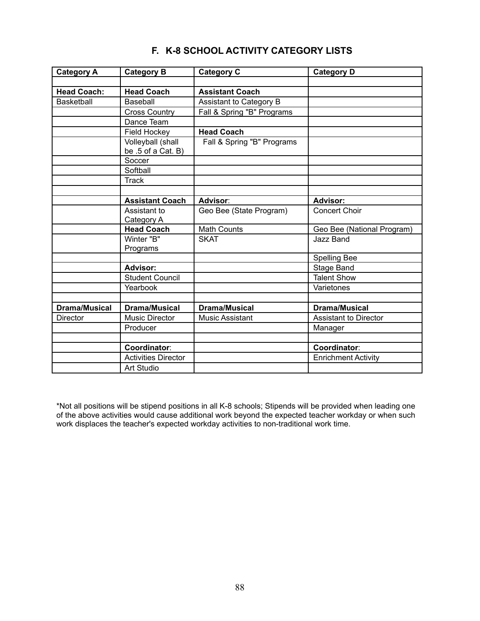| <b>Category A</b>    | <b>Category B</b>                       | <b>Category C</b>          | <b>Category D</b>          |
|----------------------|-----------------------------------------|----------------------------|----------------------------|
|                      |                                         |                            |                            |
| <b>Head Coach:</b>   | <b>Head Coach</b>                       | <b>Assistant Coach</b>     |                            |
| <b>Basketball</b>    | Baseball                                | Assistant to Category B    |                            |
|                      | <b>Cross Country</b>                    | Fall & Spring "B" Programs |                            |
|                      | Dance Team                              |                            |                            |
|                      | Field Hockey                            | <b>Head Coach</b>          |                            |
|                      | Volleyball (shall<br>be .5 of a Cat. B) | Fall & Spring "B" Programs |                            |
|                      | Soccer                                  |                            |                            |
|                      | Softball                                |                            |                            |
|                      | Track                                   |                            |                            |
|                      |                                         |                            |                            |
|                      | <b>Assistant Coach</b>                  | Advisor:                   | <b>Advisor:</b>            |
|                      | Assistant to<br>Category A              | Geo Bee (State Program)    | <b>Concert Choir</b>       |
|                      | <b>Head Coach</b>                       | <b>Math Counts</b>         | Geo Bee (National Program) |
|                      | Winter "B"<br>Programs                  | <b>SKAT</b>                | <b>Jazz Band</b>           |
|                      |                                         |                            | <b>Spelling Bee</b>        |
|                      | <b>Advisor:</b>                         |                            | Stage Band                 |
|                      | <b>Student Council</b>                  |                            | <b>Talent Show</b>         |
|                      | Yearbook                                |                            | Varietones                 |
|                      |                                         |                            |                            |
| <b>Drama/Musical</b> | <b>Drama/Musical</b>                    | <b>Drama/Musical</b>       | <b>Drama/Musical</b>       |
| <b>Director</b>      | Music Director                          | <b>Music Assistant</b>     | Assistant to Director      |
|                      | Producer                                |                            | Manager                    |
|                      |                                         |                            |                            |
|                      | Coordinator:                            |                            | Coordinator:               |
|                      | <b>Activities Director</b>              |                            | <b>Enrichment Activity</b> |
|                      | Art Studio                              |                            |                            |

#### **F. K-8 SCHOOL ACTIVITY CATEGORY LISTS**

\*Not all positions will be stipend positions in all K-8 schools; Stipends will be provided when leading one of the above activities would cause additional work beyond the expected teacher workday or when such work displaces the teacher's expected workday activities to non-traditional work time.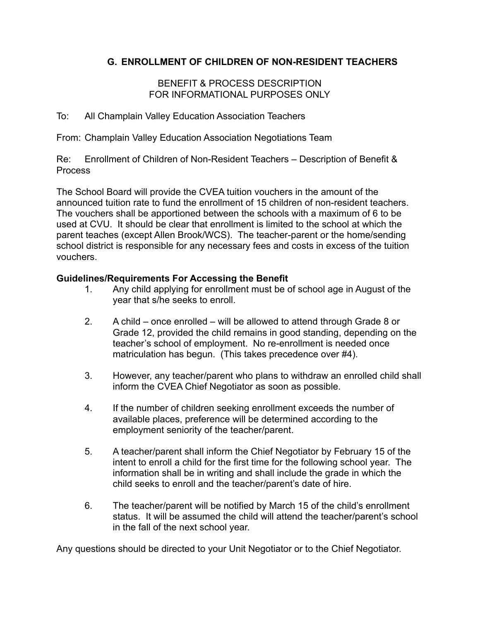#### **G. ENROLLMENT OF CHILDREN OF NON-RESIDENT TEACHERS**

#### BENEFIT & PROCESS DESCRIPTION FOR INFORMATIONAL PURPOSES ONLY

To: All Champlain Valley Education Association Teachers

From: Champlain Valley Education Association Negotiations Team

Re: Enrollment of Children of Non-Resident Teachers – Description of Benefit & Process

The School Board will provide the CVEA tuition vouchers in the amount of the announced tuition rate to fund the enrollment of 15 children of non-resident teachers. The vouchers shall be apportioned between the schools with a maximum of 6 to be used at CVU. It should be clear that enrollment is limited to the school at which the parent teaches (except Allen Brook/WCS). The teacher-parent or the home/sending school district is responsible for any necessary fees and costs in excess of the tuition vouchers.

#### **Guidelines/Requirements For Accessing the Benefit**

- 1. Any child applying for enrollment must be of school age in August of the year that s/he seeks to enroll.
- 2. A child once enrolled will be allowed to attend through Grade 8 or Grade 12, provided the child remains in good standing, depending on the teacher's school of employment. No re-enrollment is needed once matriculation has begun. (This takes precedence over #4).
- 3. However, any teacher/parent who plans to withdraw an enrolled child shall inform the CVEA Chief Negotiator as soon as possible.
- 4. If the number of children seeking enrollment exceeds the number of available places, preference will be determined according to the employment seniority of the teacher/parent.
- 5. A teacher/parent shall inform the Chief Negotiator by February 15 of the intent to enroll a child for the first time for the following school year. The information shall be in writing and shall include the grade in which the child seeks to enroll and the teacher/parent's date of hire.
- 6. The teacher/parent will be notified by March 15 of the child's enrollment status. It will be assumed the child will attend the teacher/parent's school in the fall of the next school year.

Any questions should be directed to your Unit Negotiator or to the Chief Negotiator.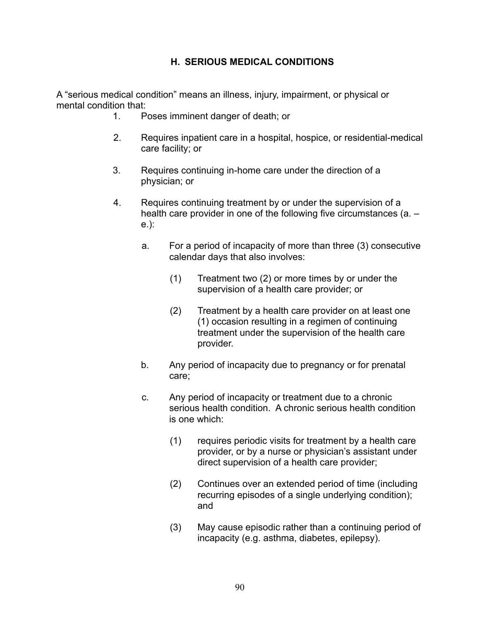#### **H. SERIOUS MEDICAL CONDITIONS**

A "serious medical condition" means an illness, injury, impairment, or physical or mental condition that:

- 1. Poses imminent danger of death; or
- 2. Requires inpatient care in a hospital, hospice, or residential-medical care facility; or
- 3. Requires continuing in-home care under the direction of a physician; or
- 4. Requires continuing treatment by or under the supervision of a health care provider in one of the following five circumstances (a. e.):
	- a. For a period of incapacity of more than three (3) consecutive calendar days that also involves:
		- (1) Treatment two (2) or more times by or under the supervision of a health care provider; or
		- (2) Treatment by a health care provider on at least one (1) occasion resulting in a regimen of continuing treatment under the supervision of the health care provider.
	- b. Any period of incapacity due to pregnancy or for prenatal care;
	- c. Any period of incapacity or treatment due to a chronic serious health condition. A chronic serious health condition is one which:
		- (1) requires periodic visits for treatment by a health care provider, or by a nurse or physician's assistant under direct supervision of a health care provider;
		- (2) Continues over an extended period of time (including recurring episodes of a single underlying condition); and
		- (3) May cause episodic rather than a continuing period of incapacity (e.g. asthma, diabetes, epilepsy).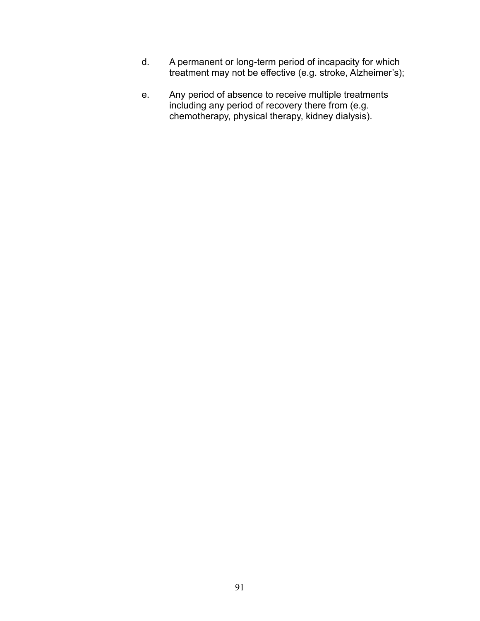- d. A permanent or long-term period of incapacity for which treatment may not be effective (e.g. stroke, Alzheimer's);
- e. Any period of absence to receive multiple treatments including any period of recovery there from (e.g. chemotherapy, physical therapy, kidney dialysis).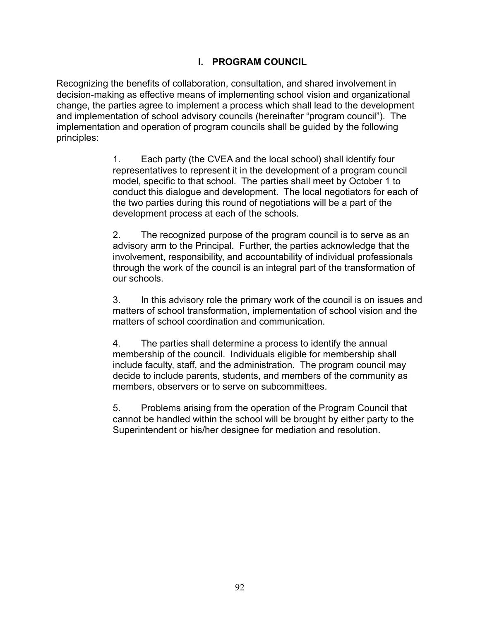#### **I. PROGRAM COUNCIL**

Recognizing the benefits of collaboration, consultation, and shared involvement in decision-making as effective means of implementing school vision and organizational change, the parties agree to implement a process which shall lead to the development and implementation of school advisory councils (hereinafter "program council"). The implementation and operation of program councils shall be guided by the following principles:

> 1. Each party (the CVEA and the local school) shall identify four representatives to represent it in the development of a program council model, specific to that school. The parties shall meet by October 1 to conduct this dialogue and development. The local negotiators for each of the two parties during this round of negotiations will be a part of the development process at each of the schools.

> 2. The recognized purpose of the program council is to serve as an advisory arm to the Principal. Further, the parties acknowledge that the involvement, responsibility, and accountability of individual professionals through the work of the council is an integral part of the transformation of our schools.

3. In this advisory role the primary work of the council is on issues and matters of school transformation, implementation of school vision and the matters of school coordination and communication.

4. The parties shall determine a process to identify the annual membership of the council. Individuals eligible for membership shall include faculty, staff, and the administration. The program council may decide to include parents, students, and members of the community as members, observers or to serve on subcommittees.

5. Problems arising from the operation of the Program Council that cannot be handled within the school will be brought by either party to the Superintendent or his/her designee for mediation and resolution.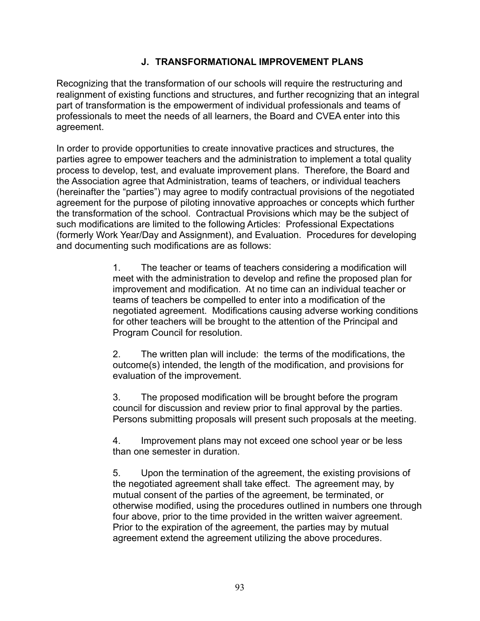#### **J. TRANSFORMATIONAL IMPROVEMENT PLANS**

Recognizing that the transformation of our schools will require the restructuring and realignment of existing functions and structures, and further recognizing that an integral part of transformation is the empowerment of individual professionals and teams of professionals to meet the needs of all learners, the Board and CVEA enter into this agreement.

In order to provide opportunities to create innovative practices and structures, the parties agree to empower teachers and the administration to implement a total quality process to develop, test, and evaluate improvement plans. Therefore, the Board and the Association agree that Administration, teams of teachers, or individual teachers (hereinafter the "parties") may agree to modify contractual provisions of the negotiated agreement for the purpose of piloting innovative approaches or concepts which further the transformation of the school. Contractual Provisions which may be the subject of such modifications are limited to the following Articles: Professional Expectations (formerly Work Year/Day and Assignment), and Evaluation. Procedures for developing and documenting such modifications are as follows:

> 1. The teacher or teams of teachers considering a modification will meet with the administration to develop and refine the proposed plan for improvement and modification. At no time can an individual teacher or teams of teachers be compelled to enter into a modification of the negotiated agreement. Modifications causing adverse working conditions for other teachers will be brought to the attention of the Principal and Program Council for resolution.

2. The written plan will include: the terms of the modifications, the outcome(s) intended, the length of the modification, and provisions for evaluation of the improvement.

3. The proposed modification will be brought before the program council for discussion and review prior to final approval by the parties. Persons submitting proposals will present such proposals at the meeting.

4. Improvement plans may not exceed one school year or be less than one semester in duration.

5. Upon the termination of the agreement, the existing provisions of the negotiated agreement shall take effect. The agreement may, by mutual consent of the parties of the agreement, be terminated, or otherwise modified, using the procedures outlined in numbers one through four above, prior to the time provided in the written waiver agreement. Prior to the expiration of the agreement, the parties may by mutual agreement extend the agreement utilizing the above procedures.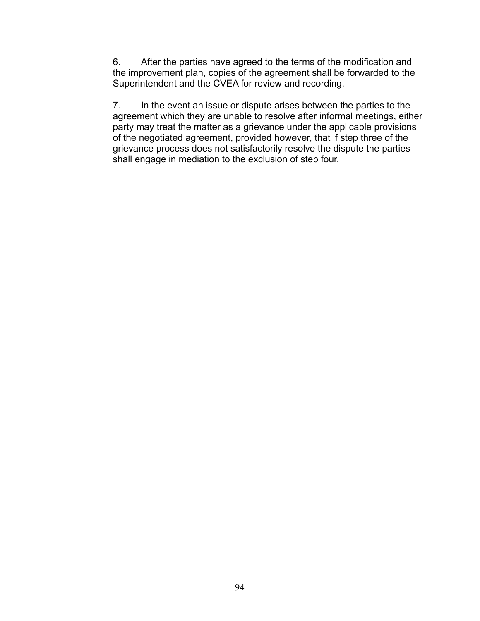6. After the parties have agreed to the terms of the modification and the improvement plan, copies of the agreement shall be forwarded to the Superintendent and the CVEA for review and recording.

7. In the event an issue or dispute arises between the parties to the agreement which they are unable to resolve after informal meetings, either party may treat the matter as a grievance under the applicable provisions of the negotiated agreement, provided however, that if step three of the grievance process does not satisfactorily resolve the dispute the parties shall engage in mediation to the exclusion of step four.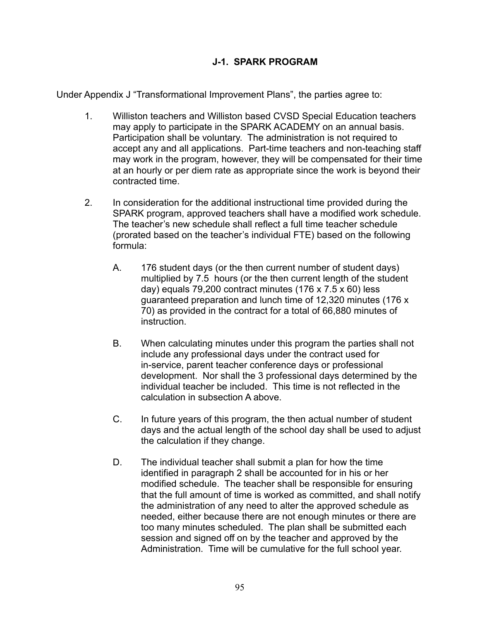#### **J-1. SPARK PROGRAM**

Under Appendix J "Transformational Improvement Plans", the parties agree to:

- 1. Williston teachers and Williston based CVSD Special Education teachers may apply to participate in the SPARK ACADEMY on an annual basis. Participation shall be voluntary. The administration is not required to accept any and all applications. Part-time teachers and non-teaching staff may work in the program, however, they will be compensated for their time at an hourly or per diem rate as appropriate since the work is beyond their contracted time.
- 2. In consideration for the additional instructional time provided during the SPARK program, approved teachers shall have a modified work schedule. The teacher's new schedule shall reflect a full time teacher schedule (prorated based on the teacher's individual FTE) based on the following formula:
	- A. 176 student days (or the then current number of student days) multiplied by 7.5 hours (or the then current length of the student day) equals 79,200 contract minutes (176 x 7.5 x 60) less guaranteed preparation and lunch time of 12,320 minutes (176 x 70) as provided in the contract for a total of 66,880 minutes of instruction.
	- B. When calculating minutes under this program the parties shall not include any professional days under the contract used for in-service, parent teacher conference days or professional development. Nor shall the 3 professional days determined by the individual teacher be included. This time is not reflected in the calculation in subsection A above.
	- C. In future years of this program, the then actual number of student days and the actual length of the school day shall be used to adjust the calculation if they change.
	- D. The individual teacher shall submit a plan for how the time identified in paragraph 2 shall be accounted for in his or her modified schedule. The teacher shall be responsible for ensuring that the full amount of time is worked as committed, and shall notify the administration of any need to alter the approved schedule as needed, either because there are not enough minutes or there are too many minutes scheduled. The plan shall be submitted each session and signed off on by the teacher and approved by the Administration. Time will be cumulative for the full school year.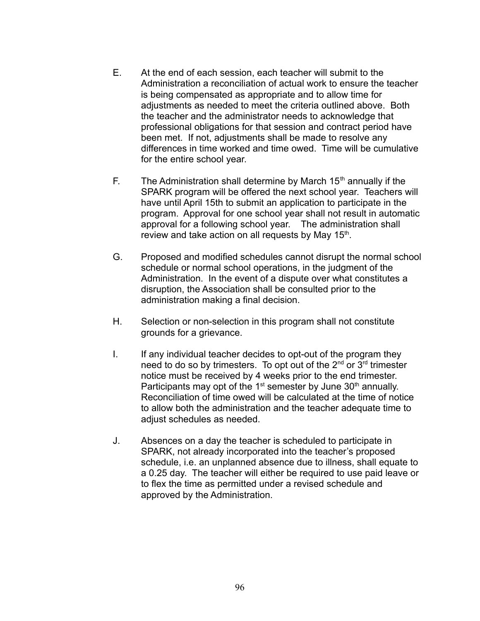- E. At the end of each session, each teacher will submit to the Administration a reconciliation of actual work to ensure the teacher is being compensated as appropriate and to allow time for adjustments as needed to meet the criteria outlined above. Both the teacher and the administrator needs to acknowledge that professional obligations for that session and contract period have been met. If not, adjustments shall be made to resolve any differences in time worked and time owed. Time will be cumulative for the entire school year.
- F. The Administration shall determine by March  $15<sup>th</sup>$  annually if the SPARK program will be offered the next school year. Teachers will have until April 15th to submit an application to participate in the program. Approval for one school year shall not result in automatic approval for a following school year. The administration shall review and take action on all requests by May 15<sup>th</sup>.
- G. Proposed and modified schedules cannot disrupt the normal school schedule or normal school operations, in the judgment of the Administration. In the event of a dispute over what constitutes a disruption, the Association shall be consulted prior to the administration making a final decision.
- H. Selection or non-selection in this program shall not constitute grounds for a grievance.
- I. If any individual teacher decides to opt-out of the program they need to do so by trimesters. To opt out of the 2<sup>nd</sup> or 3<sup>rd</sup> trimester notice must be received by 4 weeks prior to the end trimester. Participants may opt of the  $1<sup>st</sup>$  semester by June  $30<sup>th</sup>$  annually. Reconciliation of time owed will be calculated at the time of notice to allow both the administration and the teacher adequate time to adjust schedules as needed.
- J. Absences on a day the teacher is scheduled to participate in SPARK, not already incorporated into the teacher's proposed schedule, i.e. an unplanned absence due to illness, shall equate to a 0.25 day. The teacher will either be required to use paid leave or to flex the time as permitted under a revised schedule and approved by the Administration.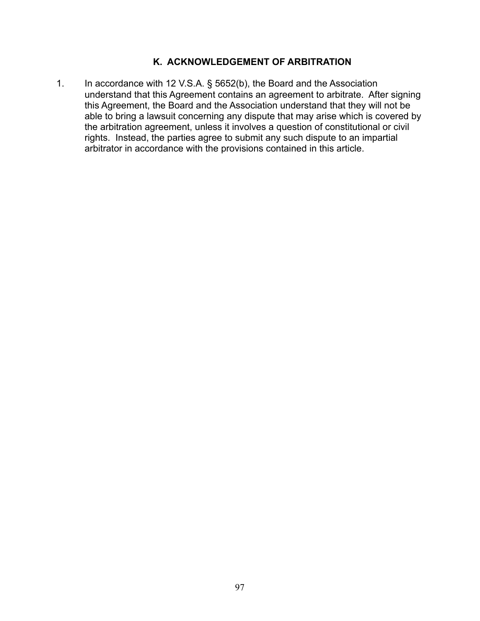# **K. ACKNOWLEDGEMENT OF ARBITRATION**

1. In accordance with 12 V.S.A. § 5652(b), the Board and the Association understand that this Agreement contains an agreement to arbitrate. After signing this Agreement, the Board and the Association understand that they will not be able to bring a lawsuit concerning any dispute that may arise which is covered by the arbitration agreement, unless it involves a question of constitutional or civil rights. Instead, the parties agree to submit any such dispute to an impartial arbitrator in accordance with the provisions contained in this article.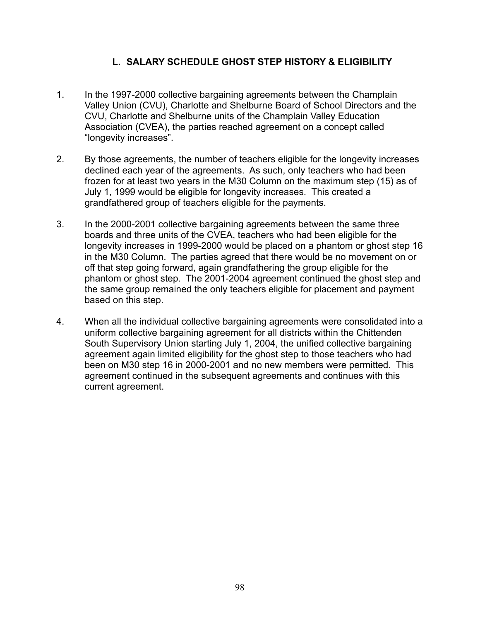#### **L. SALARY SCHEDULE GHOST STEP HISTORY & ELIGIBILITY**

- 1. In the 1997-2000 collective bargaining agreements between the Champlain Valley Union (CVU), Charlotte and Shelburne Board of School Directors and the CVU, Charlotte and Shelburne units of the Champlain Valley Education Association (CVEA), the parties reached agreement on a concept called "longevity increases".
- 2. By those agreements, the number of teachers eligible for the longevity increases declined each year of the agreements. As such, only teachers who had been frozen for at least two years in the M30 Column on the maximum step (15) as of July 1, 1999 would be eligible for longevity increases. This created a grandfathered group of teachers eligible for the payments.
- 3. In the 2000-2001 collective bargaining agreements between the same three boards and three units of the CVEA, teachers who had been eligible for the longevity increases in 1999-2000 would be placed on a phantom or ghost step 16 in the M30 Column. The parties agreed that there would be no movement on or off that step going forward, again grandfathering the group eligible for the phantom or ghost step. The 2001-2004 agreement continued the ghost step and the same group remained the only teachers eligible for placement and payment based on this step.
- 4. When all the individual collective bargaining agreements were consolidated into a uniform collective bargaining agreement for all districts within the Chittenden South Supervisory Union starting July 1, 2004, the unified collective bargaining agreement again limited eligibility for the ghost step to those teachers who had been on M30 step 16 in 2000-2001 and no new members were permitted. This agreement continued in the subsequent agreements and continues with this current agreement.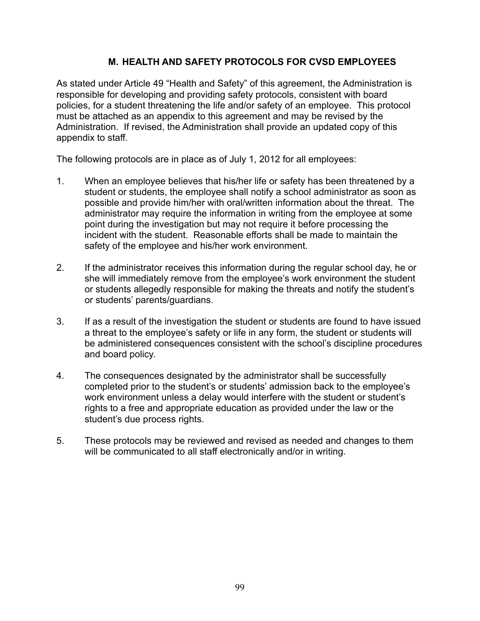#### **M. HEALTH AND SAFETY PROTOCOLS FOR CVSD EMPLOYEES**

As stated under Article 49 "Health and Safety" of this agreement, the Administration is responsible for developing and providing safety protocols, consistent with board policies, for a student threatening the life and/or safety of an employee. This protocol must be attached as an appendix to this agreement and may be revised by the Administration. If revised, the Administration shall provide an updated copy of this appendix to staff.

The following protocols are in place as of July 1, 2012 for all employees:

- 1. When an employee believes that his/her life or safety has been threatened by a student or students, the employee shall notify a school administrator as soon as possible and provide him/her with oral/written information about the threat. The administrator may require the information in writing from the employee at some point during the investigation but may not require it before processing the incident with the student. Reasonable efforts shall be made to maintain the safety of the employee and his/her work environment.
- 2. If the administrator receives this information during the regular school day, he or she will immediately remove from the employee's work environment the student or students allegedly responsible for making the threats and notify the student's or students' parents/guardians.
- 3. If as a result of the investigation the student or students are found to have issued a threat to the employee's safety or life in any form, the student or students will be administered consequences consistent with the school's discipline procedures and board policy.
- 4. The consequences designated by the administrator shall be successfully completed prior to the student's or students' admission back to the employee's work environment unless a delay would interfere with the student or student's rights to a free and appropriate education as provided under the law or the student's due process rights.
- 5. These protocols may be reviewed and revised as needed and changes to them will be communicated to all staff electronically and/or in writing.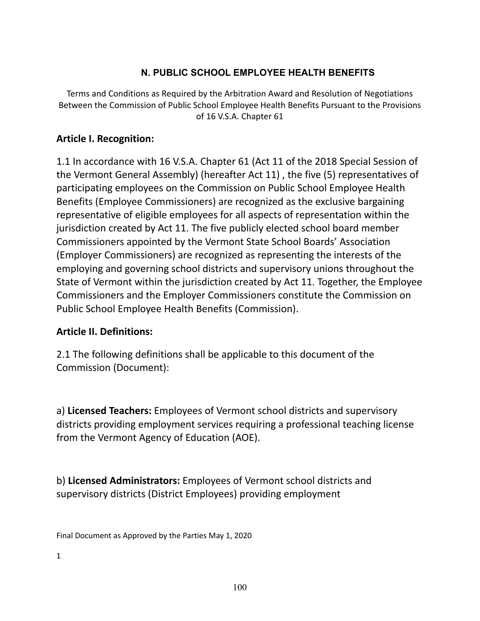# **N. PUBLIC SCHOOL EMPLOYEE HEALTH BENEFITS**

Terms and Conditions as Required by the Arbitration Award and Resolution of Negotiations Between the Commission of Public School Employee Health Benefits Pursuant to the Provisions of 16 V.S.A. Chapter 61

# **Article I. Recognition:**

1.1 In accordance with 16 V.S.A. Chapter 61 (Act 11 of the 2018 Special Session of the Vermont General Assembly) (hereafter Act 11) , the five (5) representatives of participating employees on the Commission on Public School Employee Health Benefits (Employee Commissioners) are recognized as the exclusive bargaining representative of eligible employees for all aspects of representation within the jurisdiction created by Act 11. The five publicly elected school board member Commissioners appointed by the Vermont State School Boards' Association (Employer Commissioners) are recognized as representing the interests of the employing and governing school districts and supervisory unions throughout the State of Vermont within the jurisdiction created by Act 11. Together, the Employee Commissioners and the Employer Commissioners constitute the Commission on Public School Employee Health Benefits (Commission).

# **Article II. Definitions:**

2.1 The following definitions shall be applicable to this document of the Commission (Document):

a) **Licensed Teachers:** Employees of Vermont school districts and supervisory districts providing employment services requiring a professional teaching license from the Vermont Agency of Education (AOE).

b) **Licensed Administrators:** Employees of Vermont school districts and supervisory districts (District Employees) providing employment

Final Document as Approved by the Parties May 1, 2020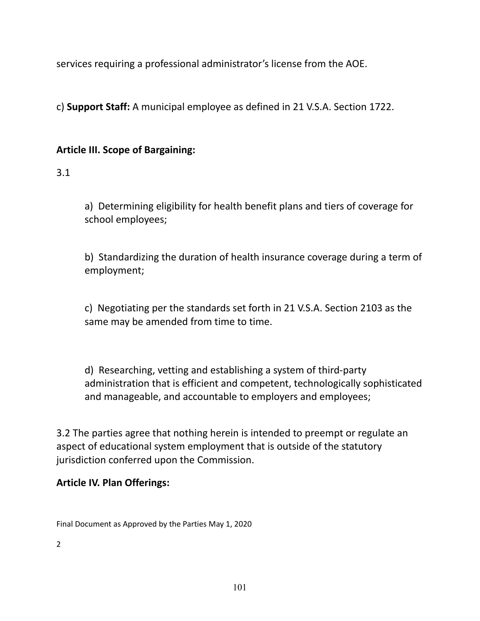services requiring a professional administrator's license from the AOE.

c) **Support Staff:** A municipal employee as defined in 21 V.S.A. Section 1722.

# **Article III. Scope of Bargaining:**

# 3.1

a) Determining eligibility for health benefit plans and tiers of coverage for school employees;

b) Standardizing the duration of health insurance coverage during a term of employment;

c) Negotiating per the standards set forth in 21 V.S.A. Section 2103 as the same may be amended from time to time.

d) Researching, vetting and establishing a system of third-party administration that is efficient and competent, technologically sophisticated and manageable, and accountable to employers and employees;

3.2 The parties agree that nothing herein is intended to preempt or regulate an aspect of educational system employment that is outside of the statutory jurisdiction conferred upon the Commission.

# **Article IV. Plan Offerings:**

Final Document as Approved by the Parties May 1, 2020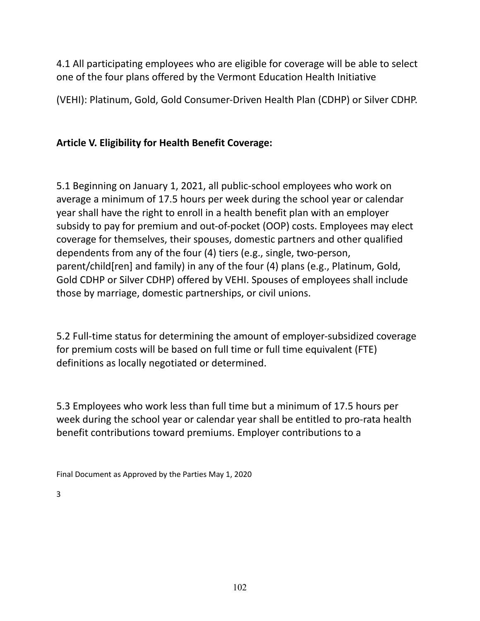4.1 All participating employees who are eligible for coverage will be able to select one of the four plans offered by the Vermont Education Health Initiative

(VEHI): Platinum, Gold, Gold Consumer-Driven Health Plan (CDHP) or Silver CDHP.

# **Article V. Eligibility for Health Benefit Coverage:**

5.1 Beginning on January 1, 2021, all public-school employees who work on average a minimum of 17.5 hours per week during the school year or calendar year shall have the right to enroll in a health benefit plan with an employer subsidy to pay for premium and out-of-pocket (OOP) costs. Employees may elect coverage for themselves, their spouses, domestic partners and other qualified dependents from any of the four (4) tiers (e.g., single, two-person, parent/child[ren] and family) in any of the four (4) plans (e.g., Platinum, Gold, Gold CDHP or Silver CDHP) offered by VEHI. Spouses of employees shall include those by marriage, domestic partnerships, or civil unions.

5.2 Full-time status for determining the amount of employer-subsidized coverage for premium costs will be based on full time or full time equivalent (FTE) definitions as locally negotiated or determined.

5.3 Employees who work less than full time but a minimum of 17.5 hours per week during the school year or calendar year shall be entitled to pro-rata health benefit contributions toward premiums. Employer contributions to a

Final Document as Approved by the Parties May 1, 2020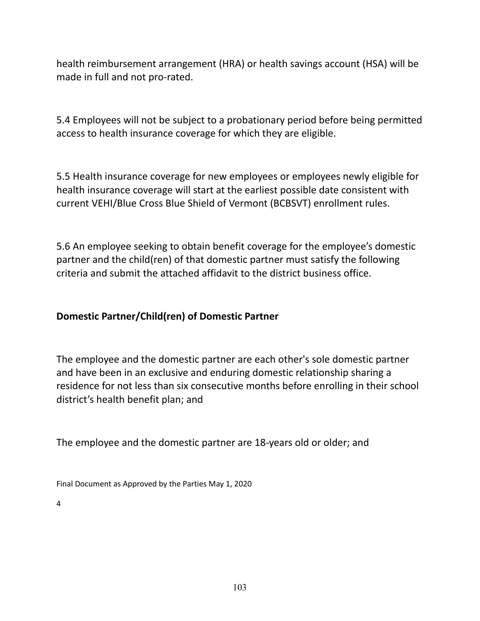health reimbursement arrangement (HRA) or health savings account (HSA) will be made in full and not pro-rated.

5.4 Employees will not be subject to a probationary period before being permitted access to health insurance coverage for which they are eligible.

5.5 Health insurance coverage for new employees or employees newly eligible for health insurance coverage will start at the earliest possible date consistent with current VEHI/Blue Cross Blue Shield of Vermont (BCBSVT) enrollment rules.

5.6 An employee seeking to obtain benefit coverage for the employee's domestic partner and the child(ren) of that domestic partner must satisfy the following criteria and submit the attached affidavit to the district business office.

# **Domestic Partner/Child(ren) of Domestic Partner**

The employee and the domestic partner are each other's sole domestic partner and have been in an exclusive and enduring domestic relationship sharing a residence for not less than six consecutive months before enrolling in their school district's health benefit plan; and

The employee and the domestic partner are 18-years old or older; and

Final Document as Approved by the Parties May 1, 2020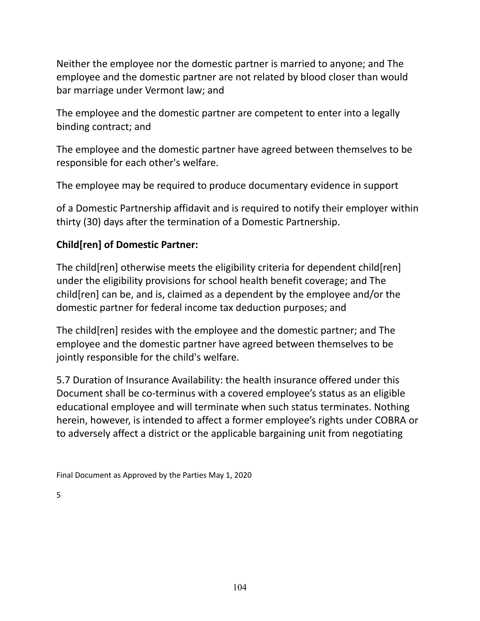Neither the employee nor the domestic partner is married to anyone; and The employee and the domestic partner are not related by blood closer than would bar marriage under Vermont law; and

The employee and the domestic partner are competent to enter into a legally binding contract; and

The employee and the domestic partner have agreed between themselves to be responsible for each other's welfare.

The employee may be required to produce documentary evidence in support

of a Domestic Partnership affidavit and is required to notify their employer within thirty (30) days after the termination of a Domestic Partnership.

# **Child[ren] of Domestic Partner:**

The child [ren] otherwise meets the eligibility criteria for dependent child [ren] under the eligibility provisions for school health benefit coverage; and The child[ren] can be, and is, claimed as a dependent by the employee and/or the domestic partner for federal income tax deduction purposes; and

The child[ren] resides with the employee and the domestic partner; and The employee and the domestic partner have agreed between themselves to be jointly responsible for the child's welfare.

5.7 Duration of Insurance Availability: the health insurance offered under this Document shall be co-terminus with a covered employee's status as an eligible educational employee and will terminate when such status terminates. Nothing herein, however, is intended to affect a former employee's rights under COBRA or to adversely affect a district or the applicable bargaining unit from negotiating

Final Document as Approved by the Parties May 1, 2020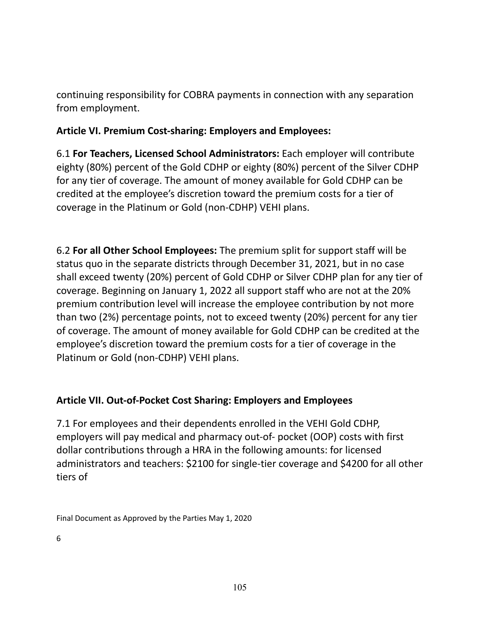continuing responsibility for COBRA payments in connection with any separation from employment.

# **Article VI. Premium Cost-sharing: Employers and Employees:**

6.1 **For Teachers, Licensed School Administrators:** Each employer will contribute eighty (80%) percent of the Gold CDHP or eighty (80%) percent of the Silver CDHP for any tier of coverage. The amount of money available for Gold CDHP can be credited at the employee's discretion toward the premium costs for a tier of coverage in the Platinum or Gold (non-CDHP) VEHI plans.

6.2 **For all Other School Employees:** The premium split for support staff will be status quo in the separate districts through December 31, 2021, but in no case shall exceed twenty (20%) percent of Gold CDHP or Silver CDHP plan for any tier of coverage. Beginning on January 1, 2022 all support staff who are not at the 20% premium contribution level will increase the employee contribution by not more than two (2%) percentage points, not to exceed twenty (20%) percent for any tier of coverage. The amount of money available for Gold CDHP can be credited at the employee's discretion toward the premium costs for a tier of coverage in the Platinum or Gold (non-CDHP) VEHI plans.

# **Article VII. Out-of-Pocket Cost Sharing: Employers and Employees**

7.1 For employees and their dependents enrolled in the VEHI Gold CDHP, employers will pay medical and pharmacy out-of- pocket (OOP) costs with first dollar contributions through a HRA in the following amounts: for licensed administrators and teachers: \$2100 for single-tier coverage and \$4200 for all other tiers of

Final Document as Approved by the Parties May 1, 2020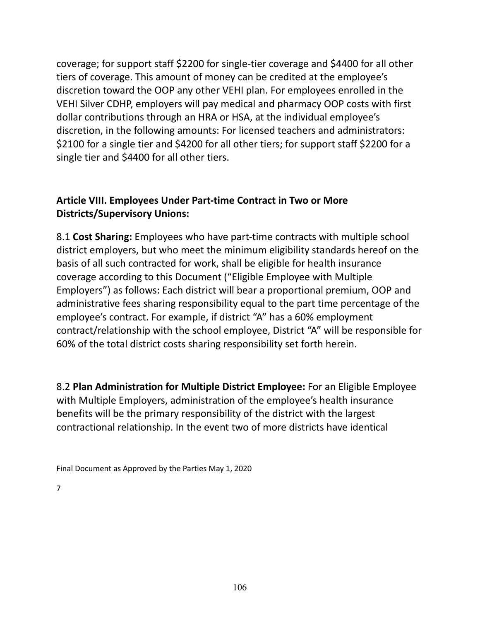coverage; for support staff \$2200 for single-tier coverage and \$4400 for all other tiers of coverage. This amount of money can be credited at the employee's discretion toward the OOP any other VEHI plan. For employees enrolled in the VEHI Silver CDHP, employers will pay medical and pharmacy OOP costs with first dollar contributions through an HRA or HSA, at the individual employee's discretion, in the following amounts: For licensed teachers and administrators: \$2100 for a single tier and \$4200 for all other tiers; for support staff \$2200 for a single tier and \$4400 for all other tiers.

# **Article VIII. Employees Under Part-time Contract in Two or More Districts/Supervisory Unions:**

8.1 **Cost Sharing:** Employees who have part-time contracts with multiple school district employers, but who meet the minimum eligibility standards hereof on the basis of all such contracted for work, shall be eligible for health insurance coverage according to this Document ("Eligible Employee with Multiple Employers") as follows: Each district will bear a proportional premium, OOP and administrative fees sharing responsibility equal to the part time percentage of the employee's contract. For example, if district "A" has a 60% employment contract/relationship with the school employee, District "A" will be responsible for 60% of the total district costs sharing responsibility set forth herein.

8.2 **Plan Administration for Multiple District Employee:** For an Eligible Employee with Multiple Employers, administration of the employee's health insurance benefits will be the primary responsibility of the district with the largest contractional relationship. In the event two of more districts have identical

Final Document as Approved by the Parties May 1, 2020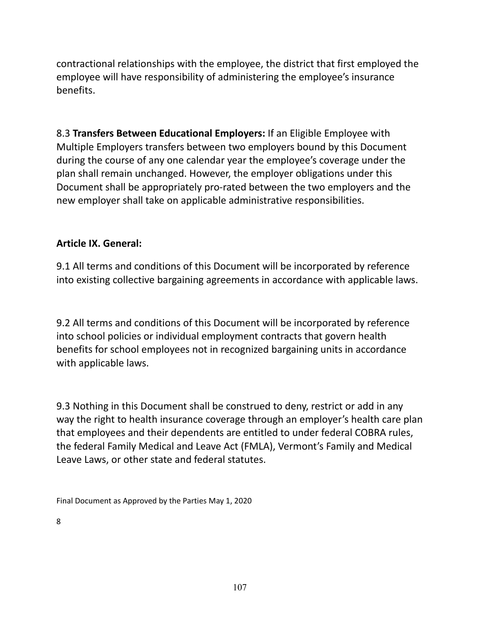contractional relationships with the employee, the district that first employed the employee will have responsibility of administering the employee's insurance benefits.

8.3 **Transfers Between Educational Employers:** If an Eligible Employee with Multiple Employers transfers between two employers bound by this Document during the course of any one calendar year the employee's coverage under the plan shall remain unchanged. However, the employer obligations under this Document shall be appropriately pro-rated between the two employers and the new employer shall take on applicable administrative responsibilities.

# **Article IX. General:**

9.1 All terms and conditions of this Document will be incorporated by reference into existing collective bargaining agreements in accordance with applicable laws.

9.2 All terms and conditions of this Document will be incorporated by reference into school policies or individual employment contracts that govern health benefits for school employees not in recognized bargaining units in accordance with applicable laws.

9.3 Nothing in this Document shall be construed to deny, restrict or add in any way the right to health insurance coverage through an employer's health care plan that employees and their dependents are entitled to under federal COBRA rules, the federal Family Medical and Leave Act (FMLA), Vermont's Family and Medical Leave Laws, or other state and federal statutes.

Final Document as Approved by the Parties May 1, 2020